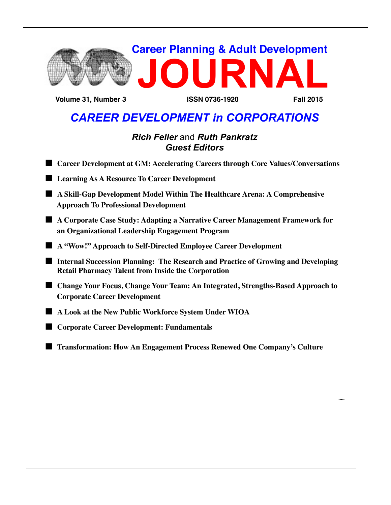

 **Volume 31, Number 3 ISSN 0736-1920 Fall 2015**

## *CAREER DEVELOPMENT in CORPORATIONS*

## *Rich Feller* and *Ruth Pankratz Guest Editors*

- Career Development at GM: Accelerating Careers through Core Values/Conversations
- $\blacksquare$  Learning As A Resource To Career Development
- n **A Skill-Gap Development Model Within The Healthcare Arena: A Comprehensive Approach To Professional Development**
- A Corporate Case Study: Adapting a Narrative Career Management Framework for  **an Organizational Leadership Engagement Program**
- n **A "Wow!" Approach to Self-Directed Employee Career Development**
- **Internal Succession Planning: The Research and Practice of Growing and Developing Retail Pharmacy Talent from Inside the Corporation**
- Change Your Focus, Change Your Team: An Integrated, Strengths-Based Approach to  **Corporate Career Development**
- $\blacksquare$  A Look at the New Public Workforce System Under WIOA
- Corporate Career Development: Fundamentals
- **n Transformation: How An Engagement Process Renewed One Company's Culture**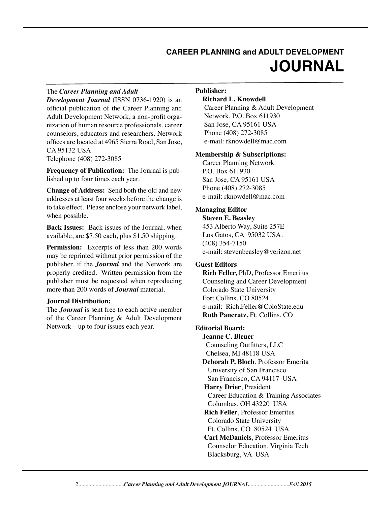## **CAREER PLANNING and ADULT DEVELOPMENT JOURNAL**

#### The *Career Planning and Adult*

*Development Journal* (ISSN 0736-1920) is an official publication of the Career Planning and Adult Development Network, a non-profit organization of human resource professionals, career counselors, educators and researchers. Network offices are located at 4965 Sierra Road, San Jose, CA 95132 USA Telephone (408) 272-3085

**Frequency of Publication:** The Journal is published up to four times each year.

**Change of Address:** Send both the old and new addresses at least four weeks before the change is to take effect. Please enclose your network label, when possible.

**Back Issues:** Back issues of the Journal, when available, are \$7.50 each, plus \$1.50 shipping.

**Permission:** Excerpts of less than 200 words may be reprinted without prior permission of the publisher, if the *Journal* and the Network are properly credited. Written permission from the publisher must be requested when reproducing more than 200 words of *Journal* material.

#### **Journal Distribution:**

The *Journal* is sent free to each active member of the Career Planning & Adult Development Network—up to four issues each year.

#### **Publisher:**

#### **Richard L. Knowdell**

Career Planning & Adult Development Network, P.O. Box 611930 San Jose, CA 95161 USA Phone (408) 272-3085 e-mail: rknowdell@mac.com

#### **Membership & Subscriptions:**

Career Planning Network P.O. Box 611930 San Jose, CA 95161 USA Phone (408) 272-3085 e-mail: rknowdell@mac.com

#### **Managing Editor**

**Steven E. Beasley** 453 Alberto Way, Suite 257E Los Gatos, CA 95032 USA. (408) 354-7150 e-mail: stevenbeasley@verizon.net

#### **Guest Editors**

**Rich Feller,** PhD, Professor Emeritus Counseling and Career Development Colorado State University Fort Collins, CO 80524 e-mail: Rich.Feller@ColoState.edu **Ruth Pancratz,** Ft. Collins, CO

#### **Editorial Board:**

**Jeanne C. Bleuer** Counseling Outfitters, LLC Chelsea, MI 48118 USA  **Deborah P. Bloch**, Professor Emerita University of San Francisco San Francisco, CA 94117 USA  **Harry Drier**, President Career Education & Training Associates Columbus, OH 43220 USA  **Rich Feller**, Professor Emeritus Colorado State University Ft. Collins, CO 80524 USA  **Carl McDaniels**, Professor Emeritus Counselor Education, Virginia Tech Blacksburg, VA USA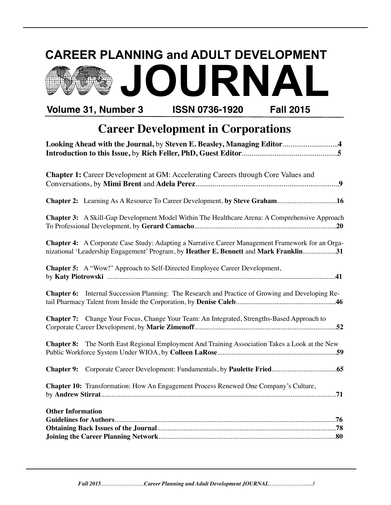# **CAREER PLANNING and ADULT DEVELOPMENT Volume 31, Number 3 ISSN 0736-1920 Fall 2015 JOURNAL**

## **Career Development in Corporations**

| Looking Ahead with the Journal, by Steven E. Beasley, Managing Editor4                                  |
|---------------------------------------------------------------------------------------------------------|
|                                                                                                         |
|                                                                                                         |
| <b>Chapter 1:</b> Career Development at GM: Accelerating Careers through Core Values and                |
|                                                                                                         |
|                                                                                                         |
|                                                                                                         |
|                                                                                                         |
| <b>Chapter 3:</b> A Skill-Gap Development Model Within The Healthcare Arena: A Comprehensive Approach   |
|                                                                                                         |
| Chapter 4: A Corporate Case Study: Adapting a Narrative Career Management Framework for an Orga-        |
| nizational 'Leadership Engagement' Program, by Heather E. Bennett and Mark Franklin31                   |
|                                                                                                         |
| Chapter 5: A "Wow!" Approach to Self-Directed Employee Career Development,                              |
|                                                                                                         |
|                                                                                                         |
| <b>Chapter 6:</b> Internal Succession Planning: The Research and Practice of Growing and Developing Re- |
|                                                                                                         |
| Chapter 7: Change Your Focus, Change Your Team: An Integrated, Strengths-Based Approach to              |
|                                                                                                         |
|                                                                                                         |
| Chapter 8: The North East Regional Employment And Training Association Takes a Look at the New          |
|                                                                                                         |
|                                                                                                         |
|                                                                                                         |
| Chapter 10: Transformation: How An Engagement Process Renewed One Company's Culture,                    |
|                                                                                                         |
|                                                                                                         |
| <b>Other Information</b>                                                                                |
|                                                                                                         |
|                                                                                                         |
|                                                                                                         |

*Fall 2015..............................Career Planning and Adult Development JOURNAL..............................3*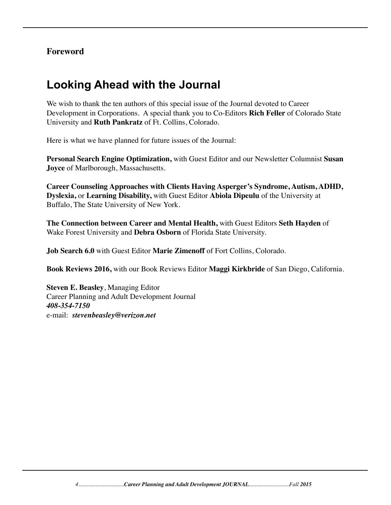## **Foreword**

## **Looking Ahead with the Journal**

We wish to thank the ten authors of this special issue of the Journal devoted to Career Development in Corporations. A special thank you to Co-Editors **Rich Feller** of Colorado State University and **Ruth Pankratz** of Ft. Collins, Colorado.

Here is what we have planned for future issues of the Journal:

**Personal Search Engine Optimization,** with Guest Editor and our Newsletter Columnist **Susan Joyce** of Marlborough, Massachusetts.

**Career Counseling Approaches with Clients Having Asperger's Syndrome, Autism, ADHD, Dyslexia,** or **Learning Disability,** with Guest Editor **Abiola Dipeulu** of the University at Buffalo, The State University of New York.

**The Connection between Career and Mental Health,** with Guest Editors **Seth Hayden** of Wake Forest University and **Debra Osborn** of Florida State University.

**Job Search 6.0** with Guest Editor **Marie Zimenoff** of Fort Collins, Colorado.

**Book Reviews 2016,** with our Book Reviews Editor **Maggi Kirkbride** of San Diego, California.

**Steven E. Beasley**, Managing Editor Career Planning and Adult Development Journal *408-354-7150* e-mail: *stevenbeasley@verizon.net*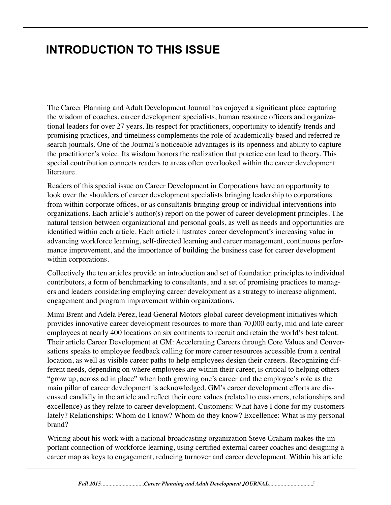## **INTRODUCTION TO THIS ISSUE**

The Career Planning and Adult Development Journal has enjoyed a significant place capturing the wisdom of coaches, career development specialists, human resource officers and organizational leaders for over 27 years. Its respect for practitioners, opportunity to identify trends and promising practices, and timeliness complements the role of academically based and referred research journals. One of the Journal's noticeable advantages is its openness and ability to capture the practitioner's voice. Its wisdom honors the realization that practice can lead to theory. This special contribution connects readers to areas often overlooked within the career development literature.

Readers of this special issue on Career Development in Corporations have an opportunity to look over the shoulders of career development specialists bringing leadership to corporations from within corporate offices, or as consultants bringing group or individual interventions into organizations. Each article's author(s) report on the power of career development principles. The natural tension between organizational and personal goals, as well as needs and opportunities are identified within each article. Each article illustrates career development's increasing value in advancing workforce learning, self-directed learning and career management, continuous performance improvement, and the importance of building the business case for career development within corporations.

Collectively the ten articles provide an introduction and set of foundation principles to individual contributors, a form of benchmarking to consultants, and a set of promising practices to managers and leaders considering employing career development as a strategy to increase alignment, engagement and program improvement within organizations.

Mimi Brent and Adela Perez, lead General Motors global career development initiatives which provides innovative career development resources to more than 70,000 early, mid and late career employees at nearly 400 locations on six continents to recruit and retain the world's best talent. Their article Career Development at GM: Accelerating Careers through Core Values and Conversations speaks to employee feedback calling for more career resources accessible from a central location, as well as visible career paths to help employees design their careers. Recognizing different needs, depending on where employees are within their career, is critical to helping others "grow up, across ad in place" when both growing one's career and the employee's role as the main pillar of career development is acknowledged. GM's career development efforts are discussed candidly in the article and reflect their core values (related to customers, relationships and excellence) as they relate to career development. Customers: What have I done for my customers lately? Relationships: Whom do I know? Whom do they know? Excellence: What is my personal brand?

Writing about his work with a national broadcasting organization Steve Graham makes the important connection of workforce learning, using certified external career coaches and designing a career map as keys to engagement, reducing turnover and career development. Within his article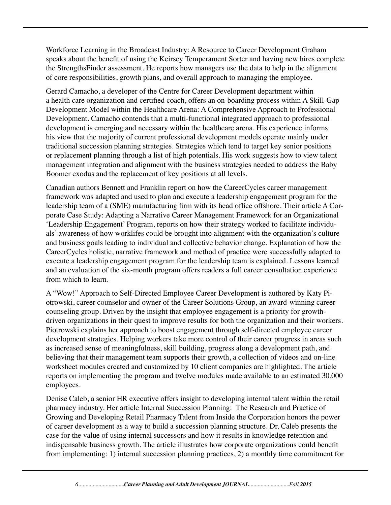Workforce Learning in the Broadcast Industry: A Resource to Career Development Graham speaks about the benefit of using the Keirsey Temperament Sorter and having new hires complete the StrengthsFinder assessment. He reports how managers use the data to help in the alignment of core responsibilities, growth plans, and overall approach to managing the employee.

Gerard Camacho, a developer of the Centre for Career Development department within a health care organization and certified coach, offers an on-boarding process within A Skill-Gap Development Model within the Healthcare Arena: A Comprehensive Approach to Professional Development. Camacho contends that a multi-functional integrated approach to professional development is emerging and necessary within the healthcare arena. His experience informs his view that the majority of current professional development models operate mainly under traditional succession planning strategies. Strategies which tend to target key senior positions or replacement planning through a list of high potentials. His work suggests how to view talent management integration and alignment with the business strategies needed to address the Baby Boomer exodus and the replacement of key positions at all levels.

Canadian authors Bennett and Franklin report on how the CareerCycles career management framework was adapted and used to plan and execute a leadership engagement program for the leadership team of a (SME) manufacturing firm with its head office offshore. Their article A Corporate Case Study: Adapting a Narrative Career Management Framework for an Organizational 'Leadership Engagement' Program, reports on how their strategy worked to facilitate individuals' awareness of how worklifes could be brought into alignment with the organization's culture and business goals leading to individual and collective behavior change. Explanation of how the CareerCycles holistic, narrative framework and method of practice were successfully adapted to execute a leadership engagement program for the leadership team is explained. Lessons learned and an evaluation of the six-month program offers readers a full career consultation experience from which to learn.

A "Wow!" Approach to Self-Directed Employee Career Development is authored by Katy Piotrowski, career counselor and owner of the Career Solutions Group, an award-winning career counseling group. Driven by the insight that employee engagement is a priority for growthdriven organizations in their quest to improve results for both the organization and their workers. Piotrowski explains her approach to boost engagement through self-directed employee career development strategies. Helping workers take more control of their career progress in areas such as increased sense of meaningfulness, skill building, progress along a development path, and believing that their management team supports their growth, a collection of videos and on-line worksheet modules created and customized by 10 client companies are highlighted. The article reports on implementing the program and twelve modules made available to an estimated 30,000 employees.

Denise Caleb, a senior HR executive offers insight to developing internal talent within the retail pharmacy industry. Her article Internal Succession Planning: The Research and Practice of Growing and Developing Retail Pharmacy Talent from Inside the Corporation honors the power of career development as a way to build a succession planning structure. Dr. Caleb presents the case for the value of using internal successors and how it results in knowledge retention and indispensable business growth. The article illustrates how corporate organizations could benefit from implementing: 1) internal succession planning practices, 2) a monthly time commitment for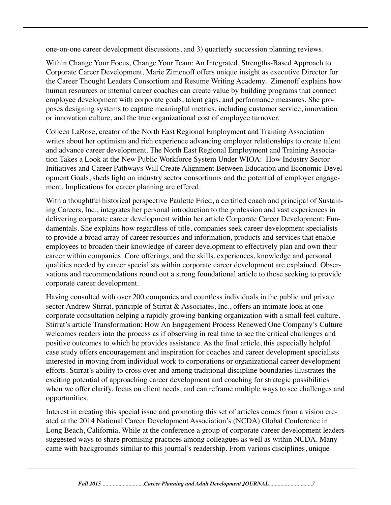one-on-one career development discussions, and 3) quarterly succession planning reviews.

Within Change Your Focus, Change Your Team: An Integrated, Strengths-Based Approach to Corporate Career Development, Marie Zimenoff offers unique insight as executive Director for the Career Thought Leaders Consortium and Resume Writing Academy. Zimenoff explains how human resources or internal career coaches can create value by building programs that connect employee development with corporate goals, talent gaps, and performance measures. She proposes designing systems to capture meaningful metrics, including customer service, innovation or innovation culture, and the true organizational cost of employee turnover.

Colleen LaRose, creator of the North East Regional Employment and Training Association writes about her optimism and rich experience advancing employer relationships to create talent and advance career development. The North East Regional Employment and Training Association Takes a Look at the New Public Workforce System Under WIOA: How Industry Sector Initiatives and Career Pathways Will Create Alignment Between Education and Economic Development Goals, sheds light on industry sector consortiums and the potential of employer engagement. Implications for career planning are offered.

With a thoughtful historical perspective Paulette Fried, a certified coach and principal of Sustaining Careers, Inc., integrates her personal introduction to the profession and vast experiences in delivering corporate career development within her article Corporate Career Development: Fundamentals. She explains how regardless of title, companies seek career development specialists to provide a broad array of career resources and information, products and services that enable employees to broaden their knowledge of career development to effectively plan and own their career within companies. Core offerings, and the skills, experiences, knowledge and personal qualities needed by career specialists within corporate career development are explained. Observations and recommendations round out a strong foundational article to those seeking to provide corporate career development.

Having consulted with over 200 companies and countless individuals in the public and private sector Andrew Stirrat, principle of Stirrat & Associates, Inc., offers an intimate look at one corporate consultation helping a rapidly growing banking organization with a small feel culture. Stirrat's article Transformation: How An Engagement Process Renewed One Company's Culture welcomes readers into the process as if observing in real time to see the critical challenges and positive outcomes to which he provides assistance. As the final article, this especially helpful case study offers encouragement and inspiration for coaches and career development specialists interested in moving from individual work to corporations or organizational career development efforts. Stirrat's ability to cross over and among traditional discipline boundaries illustrates the exciting potential of approaching career development and coaching for strategic possibilities when we offer clarify, focus on client needs, and can reframe multiple ways to see challenges and opportunities.

Interest in creating this special issue and promoting this set of articles comes from a vision created at the 2014 National Career Development Association's (NCDA) Global Conference in Long Beach, California. While at the conference a group of corporate career development leaders suggested ways to share promising practices among colleagues as well as within NCDA. Many came with backgrounds similar to this journal's readership. From various disciplines, unique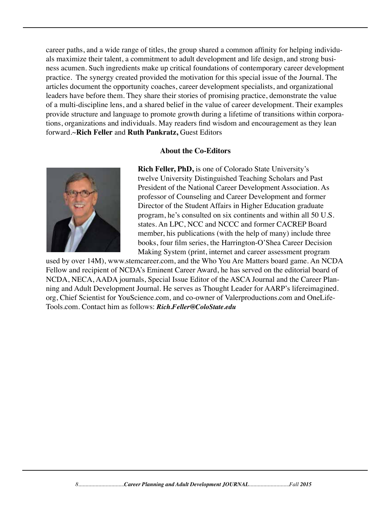career paths, and a wide range of titles, the group shared a common affinity for helping individuals maximize their talent, a commitment to adult development and life design, and strong business acumen. Such ingredients make up critical foundations of contemporary career development practice. The synergy created provided the motivation for this special issue of the Journal. The articles document the opportunity coaches, career development specialists, and organizational leaders have before them. They share their stories of promising practice, demonstrate the value of a multi-discipline lens, and a shared belief in the value of career development. Their examples provide structure and language to promote growth during a lifetime of transitions within corporations, organizations and individuals. May readers find wisdom and encouragement as they lean forward.~**Rich Feller** and **Ruth Pankratz,** Guest Editors

#### **About the Co-Editors**



 **Rich Feller, PhD,** is one of Colorado State University's twelve University Distinguished Teaching Scholars and Past President of the National Career Development Association. As professor of Counseling and Career Development and former Director of the Student Affairs in Higher Education graduate program, he's consulted on six continents and within all 50 U.S. states. An LPC, NCC and NCCC and former CACREP Board member, his publications (with the help of many) include three books, four film series, the Harrington-O'Shea Career Decision Making System (print, internet and career assessment program

used by over 14M), www.stemcareer.com, and the Who You Are Matters board game. An NCDA Fellow and recipient of NCDA's Eminent Career Award, he has served on the editorial board of NCDA, NECA, AADA journals, Special Issue Editor of the ASCA Journal and the Career Planning and Adult Development Journal. He serves as Thought Leader for AARP's lifereimagined. org, Chief Scientist for YouScience.com, and co-owner of Valerproductions.com and OneLife-Tools.com. Contact him as follows: *Rich.Feller@ColoState.edu*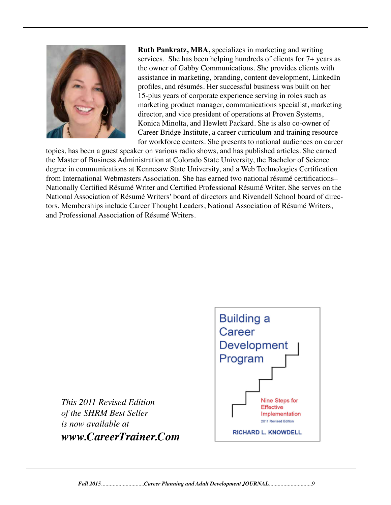

 **Ruth Pankratz, MBA,** specializes in marketing and writing services. She has been helping hundreds of clients for 7+ years as the owner of Gabby Communications. She provides clients with assistance in marketing, branding, content development, LinkedIn profiles, and résumés. Her successful business was built on her 15-plus years of corporate experience serving in roles such as marketing product manager, communications specialist, marketing director, and vice president of operations at Proven Systems, Konica Minolta, and Hewlett Packard. She is also co-owner of Career Bridge Institute, a career curriculum and training resource for workforce centers. She presents to national audiences on career

topics, has been a guest speaker on various radio shows, and has published articles. She earned the Master of Business Administration at Colorado State University, the Bachelor of Science degree in communications at Kennesaw State University, and a Web Technologies Certification from International Webmasters Association. She has earned two national résumé certifications– Nationally Certified Résumé Writer and Certified Professional Résumé Writer. She serves on the National Association of Résumé Writers' board of directors and Rivendell School board of directors. Memberships include Career Thought Leaders, National Association of Résumé Writers, and Professional Association of Résumé Writers.

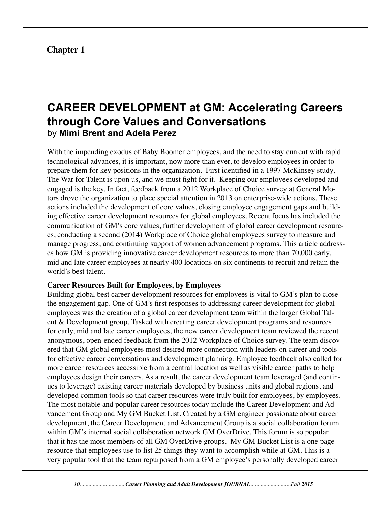## **Chapter 1**

## **CAREER DEVELOPMENT at GM: Accelerating Careers through Core Values and Conversations** by **Mimi Brent and Adela Perez**

With the impending exodus of Baby Boomer employees, and the need to stay current with rapid technological advances, it is important, now more than ever, to develop employees in order to prepare them for key positions in the organization. First identified in a 1997 McKinsey study, The War for Talent is upon us, and we must fight for it. Keeping our employees developed and engaged is the key. In fact, feedback from a 2012 Workplace of Choice survey at General Motors drove the organization to place special attention in 2013 on enterprise-wide actions. These actions included the development of core values, closing employee engagement gaps and building effective career development resources for global employees. Recent focus has included the communication of GM's core values, further development of global career development resources, conducting a second (2014) Workplace of Choice global employees survey to measure and manage progress, and continuing support of women advancement programs. This article addresses how GM is providing innovative career development resources to more than 70,000 early, mid and late career employees at nearly 400 locations on six continents to recruit and retain the world's best talent.

#### **Career Resources Built for Employees, by Employees**

Building global best career development resources for employees is vital to GM's plan to close the engagement gap. One of GM's first responses to addressing career development for global employees was the creation of a global career development team within the larger Global Talent & Development group. Tasked with creating career development programs and resources for early, mid and late career employees, the new career development team reviewed the recent anonymous, open-ended feedback from the 2012 Workplace of Choice survey. The team discovered that GM global employees most desired more connection with leaders on career and tools for effective career conversations and development planning. Employee feedback also called for more career resources accessible from a central location as well as visible career paths to help employees design their careers. As a result, the career development team leveraged (and continues to leverage) existing career materials developed by business units and global regions, and developed common tools so that career resources were truly built for employees, by employees. The most notable and popular career resources today include the Career Development and Advancement Group and My GM Bucket List. Created by a GM engineer passionate about career development, the Career Development and Advancement Group is a social collaboration forum within GM's internal social collaboration network GM OverDrive. This forum is so popular that it has the most members of all GM OverDrive groups. My GM Bucket List is a one page resource that employees use to list 25 things they want to accomplish while at GM. This is a very popular tool that the team repurposed from a GM employee's personally developed career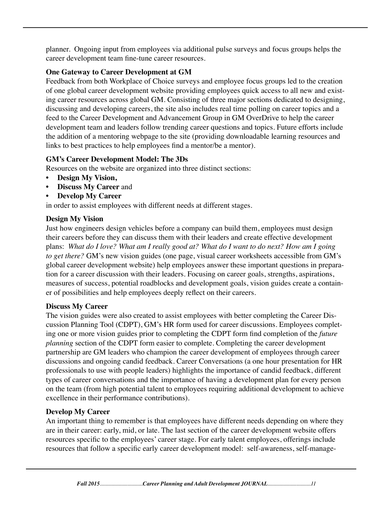planner. Ongoing input from employees via additional pulse surveys and focus groups helps the career development team fine-tune career resources.

## **One Gateway to Career Development at GM**

Feedback from both Workplace of Choice surveys and employee focus groups led to the creation of one global career development website providing employees quick access to all new and existing career resources across global GM. Consisting of three major sections dedicated to designing, discussing and developing careers, the site also includes real time polling on career topics and a feed to the Career Development and Advancement Group in GM OverDrive to help the career development team and leaders follow trending career questions and topics. Future efforts include the addition of a mentoring webpage to the site (providing downloadable learning resources and links to best practices to help employees find a mentor/be a mentor).

## **GM's Career Development Model: The 3Ds**

Resources on the website are organized into three distinct sections:

- **Design My Vision,**
- **• Discuss My Career** and
- **Develop My Career**

in order to assist employees with different needs at different stages.

## **Design My Vision**

Just how engineers design vehicles before a company can build them, employees must design their careers before they can discuss them with their leaders and create effective development plans: *What do I love? What am I really good at? What do I want to do next? How am I going to get there?* GM's new vision guides (one page, visual career worksheets accessible from GM's global career development website) help employees answer these important questions in preparation for a career discussion with their leaders. Focusing on career goals, strengths, aspirations, measures of success, potential roadblocks and development goals, vision guides create a container of possibilities and help employees deeply reflect on their careers.

## **Discuss My Career**

The vision guides were also created to assist employees with better completing the Career Discussion Planning Tool (CDPT), GM's HR form used for career discussions. Employees completing one or more vision guides prior to completing the CDPT form find completion of the *future planning* section of the CDPT form easier to complete. Completing the career development partnership are GM leaders who champion the career development of employees through career discussions and ongoing candid feedback. Career Conversations (a one hour presentation for HR professionals to use with people leaders) highlights the importance of candid feedback, different types of career conversations and the importance of having a development plan for every person on the team (from high potential talent to employees requiring additional development to achieve excellence in their performance contributions).

## **Develop My Career**

An important thing to remember is that employees have different needs depending on where they are in their career: early, mid, or late. The last section of the career development website offers resources specific to the employees' career stage. For early talent employees, offerings include resources that follow a specific early career development model: self-awareness, self-manage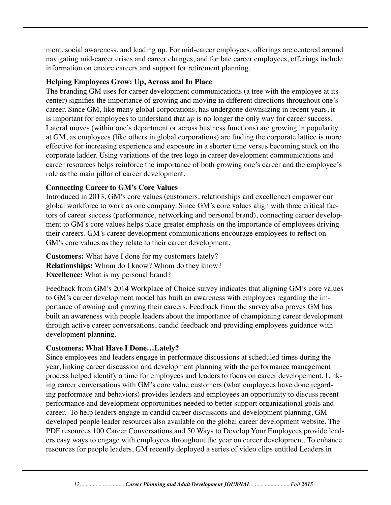ment, social awareness, and leading up. For mid-career employees, offerings are centered around navigating mid-career crises and career changes, and for late career employees, offerings include information on encore careers and support for retirement planning.

## **Helping Employees Grow: Up, Across and In Place**

The branding GM uses for career development communications (a tree with the employee at its center) signifies the importance of growing and moving in different directions throughout one's career. Since GM, like many global corporations, has undergone downsizing in recent years, it is important for employees to understand that *up* is no longer the only way for career success. Lateral moves (within one's department or across business functions) are growing in popularity at GM, as employees (like others in global corporations) are finding the corporate lattice is more effective for increasing experience and exposure in a shorter time versus becoming stuck on the corporate ladder. Using variations of the tree logo in career development communications and career resources helps reinforce the importance of both growing one's career and the employee's role as the main pillar of career development.

## **Connecting Career to GM's Core Values**

Introduced in 2013, GM's core values (customers, relationships and excellence) empower our global workforce to work as one company. Since GM's core values align with three critical factors of career success (performance, networking and personal brand), connecting career development to GM's core values helps place greater emphasis on the importance of employees driving their careers. GM's career development communications encourage employees to reflect on GM's core values as they relate to their career development.

**Customers:** What have I done for my customers lately? **Relationships:** Whom do I know? Whom do they know? **Excellence:** What is my personal brand?

Feedback from GM's 2014 Workplace of Choice survey indicates that aligning GM's core values to GM's career development model has built an awareness with employees regarding the importance of owning and growing their careers. Feedback from the survey also proves GM has built an awareness with people leaders about the importance of championing career development through active career conversations, candid feedback and providing employees guidance with development planning.

## **Customers: What Have I Done…Lately?**

Since employees and leaders engage in performace discussions at scheduled times during the year, linking career discussion and development planning with the performance management process helped identify a time for employees and leaders to focus on career developement. Linking career conversations with GM's core value customers (what employees have done regarding performace and behaviors) provides leaders and employees an opportunity to discuss recent performance and development opportunities needed to better support organizational goals and career. To help leaders engage in candid career discussions and development planning, GM developed people leader resources also available on the global career development website. The PDF resources 100 Career Conversations and 50 Ways to Develop Your Employees provide leaders easy ways to engage with employees throughout the year on career development. To enhance resources for people leaders, GM recently deployed a series of video clips entitled Leaders in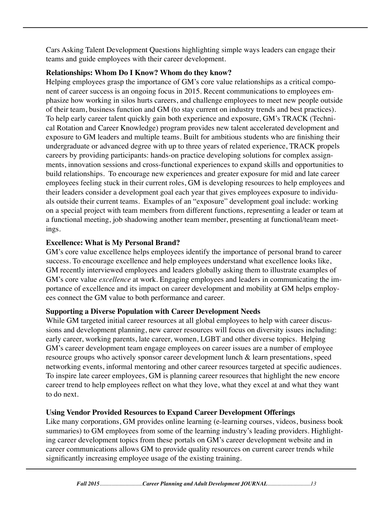Cars Asking Talent Development Questions highlighting simple ways leaders can engage their teams and guide employees with their career development.

## **Relationships: Whom Do I Know? Whom do they know?**

Helping employees grasp the importance of GM's core value relationships as a critical component of career success is an ongoing focus in 2015. Recent communications to employees emphasize how working in silos hurts careers, and challenge employees to meet new people outside of their team, business function and GM (to stay current on industry trends and best practices). To help early career talent quickly gain both experience and exposure, GM's TRACK (Technical Rotation and Career Knowledge) program provides new talent accelerated development and exposure to GM leaders and multiple teams. Built for ambitious students who are finishing their undergraduate or advanced degree with up to three years of related experience, TRACK propels careers by providing participants: hands-on practice developing solutions for complex assignments, innovation sessions and cross-functional experiences to expand skills and opportunities to build relationships. To encourage new experiences and greater exposure for mid and late career employees feeling stuck in their current roles, GM is developing resources to help employees and their leaders consider a development goal each year that gives employees exposure to individuals outside their current teams. Examples of an "exposure" development goal include: working on a special project with team members from different functions, representing a leader or team at a functional meeting, job shadowing another team member, presenting at functional/team meetings.

## **Excellence: What is My Personal Brand?**

GM's core value excellence helps employees identify the importance of personal brand to career success. To encourage excellence and help employees understand what excellence looks like, GM recently interviewed employees and leaders globally asking them to illustrate examples of GM's core value *excellence* at work. Engaging employees and leaders in communicating the importance of excellence and its impact on career development and mobility at GM helps employees connect the GM value to both performance and career.

## **Supporting a Diverse Population with Career Development Needs**

While GM targeted initial career resources at all global employees to help with career discussions and development planning, new career resources will focus on diversity issues including: early career, working parents, late career, women, LGBT and other diverse topics. Helping GM's career development team engage employees on career issues are a number of employee resource groups who actively sponsor career development lunch & learn presentations, speed networking events, informal mentoring and other career resources targeted at specific audiences. To inspire late career employees, GM is planning career resources that highlight the new encore career trend to help employees reflect on what they love, what they excel at and what they want to do next.

## **Using Vendor Provided Resources to Expand Career Development Offerings**

Like many corporations, GM provides online learning (e-learning courses, videos, business book summaries) to GM employees from some of the learning industry's leading providers. Highlighting career development topics from these portals on GM's career development website and in career communications allows GM to provide quality resources on current career trends while significantly increasing employee usage of the existing training.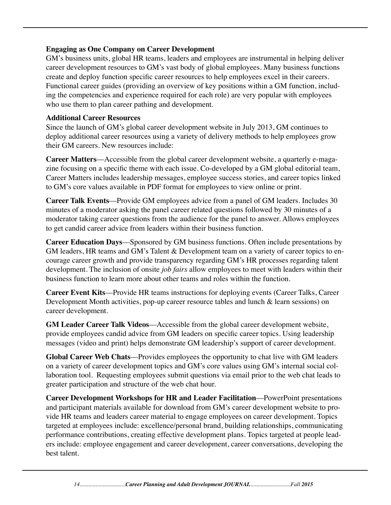## **Engaging as One Company on Career Development**

GM's business units, global HR teams, leaders and employees are instrumental in helping deliver career development resources to GM's vast body of global employees. Many business functions create and deploy function specific career resources to help employees excel in their careers. Functional career guides (providing an overview of key positions within a GM function, including the competencies and experience required for each role) are very popular with employees who use them to plan career pathing and development.

## **Additional Career Resources**

Since the launch of GM's global career development website in July 2013, GM continues to deploy additional career resources using a variety of delivery methods to help employees grow their GM careers. New resources include:

**Career Matters**––Accessible from the global career development website, a quarterly e-magazine focusing on a specific theme with each issue. Co-developed by a GM global editorial team, Career Matters includes leadership messages, employee success stories, and career topics linked to GM's core values available in PDF format for employees to view online or print.

**Career Talk Events**––Provide GM employees advice from a panel of GM leaders. Includes 30 minutes of a moderator asking the panel career related questions followed by 30 minutes of a moderator taking career questions from the audience for the panel to answer. Allows employees to get candid career advice from leaders within their business function.

**Career Education Days**––Sponsored by GM business functions. Often include presentations by GM leaders, HR teams and GM's Talent & Development team on a variety of career topics to encourage career growth and provide transparency regarding GM's HR processes regarding talent development. The inclusion of onsite *job fairs* allow employees to meet with leaders within their business function to learn more about other teams and roles within the function.

**Career Event Kits**––Provide HR teams instructions for deploying events (Career Talks, Career Development Month activities, pop-up career resource tables and lunch & learn sessions) on career development.

**GM Leader Career Talk Videos**––Accessible from the global career development website, provide employees candid advice from GM leaders on specific career topics. Using leadership messages (video and print) helps demonstrate GM leadership's support of career development.

**Global Career Web Chats**––Provides employees the opportunity to chat live with GM leaders on a variety of career development topics and GM's core values using GM's internal social collaboration tool. Requesting employees submit questions via email prior to the web chat leads to greater participation and structure of the web chat hour.

**Career Development Workshops for HR and Leader Facilitation**––PowerPoint presentations and participant materials available for download from GM's career development website to provide HR teams and leaders career material to engage employees on career development. Topics targeted at employees include: excellence/personal brand, building relationships, communicating performance contributions, creating effective development plans. Topics targeted at people leaders include: employee engagement and career development, career conversations, developing the best talent.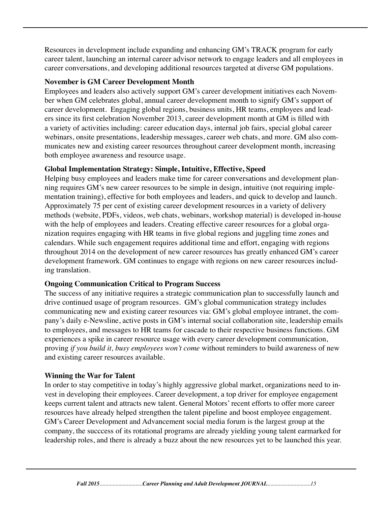Resources in development include expanding and enhancing GM's TRACK program for early career talent, launching an internal career advisor network to engage leaders and all employees in career conversations, and developing additional resources targeted at diverse GM populations.

## **November is GM Career Development Month**

Employees and leaders also actively support GM's career development initiatives each November when GM celebrates global, annual career development month to signify GM's support of career development. Engaging global regions, business units, HR teams, employees and leaders since its first celebration November 2013, career development month at GM is filled with a variety of activities including: career education days, internal job fairs, special global career webinars, onsite presentations, leadership messages, career web chats, and more. GM also communicates new and existing career resources throughout career development month, increasing both employee awareness and resource usage.

## **Global Implementation Strategy: Simple, Intuitive, Effective, Speed**

Helping busy employees and leaders make time for career conversations and development planning requires GM's new career resources to be simple in design, intuitive (not requiring implementation training), effective for both employees and leaders, and quick to develop and launch. Approximately 75 per cent of existing career development resources in a variety of delivery methods (website, PDFs, videos, web chats, webinars, workshop material) is developed in-house with the help of employees and leaders. Creating effective career resources for a global organization requires engaging with HR teams in five global regions and juggling time zones and calendars. While such engagement requires additional time and effort, engaging with regions throughout 2014 on the development of new career resources has greatly enhanced GM's career development framework. GM continues to engage with regions on new career resources including translation.

## **Ongoing Communication Critical to Program Success**

The success of any initiative requires a strategic communication plan to successfully launch and drive continued usage of program resources. GM's global communication strategy includes communicating new and existing career resources via: GM's global employee intranet, the company's daily e-Newsline, active posts in GM's internal social collaboration site, leadership emails to employees, and messages to HR teams for cascade to their respective business functions. GM experiences a spike in career resource usage with every career development communication, proving *if you build it, busy employees won't come* without reminders to build awareness of new and existing career resources available.

## **Winning the War for Talent**

In order to stay competitive in today's highly aggressive global market, organizations need to invest in developing their employees. Career development, a top driver for employee engagement keeps current talent and attracts new talent. General Motors' recent efforts to offer more career resources have already helped strengthen the talent pipeline and boost employee engagement. GM's Career Development and Advancement social media forum is the largest group at the company, the succcess of its rotational programs are already yielding young talent earmarked for leadership roles, and there is already a buzz about the new resources yet to be launched this year.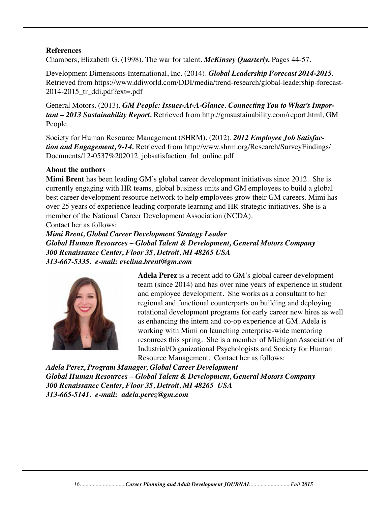### **References**

Chambers, Elizabeth G. (1998). The war for talent. *McKinsey Quarterly.* Pages 44-57.

Development Dimensions International, Inc. (2014). *Global Leadership Forecast 2014-2015.*  Retrieved from https://www.ddiworld.com/DDI/media/trend-research/global-leadership-forecast- $2014-2015$  tr ddi.pdf?ext=.pdf

General Motors. (2013). *GM People: Issues-At-A-Glance. Connecting You to What's Important – 2013 Sustainability Report.* Retrieved from http://gmsustainability.com/report.html, GM People.

Society for Human Resource Management (SHRM). (2012). *2012 Employee Job Satisfaction and Engagement, 9-14.* Retrieved from http://www.shrm.org/Research/SurveyFindings/ Documents/12-0537%202012 jobsatisfaction fnl online.pdf

#### **About the authors**

**Mimi Brent** has been leading GM's global career development initiatives since 2012. She is currently engaging with HR teams, global business units and GM employees to build a global best career development resource network to help employees grow their GM careers. Mimi has over 25 years of experience leading corporate learning and HR strategic initiatives. She is a member of the National Career Development Association (NCDA).

Contact her as follows:

*Mimi Brent, Global Career Development Strategy Leader Global Human Resources – Global Talent & Development, General Motors Company 300 Renaissance Center, Floor 35, Detroit, MI 48265 USA 313-667-5335. e-mail: evelina.brent@gm.com*



 **Adela Perez** is a recent add to GM's global career development team (since 2014) and has over nine years of experience in student and employee development. She works as a consultant to her regional and functional counterparts on building and deploying rotational development programs for early career new hires as well as enhancing the intern and co-op experience at GM. Adela is working with Mimi on launching enterprise-wide mentoring resources this spring. She is a member of Michigan Association of Industrial/Organizational Psychologists and Society for Human Resource Management. Contact her as follows:

*Adela Perez, Program Manager, Global Career Development Global Human Resources – Global Talent & Development, General Motors Company 300 Renaissance Center, Floor 35, Detroit, MI 48265 USA 313-665-5141. e-mail: adela.perez@gm.com*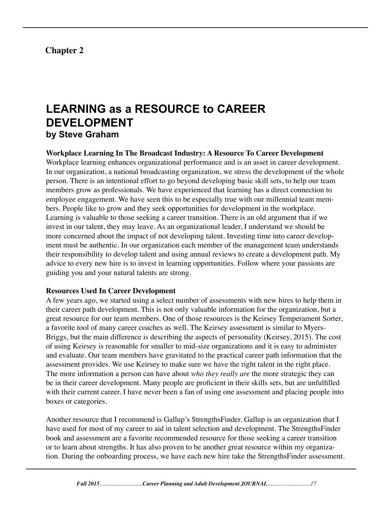## **Chapter 2**

## **LEARNING as a RESOURCE to CAREER DEVELOPMENT by Steve Graham**

### **Workplace Learning In The Broadcast Industry: A Resource To Career Development**

Workplace learning enhances organizational performance and is an asset in career development. In our organization, a national broadcasting organization, we stress the development of the whole person. There is an intentional effort to go beyond developing basic skill sets, to help our team members grow as professionals. We have experienced that learning has a direct connection to employee engagement. We have seen this to be especially true with our millennial team members. People like to grow and they seek opportunities for development in the workplace. Learning is valuable to those seeking a career transition. There is an old argument that if we invest in our talent, they may leave. As an organizational leader, I understand we should be more concerned about the impact of not developing talent. Investing time into career development must be authentic. In our organization each member of the management team understands their responsibility to develop talent and using annual reviews to create a development path. My advice to every new hire is to invest in learning opportunities. Follow where your passions are guiding you and your natural talents are strong.

#### **Resources Used In Career Development**

A few years ago, we started using a select number of assessments with new hires to help them in their career path development. This is not only valuable information for the organization, but a great resource for our team members. One of those resources is the Keirsey Temperament Sorter, a favorite tool of many career coaches as well. The Keirsey assessment is similar to Myers-Briggs, but the main difference is describing the aspects of personality (Keirsey, 2015). The cost of using Keirsey is reasonable for smaller to mid-size organizations and it is easy to administer and evaluate. Our team members have gravitated to the practical career path information that the assessment provides. We use Keirsey to make sure we have the right talent in the right place. The more information a person can have about *who they really are* the more strategic they can be in their career development. Many people are proficient in their skills sets, but are unfulfilled with their current career. I have never been a fan of using one assessment and placing people into boxes or categories.

Another resource that I recommend is Gallup's StrengthsFinder. Gallup is an organization that I have used for most of my career to aid in talent selection and development. The StrengthsFinder book and assessment are a favorite recommended resource for those seeking a career transition or to learn about strengths. It has also proven to be another great resource within my organization. During the onboarding process, we have each new hire take the StrengthsFinder assessment.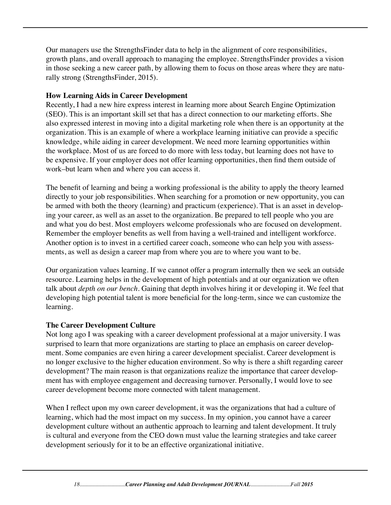Our managers use the StrengthsFinder data to help in the alignment of core responsibilities, growth plans, and overall approach to managing the employee. StrengthsFinder provides a vision in those seeking a new career path, by allowing them to focus on those areas where they are naturally strong (StrengthsFinder, 2015).

## **How Learning Aids in Career Development**

Recently, I had a new hire express interest in learning more about Search Engine Optimization (SEO). This is an important skill set that has a direct connection to our marketing efforts. She also expressed interest in moving into a digital marketing role when there is an opportunity at the organization. This is an example of where a workplace learning initiative can provide a specific knowledge, while aiding in career development. We need more learning opportunities within the workplace. Most of us are forced to do more with less today, but learning does not have to be expensive. If your employer does not offer learning opportunities, then find them outside of work–but learn when and where you can access it.

The benefit of learning and being a working professional is the ability to apply the theory learned directly to your job responsibilities. When searching for a promotion or new opportunity, you can be armed with both the theory (learning) and practicum (experience). That is an asset in developing your career, as well as an asset to the organization. Be prepared to tell people who you are and what you do best. Most employers welcome professionals who are focused on development. Remember the employer benefits as well from having a well-trained and intelligent workforce. Another option is to invest in a certified career coach, someone who can help you with assessments, as well as design a career map from where you are to where you want to be.

Our organization values learning. If we cannot offer a program internally then we seek an outside resource. Learning helps in the development of high potentials and at our organization we often talk about *depth on our bench.* Gaining that depth involves hiring it or developing it. We feel that developing high potential talent is more beneficial for the long-term, since we can customize the learning.

## **The Career Development Culture**

Not long ago I was speaking with a career development professional at a major university. I was surprised to learn that more organizations are starting to place an emphasis on career development. Some companies are even hiring a career development specialist. Career development is no longer exclusive to the higher education environment. So why is there a shift regarding career development? The main reason is that organizations realize the importance that career development has with employee engagement and decreasing turnover. Personally, I would love to see career development become more connected with talent management.

When I reflect upon my own career development, it was the organizations that had a culture of learning, which had the most impact on my success. In my opinion, you cannot have a career development culture without an authentic approach to learning and talent development. It truly is cultural and everyone from the CEO down must value the learning strategies and take career development seriously for it to be an effective organizational initiative.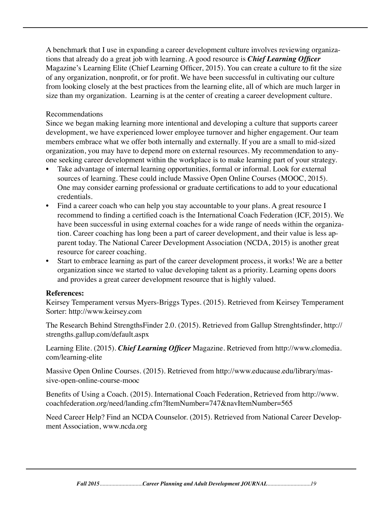A benchmark that I use in expanding a career development culture involves reviewing organizations that already do a great job with learning. A good resource is *Chief Learning Officer*  Magazine's Learning Elite (Chief Learning Officer, 2015). You can create a culture to fit the size of any organization, nonprofit, or for profit. We have been successful in cultivating our culture from looking closely at the best practices from the learning elite, all of which are much larger in size than my organization. Learning is at the center of creating a career development culture.

## Recommendations

Since we began making learning more intentional and developing a culture that supports career development, we have experienced lower employee turnover and higher engagement. Our team members embrace what we offer both internally and externally. If you are a small to mid-sized organization, you may have to depend more on external resources. My recommendation to anyone seeking career development within the workplace is to make learning part of your strategy.

- Take advantage of internal learning opportunities, formal or informal. Look for external sources of learning. These could include Massive Open Online Courses (MOOC, 2015). One may consider earning professional or graduate certifications to add to your educational credentials.
- Find a career coach who can help you stay accountable to your plans. A great resource I recommend to finding a certified coach is the International Coach Federation (ICF, 2015). We have been successful in using external coaches for a wide range of needs within the organization. Career coaching has long been a part of career development, and their value is less apparent today. The National Career Development Association (NCDA, 2015) is another great resource for career coaching.
- Start to embrace learning as part of the career development process, it works! We are a better organization since we started to value developing talent as a priority. Learning opens doors and provides a great career development resource that is highly valued.

## **References:**

Keirsey Temperament versus Myers-Briggs Types. (2015). Retrieved from Keirsey Temperament Sorter: http://www.keirsey.com

The Research Behind StrengthsFinder 2.0. (2015). Retrieved from Gallup Strenghtsfinder, http:// strengths.gallup.com/default.aspx

Learning Elite. (2015). *Chief Learning Officer* Magazine. Retrieved from http://www.clomedia. com/learning-elite

Massive Open Online Courses. (2015). Retrieved from http://www.educause.edu/library/massive-open-online-course-mooc

Benefits of Using a Coach. (2015). International Coach Federation, Retrieved from http://www. coachfederation.org/need/landing.cfm?ItemNumber=747&navItemNumber=565

Need Career Help? Find an NCDA Counselor. (2015). Retrieved from National Career Development Association, www.ncda.org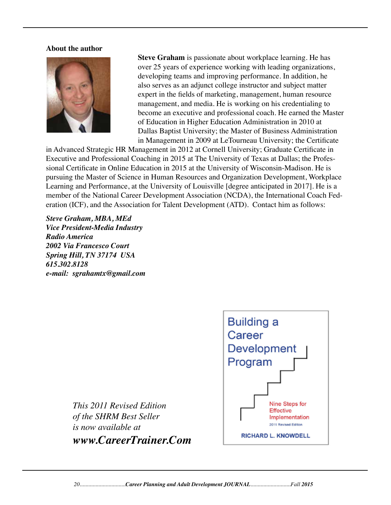#### **About the author**



 **Steve Graham** is passionate about workplace learning. He has over 25 years of experience working with leading organizations, developing teams and improving performance. In addition, he also serves as an adjunct college instructor and subject matter expert in the fields of marketing, management, human resource management, and media. He is working on his credentialing to become an executive and professional coach. He earned the Master of Education in Higher Education Administration in 2010 at Dallas Baptist University; the Master of Business Administration in Management in 2009 at LeTourneau University; the Certificate

in Advanced Strategic HR Management in 2012 at Cornell University; Graduate Certificate in Executive and Professional Coaching in 2015 at The University of Texas at Dallas; the Professional Certificate in Online Education in 2015 at the University of Wisconsin-Madison. He is pursuing the Master of Science in Human Resources and Organization Development, Workplace Learning and Performance, at the University of Louisville [degree anticipated in 2017]. He is a member of the National Career Development Association (NCDA), the International Coach Federation (ICF), and the Association for Talent Development (ATD). Contact him as follows:

*Steve Graham, MBA, MEd Vice President-Media Industry Radio America 2002 Via Francesco Court Spring Hill, TN 37174 USA 615.302.8128 e-mail: sgrahamtx@gmail.com*



*This 2011 Revised Edition of the SHRM Best Seller is now available at www.CareerTrainer.Com*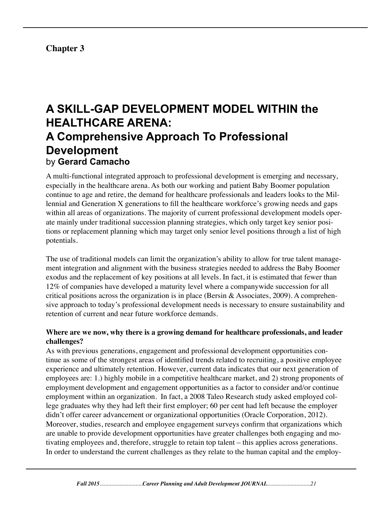## **Chapter 3**

## **A SKILL-GAP DEVELOPMENT MODEL WITHIN the HEALTHCARE ARENA: A Comprehensive Approach To Professional Development**  by **Gerard Camacho**

A multi-functional integrated approach to professional development is emerging and necessary, especially in the healthcare arena. As both our working and patient Baby Boomer population continue to age and retire, the demand for healthcare professionals and leaders looks to the Millennial and Generation X generations to fill the healthcare workforce's growing needs and gaps within all areas of organizations. The majority of current professional development models operate mainly under traditional succession planning strategies, which only target key senior positions or replacement planning which may target only senior level positions through a list of high potentials.

The use of traditional models can limit the organization's ability to allow for true talent management integration and alignment with the business strategies needed to address the Baby Boomer exodus and the replacement of key positions at all levels. In fact, it is estimated that fewer than 12% of companies have developed a maturity level where a companywide succession for all critical positions across the organization is in place (Bersin  $\&$  Associates, 2009). A comprehensive approach to today's professional development needs is necessary to ensure sustainability and retention of current and near future workforce demands.

## **Where are we now, why there is a growing demand for healthcare professionals, and leader challenges?**

As with previous generations, engagement and professional development opportunities continue as some of the strongest areas of identified trends related to recruiting, a positive employee experience and ultimately retention. However, current data indicates that our next generation of employees are: 1.) highly mobile in a competitive healthcare market, and 2) strong proponents of employment development and engagement opportunities as a factor to consider and/or continue employment within an organization. In fact, a 2008 Taleo Research study asked employed college graduates why they had left their first employer; 60 per cent had left because the employer didn't offer career advancement or organizational opportunities (Oracle Corporation, 2012). Moreover, studies, research and employee engagement surveys confirm that organizations which are unable to provide development opportunities have greater challenges both engaging and motivating employees and, therefore, struggle to retain top talent – this applies across generations. In order to understand the current challenges as they relate to the human capital and the employ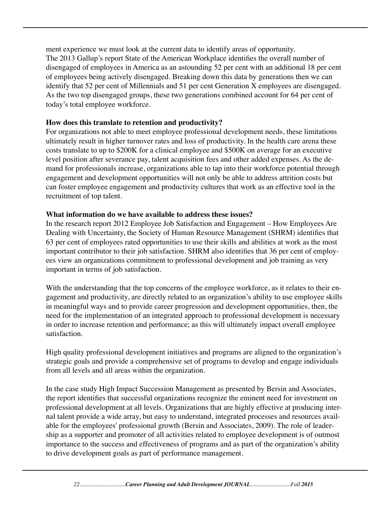ment experience we must look at the current data to identify areas of opportunity. The 2013 Gallup's report State of the American Workplace identifies the overall number of disengaged of employees in America as an astounding 52 per cent with an additional 18 per cent of employees being actively disengaged. Breaking down this data by generations then we can identify that 52 per cent of Millennials and 51 per cent Generation X employees are disengaged. As the two top disengaged groups, these two generations combined account for 64 per cent of today's total employee workforce.

## **How does this translate to retention and productivity?**

For organizations not able to meet employee professional development needs, these limitations ultimately result in higher turnover rates and loss of productivity. In the health care arena these costs translate to up to \$200K for a clinical employee and \$500K on average for an executive level position after severance pay, talent acquisition fees and other added expenses. As the demand for professionals increase, organizations able to tap into their workforce potential through engagement and development opportunities will not only be able to address attrition costs but can foster employee engagement and productivity cultures that work as an effective tool in the recruitment of top talent.

## **What information do we have available to address these issues?**

In the research report 2012 Employee Job Satisfaction and Engagement – How Employees Are Dealing with Uncertainty, the Society of Human Resource Management (SHRM) identifies that 63 per cent of employees rated opportunities to use their skills and abilities at work as the most important contributor to their job satisfaction. SHRM also identifies that 36 per cent of employees view an organizations commitment to professional development and job training as very important in terms of job satisfaction.

With the understanding that the top concerns of the employee workforce, as it relates to their engagement and productivity, are directly related to an organization's ability to use employee skills in meaningful ways and to provide career progression and development opportunities, then, the need for the implementation of an integrated approach to professional development is necessary in order to increase retention and performance; as this will ultimately impact overall employee satisfaction.

High quality professional development initiatives and programs are aligned to the organization's strategic goals and provide a comprehensive set of programs to develop and engage individuals from all levels and all areas within the organization.

In the case study High Impact Succession Management as presented by Bersin and Associates, the report identifies that successful organizations recognize the eminent need for investment on professional development at all levels. Organizations that are highly effective at producing internal talent provide a wide array, but easy to understand, integrated processes and resources available for the employees' professional growth (Bersin and Associates, 2009). The role of leadership as a supporter and promoter of all activities related to employee development is of outmost importance to the success and effectiveness of programs and as part of the organization's ability to drive development goals as part of performance management.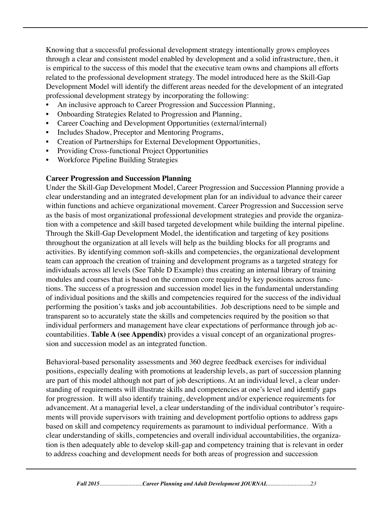Knowing that a successful professional development strategy intentionally grows employees through a clear and consistent model enabled by development and a solid infrastructure, then, it is empirical to the success of this model that the executive team owns and champions all efforts related to the professional development strategy. The model introduced here as the Skill-Gap Development Model will identify the different areas needed for the development of an integrated professional development strategy by incorporating the following:

- An inclusive approach to Career Progression and Succession Planning,
- Onboarding Strategies Related to Progression and Planning,
- Career Coaching and Development Opportunities (external/internal)
- Includes Shadow, Preceptor and Mentoring Programs,
- Creation of Partnerships for External Development Opportunities,
- Providing Cross-functional Project Opportunities
- Workforce Pipeline Building Strategies

## **Career Progression and Succession Planning**

Under the Skill-Gap Development Model, Career Progression and Succession Planning provide a clear understanding and an integrated development plan for an individual to advance their career within functions and achieve organizational movement. Career Progression and Succession serve as the basis of most organizational professional development strategies and provide the organization with a competence and skill based targeted development while building the internal pipeline. Through the Skill-Gap Development Model, the identification and targeting of key positions throughout the organization at all levels will help as the building blocks for all programs and activities. By identifying common soft-skills and competencies, the organizational development team can approach the creation of training and development programs as a targeted strategy for individuals across all levels (See Table D Example) thus creating an internal library of training modules and courses that is based on the common core required by key positions across functions. The success of a progression and succession model lies in the fundamental understanding of individual positions and the skills and competencies required for the success of the individual performing the position's tasks and job accountabilities. Job descriptions need to be simple and transparent so to accurately state the skills and competencies required by the position so that individual performers and management have clear expectations of performance through job accountabilities. **Table A (see Appendix)** provides a visual concept of an organizational progression and succession model as an integrated function.

Behavioral-based personality assessments and 360 degree feedback exercises for individual positions, especially dealing with promotions at leadership levels, as part of succession planning are part of this model although not part of job descriptions. At an individual level, a clear understanding of requirements will illustrate skills and competencies at one's level and identify gaps for progression. It will also identify training, development and/or experience requirements for advancement. At a managerial level, a clear understanding of the individual contributor's requirements will provide supervisors with training and development portfolio options to address gaps based on skill and competency requirements as paramount to individual performance. With a clear understanding of skills, competencies and overall individual accountabilities, the organization is then adequately able to develop skill-gap and competency training that is relevant in order to address coaching and development needs for both areas of progression and succession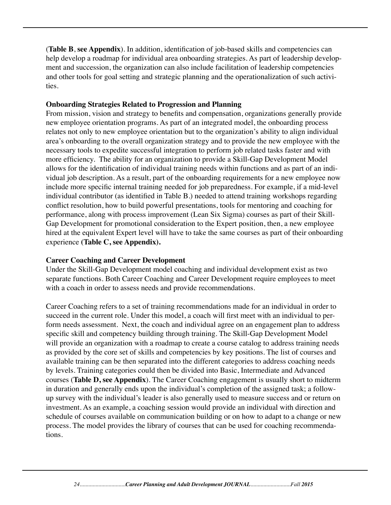(**Table B**, **see Appendix**). In addition, identification of job-based skills and competencies can help develop a roadmap for individual area onboarding strategies. As part of leadership development and succession, the organization can also include facilitation of leadership competencies and other tools for goal setting and strategic planning and the operationalization of such activities.

### **Onboarding Strategies Related to Progression and Planning**

From mission, vision and strategy to benefits and compensation, organizations generally provide new employee orientation programs. As part of an integrated model, the onboarding process relates not only to new employee orientation but to the organization's ability to align individual area's onboarding to the overall organization strategy and to provide the new employee with the necessary tools to expedite successful integration to perform job related tasks faster and with more efficiency. The ability for an organization to provide a Skill-Gap Development Model allows for the identification of individual training needs within functions and as part of an individual job description. As a result, part of the onboarding requirements for a new employee now include more specific internal training needed for job preparedness. For example, if a mid-level individual contributor (as identified in Table B.) needed to attend training workshops regarding conflict resolution, how to build powerful presentations, tools for mentoring and coaching for performance, along with process improvement (Lean Six Sigma) courses as part of their Skill-Gap Development for promotional consideration to the Expert position, then, a new employee hired at the equivalent Expert level will have to take the same courses as part of their onboarding experience **(Table C, see Appendix).** 

## **Career Coaching and Career Development**

Under the Skill-Gap Development model coaching and individual development exist as two separate functions. Both Career Coaching and Career Development require employees to meet with a coach in order to assess needs and provide recommendations.

Career Coaching refers to a set of training recommendations made for an individual in order to succeed in the current role. Under this model, a coach will first meet with an individual to perform needs assessment. Next, the coach and individual agree on an engagement plan to address specific skill and competency building through training. The Skill-Gap Development Model will provide an organization with a roadmap to create a course catalog to address training needs as provided by the core set of skills and competencies by key positions. The list of courses and available training can be then separated into the different categories to address coaching needs by levels. Training categories could then be divided into Basic, Intermediate and Advanced courses (**Table D, see Appendix**). The Career Coaching engagement is usually short to midterm in duration and generally ends upon the individual's completion of the assigned task; a followup survey with the individual's leader is also generally used to measure success and or return on investment. As an example, a coaching session would provide an individual with direction and schedule of courses available on communication building or on how to adapt to a change or new process. The model provides the library of courses that can be used for coaching recommendations.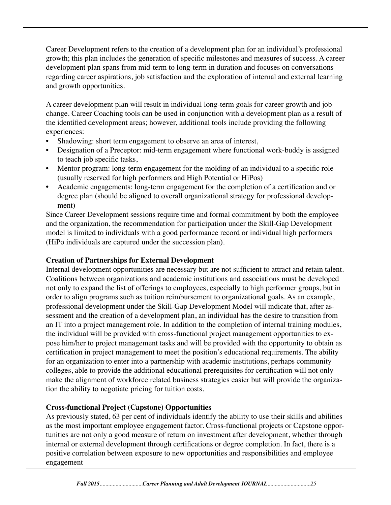Career Development refers to the creation of a development plan for an individual's professional growth; this plan includes the generation of specific milestones and measures of success. A career development plan spans from mid-term to long-term in duration and focuses on conversations regarding career aspirations, job satisfaction and the exploration of internal and external learning and growth opportunities.

A career development plan will result in individual long-term goals for career growth and job change. Career Coaching tools can be used in conjunction with a development plan as a result of the identified development areas; however, additional tools include providing the following experiences:

- Shadowing: short term engagement to observe an area of interest,
- Designation of a Preceptor: mid-term engagement where functional work-buddy is assigned to teach job specific tasks,
- Mentor program: long-term engagement for the molding of an individual to a specific role (usually reserved for high performers and High Potential or HiPos)
- Academic engagements: long-term engagement for the completion of a certification and or degree plan (should be aligned to overall organizational strategy for professional development)

Since Career Development sessions require time and formal commitment by both the employee and the organization, the recommendation for participation under the Skill-Gap Development model is limited to individuals with a good performance record or individual high performers (HiPo individuals are captured under the succession plan).

## **Creation of Partnerships for External Development**

Internal development opportunities are necessary but are not sufficient to attract and retain talent. Coalitions between organizations and academic institutions and associations must be developed not only to expand the list of offerings to employees, especially to high performer groups, but in order to align programs such as tuition reimbursement to organizational goals. As an example, professional development under the Skill-Gap Development Model will indicate that, after assessment and the creation of a development plan, an individual has the desire to transition from an IT into a project management role. In addition to the completion of internal training modules, the individual will be provided with cross-functional project management opportunities to expose him/her to project management tasks and will be provided with the opportunity to obtain as certification in project management to meet the position's educational requirements. The ability for an organization to enter into a partnership with academic institutions, perhaps community colleges, able to provide the additional educational prerequisites for certification will not only make the alignment of workforce related business strategies easier but will provide the organization the ability to negotiate pricing for tuition costs.

## **Cross-functional Project (Capstone) Opportunities**

As previously stated, 63 per cent of individuals identify the ability to use their skills and abilities as the most important employee engagement factor. Cross-functional projects or Capstone opportunities are not only a good measure of return on investment after development, whether through internal or external development through certifications or degree completion. In fact, there is a positive correlation between exposure to new opportunities and responsibilities and employee engagement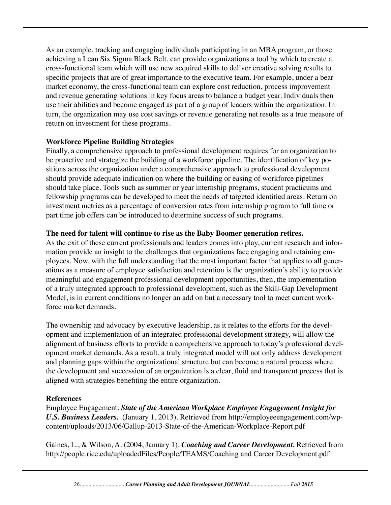As an example, tracking and engaging individuals participating in an MBA program, or those achieving a Lean Six Sigma Black Belt, can provide organizations a tool by which to create a cross-functional team which will use new acquired skills to deliver creative solving results to specific projects that are of great importance to the executive team. For example, under a bear market economy, the cross-functional team can explore cost reduction, process improvement and revenue generating solutions in key focus areas to balance a budget year. Individuals then use their abilities and become engaged as part of a group of leaders within the organization. In turn, the organization may use cost savings or revenue generating net results as a true measure of return on investment for these programs.

## **Workforce Pipeline Building Strategies**

Finally, a comprehensive approach to professional development requires for an organization to be proactive and strategize the building of a workforce pipeline. The identification of key positions across the organization under a comprehensive approach to professional development should provide adequate indication on where the building or easing of workforce pipelines should take place. Tools such as summer or year internship programs, student practicums and fellowship programs can be developed to meet the needs of targeted identified areas. Return on investment metrics as a percentage of conversion rates from internship program to full time or part time job offers can be introduced to determine success of such programs.

## **The need for talent will continue to rise as the Baby Boomer generation retires.**

As the exit of these current professionals and leaders comes into play, current research and information provide an insight to the challenges that organizations face engaging and retaining employees. Now, with the full understanding that the most important factor that applies to all generations as a measure of employee satisfaction and retention is the organization's ability to provide meaningful and engagement professional development opportunities, then, the implementation of a truly integrated approach to professional development, such as the Skill-Gap Development Model, is in current conditions no longer an add on but a necessary tool to meet current workforce market demands.

The ownership and advocacy by executive leadership, as it relates to the efforts for the development and implementation of an integrated professional development strategy, will allow the alignment of business efforts to provide a comprehensive approach to today's professional development market demands. As a result, a truly integrated model will not only address development and planning gaps within the organizational structure but can become a natural process where the development and succession of an organization is a clear, fluid and transparent process that is aligned with strategies benefiting the entire organization.

## **References**

Employee Engagement. *State of the American Workplace Employee Engagement Insight for U.S. Business Leaders.* (January 1, 2013). Retrieved from http://employeeengagement.com/wpcontent/uploads/2013/06/Gallup-2013-State-of-the-American-Workplace-Report.pdf

Gaines, L., & Wilson, A. (2004, January 1). *Coaching and Career Development.* Retrieved from http://people.rice.edu/uploadedFiles/People/TEAMS/Coaching and Career Development.pdf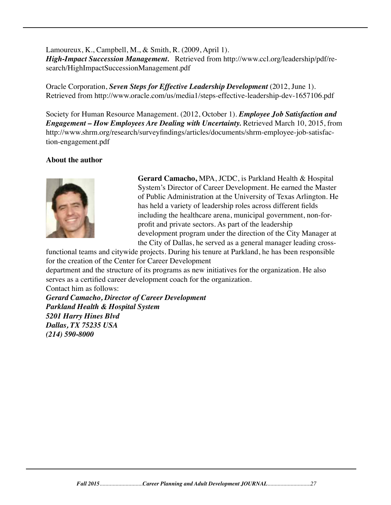Lamoureux, K., Campbell, M., & Smith, R. (2009, April 1). *High-Impact Succession Management.* Retrieved from http://www.ccl.org/leadership/pdf/research/HighImpactSuccessionManagement.pdf

Oracle Corporation, *Seven Steps for Effective Leadership Development* (2012, June 1). Retrieved from http://www.oracle.com/us/media1/steps-effective-leadership-dev-1657106.pdf

Society for Human Resource Management. (2012, October 1). *Employee Job Satisfaction and Engagement – How Employees Are Dealing with Uncertainty.* Retrieved March 10, 2015, from http://www.shrm.org/research/surveyfindings/articles/documents/shrm-employee-job-satisfaction-engagement.pdf

## **About the author**



 **Gerard Camacho,** MPA, JCDC, is Parkland Health & Hospital System's Director of Career Development. He earned the Master of Public Administration at the University of Texas Arlington. He has held a variety of leadership roles across different fields including the healthcare arena, municipal government, non-forprofit and private sectors. As part of the leadership development program under the direction of the City Manager at the City of Dallas, he served as a general manager leading cross-

functional teams and citywide projects. During his tenure at Parkland, he has been responsible for the creation of the Center for Career Development

department and the structure of its programs as new initiatives for the organization. He also serves as a certified career development coach for the organization.

Contact him as follows: *Gerard Camacho, Director of Career Development Parkland Health & Hospital System 5201 Harry Hines Blvd Dallas, TX 75235 USA (214) 590-8000*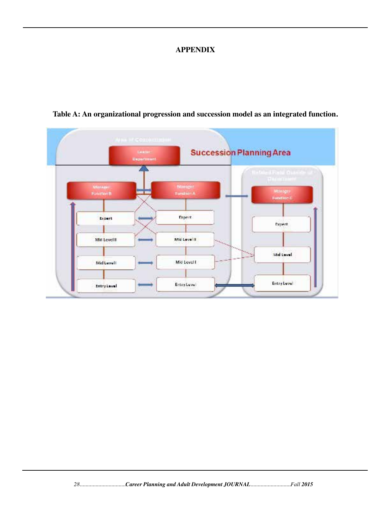### **APPENDIX**



## **Table A: An organizational progression and succession model as an integrated function.**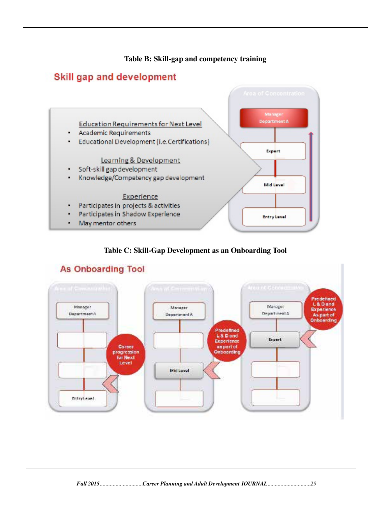### **Table B: Skill-gap and competency training**

## Skill gap and development



#### **Table C: Skill-Gap Development as an Onboarding Tool**



## **As Onboarding Tool**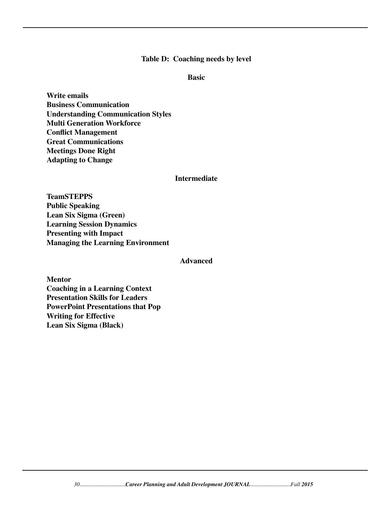#### **Table D: Coaching needs by level**

#### **Basic**

**Write emails Business Communication Understanding Communication Styles Multi Generation Workforce Conflict Management Great Communications Meetings Done Right Adapting to Change**

#### **Intermediate**

**TeamSTEPPS Public Speaking Lean Six Sigma (Green) Learning Session Dynamics Presenting with Impact Managing the Learning Environment**

#### **Advanced**

**Mentor Coaching in a Learning Context Presentation Skills for Leaders PowerPoint Presentations that Pop Writing for Effective Lean Six Sigma (Black)**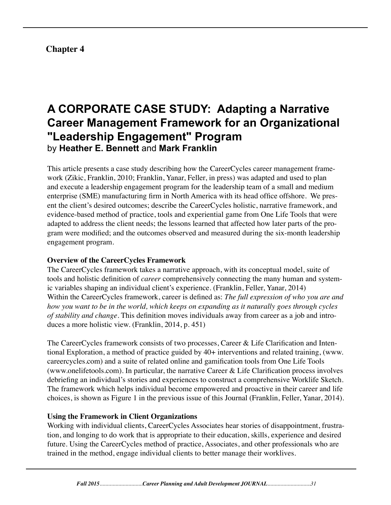## **Chapter 4**

## **A CORPORATE CASE STUDY: Adapting a Narrative Career Management Framework for an Organizational "Leadership Engagement" Program** by **Heather E. Bennett** and **Mark Franklin**

This article presents a case study describing how the CareerCycles career management framework (Zikic, Franklin, 2010; Franklin, Yanar, Feller, in press) was adapted and used to plan and execute a leadership engagement program for the leadership team of a small and medium enterprise (SME) manufacturing firm in North America with its head office offshore. We present the client's desired outcomes; describe the CareerCycles holistic, narrative framework, and evidence-based method of practice, tools and experiential game from One Life Tools that were adapted to address the client needs; the lessons learned that affected how later parts of the program were modified; and the outcomes observed and measured during the six-month leadership engagement program.

## **Overview of the CareerCycles Framework**

The CareerCycles framework takes a narrative approach, with its conceptual model, suite of tools and holistic definition of *career* comprehensively connecting the many human and systemic variables shaping an individual client's experience. (Franklin, Feller, Yanar, 2014) Within the CareerCycles framework, career is defined as: *The full expression of who you are and how you want to be in the world, which keeps on expanding as it naturally goes through cycles of stability and change.* This definition moves individuals away from career as a job and introduces a more holistic view. (Franklin, 2014, p. 451)

The CareerCycles framework consists of two processes, Career & Life Clarification and Intentional Exploration, a method of practice guided by 40+ interventions and related training, (www. careercycles.com) and a suite of related online and gamification tools from One Life Tools (www.onelifetools.com). In particular, the narrative Career & Life Clarification process involves debriefing an individual's stories and experiences to construct a comprehensive Worklife Sketch. The framework which helps individual become empowered and proactive in their career and life choices, is shown as Figure 1 in the previous issue of this Journal (Franklin, Feller, Yanar, 2014).

## **Using the Framework in Client Organizations**

Working with individual clients, CareerCycles Associates hear stories of disappointment, frustration, and longing to do work that is appropriate to their education, skills, experience and desired future. Using the CareerCycles method of practice, Associates, and other professionals who are trained in the method, engage individual clients to better manage their worklives.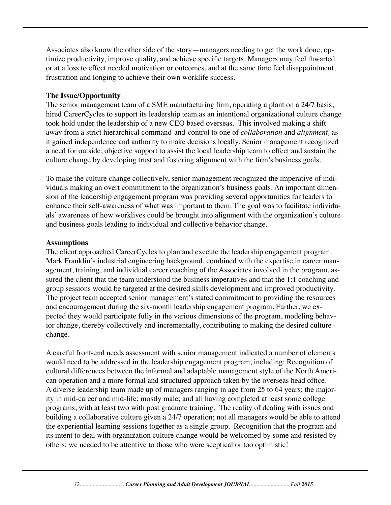Associates also know the other side of the story—managers needing to get the work done, optimize productivity, improve quality, and achieve specific targets. Managers may feel thwarted or at a loss to effect needed motivation or outcomes, and at the same time feel disappointment, frustration and longing to achieve their own worklife success.

## **The Issue/Opportunity**

The senior management team of a SME manufacturing firm, operating a plant on a 24/7 basis, hired CareerCycles to support its leadership team as an intentional organizational culture change took hold under the leadership of a new CEO based overseas. This involved making a shift away from a strict hierarchical command-and-control to one of *collaboration* and *alignment,* as it gained independence and authority to make decisions locally. Senior management recognized a need for outside, objective support to assist the local leadership team to effect and sustain the culture change by developing trust and fostering alignment with the firm's business goals.

To make the culture change collectively, senior management recognized the imperative of individuals making an overt commitment to the organization's business goals. An important dimension of the leadership engagement program was providing several opportunities for leaders to enhance their self-awareness of what was important to them. The goal was to facilitate individuals' awareness of how worklives could be brought into alignment with the organization's culture and business goals leading to individual and collective behavior change.

## **Assumptions**

The client approached CareerCycles to plan and execute the leadership engagement program. Mark Franklin's industrial engineering background, combined with the expertise in career management, training, and individual career coaching of the Associates involved in the program, assured the client that the team understood the business imperatives and that the 1:1 coaching and group sessions would be targeted at the desired skills development and improved productivity. The project team accepted senior management's stated commitment to providing the resources and encouragement during the six-month leadership engagement program. Further, we expected they would participate fully in the various dimensions of the program, modeling behavior change, thereby collectively and incrementally, contributing to making the desired culture change.

A careful front-end needs assessment with senior management indicated a number of elements would need to be addressed in the leadership engagement program, including: Recognition of cultural differences between the informal and adaptable management style of the North American operation and a more formal and structured approach taken by the overseas head office. A diverse leadership team made up of managers ranging in age from 25 to 64 years; the majority in mid-career and mid-life; mostly male; and all having completed at least some college programs, with at least two with post graduate training. The reality of dealing with issues and building a collaborative culture given a 24/7 operation; not all managers would be able to attend the experiential learning sessions together as a single group. Recognition that the program and its intent to deal with organization culture change would be welcomed by some and resisted by others; we needed to be attentive to those who were sceptical or too optimistic!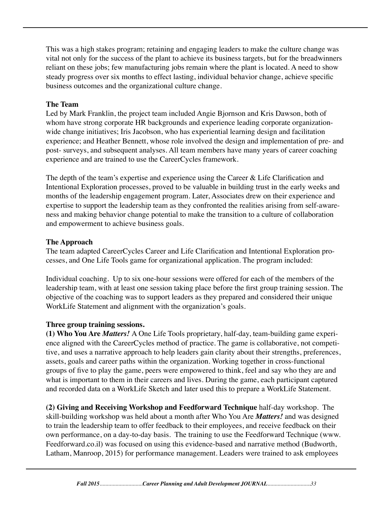This was a high stakes program; retaining and engaging leaders to make the culture change was vital not only for the success of the plant to achieve its business targets, but for the breadwinners reliant on these jobs; few manufacturing jobs remain where the plant is located. A need to show steady progress over six months to effect lasting, individual behavior change, achieve specific business outcomes and the organizational culture change.

## **The Team**

Led by Mark Franklin, the project team included Angie Bjornson and Kris Dawson, both of whom have strong corporate HR backgrounds and experience leading corporate organizationwide change initiatives; Iris Jacobson, who has experiential learning design and facilitation experience; and Heather Bennett, whose role involved the design and implementation of pre- and post- surveys, and subsequent analyses. All team members have many years of career coaching experience and are trained to use the CareerCycles framework.

The depth of the team's expertise and experience using the Career & Life Clarification and Intentional Exploration processes, proved to be valuable in building trust in the early weeks and months of the leadership engagement program. Later, Associates drew on their experience and expertise to support the leadership team as they confronted the realities arising from self-awareness and making behavior change potential to make the transition to a culture of collaboration and empowerment to achieve business goals.

## **The Approach**

The team adapted CareerCycles Career and Life Clarification and Intentional Exploration processes, and One Life Tools game for organizational application. The program included:

Individual coaching. Up to six one-hour sessions were offered for each of the members of the leadership team, with at least one session taking place before the first group training session. The objective of the coaching was to support leaders as they prepared and considered their unique WorkLife Statement and alignment with the organization's goals.

## **Three group training sessions.**

**(1) Who You Are** *Matters!* A One Life Tools proprietary, half-day, team-building game experience aligned with the CareerCycles method of practice. The game is collaborative, not competitive, and uses a narrative approach to help leaders gain clarity about their strengths, preferences, assets, goals and career paths within the organization. Working together in cross-functional groups of five to play the game, peers were empowered to think, feel and say who they are and what is important to them in their careers and lives. During the game, each participant captured and recorded data on a WorkLife Sketch and later used this to prepare a WorkLife Statement.

**(2) Giving and Receiving Workshop and Feedforward Technique** half-day workshop. The skill-building workshop was held about a month after Who You Are *Matters!* and was designed to train the leadership team to offer feedback to their employees, and receive feedback on their own performance, on a day-to-day basis. The training to use the Feedforward Technique (www. Feedforward.co.il) was focused on using this evidence-based and narrative method (Budworth, Latham, Manroop, 2015) for performance management. Leaders were trained to ask employees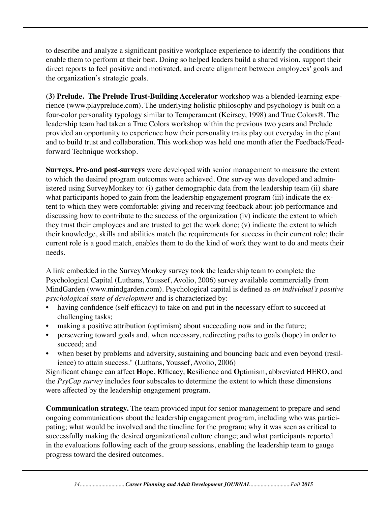to describe and analyze a significant positive workplace experience to identify the conditions that enable them to perform at their best. Doing so helped leaders build a shared vision, support their direct reports to feel positive and motivated, and create alignment between employees' goals and the organization's strategic goals.

**(3) Prelude. The Prelude Trust-Building Accelerator** workshop was a blended-learning experience (www.playprelude.com). The underlying holistic philosophy and psychology is built on a four-color personality typology similar to Temperament (Keirsey, 1998) and True Colors®. The leadership team had taken a True Colors workshop within the previous two years and Prelude provided an opportunity to experience how their personality traits play out everyday in the plant and to build trust and collaboration. This workshop was held one month after the Feedback/Feedforward Technique workshop.

**Surveys. Pre-and post-surveys** were developed with senior management to measure the extent to which the desired program outcomes were achieved. One survey was developed and administered using SurveyMonkey to: (i) gather demographic data from the leadership team (ii) share what participants hoped to gain from the leadership engagement program (iii) indicate the extent to which they were comfortable: giving and receiving feedback about job performance and discussing how to contribute to the success of the organization (iv) indicate the extent to which they trust their employees and are trusted to get the work done; (v) indicate the extent to which their knowledge, skills and abilities match the requirements for success in their current role; their current role is a good match, enables them to do the kind of work they want to do and meets their needs.

A link embedded in the SurveyMonkey survey took the leadership team to complete the Psychological Capital (Luthans, Youssef, Avolio, 2006) survey available commercially from MindGarden (www.mindgarden.com). Psychological capital is defined as *an individual's positive psychological state of development* and is characterized by:

- having confidence (self efficacy) to take on and put in the necessary effort to succeed at challenging tasks;
- making a positive attribution (optimism) about succeeding now and in the future;
- persevering toward goals and, when necessary, redirecting paths to goals (hope) in order to succeed; and
- when beset by problems and adversity, sustaining and bouncing back and even beyond (resilience) to attain success." (Luthans, Youssef, Avolio, 2006)

Significant change can affect **H**ope, **E**fficacy, **R**esilience and **O**ptimism, abbreviated HERO, and the *PsyCap survey* includes four subscales to determine the extent to which these dimensions were affected by the leadership engagement program.

**Communication strategy.** The team provided input for senior management to prepare and send ongoing communications about the leadership engagement program, including who was participating; what would be involved and the timeline for the program; why it was seen as critical to successfully making the desired organizational culture change; and what participants reported in the evaluations following each of the group sessions, enabling the leadership team to gauge progress toward the desired outcomes.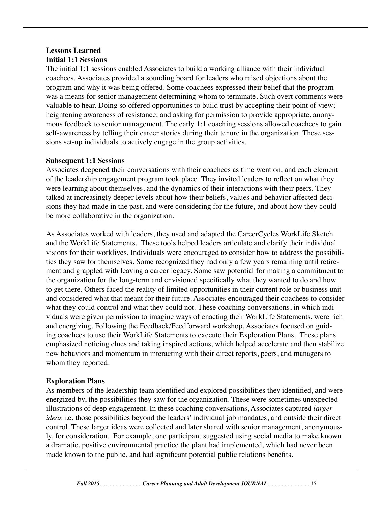## **Lessons Learned Initial 1:1 Sessions**

The initial 1:1 sessions enabled Associates to build a working alliance with their individual coachees. Associates provided a sounding board for leaders who raised objections about the program and why it was being offered. Some coachees expressed their belief that the program was a means for senior management determining whom to terminate. Such overt comments were valuable to hear. Doing so offered opportunities to build trust by accepting their point of view; heightening awareness of resistance; and asking for permission to provide appropriate, anonymous feedback to senior management. The early 1:1 coaching sessions allowed coachees to gain self-awareness by telling their career stories during their tenure in the organization. These sessions set-up individuals to actively engage in the group activities.

## **Subsequent 1:1 Sessions**

Associates deepened their conversations with their coachees as time went on, and each element of the leadership engagement program took place. They invited leaders to reflect on what they were learning about themselves, and the dynamics of their interactions with their peers. They talked at increasingly deeper levels about how their beliefs, values and behavior affected decisions they had made in the past, and were considering for the future, and about how they could be more collaborative in the organization.

As Associates worked with leaders, they used and adapted the CareerCycles WorkLife Sketch and the WorkLife Statements. These tools helped leaders articulate and clarify their individual visions for their worklives. Individuals were encouraged to consider how to address the possibilities they saw for themselves. Some recognized they had only a few years remaining until retirement and grappled with leaving a career legacy. Some saw potential for making a commitment to the organization for the long-term and envisioned specifically what they wanted to do and how to get there. Others faced the reality of limited opportunities in their current role or business unit and considered what that meant for their future. Associates encouraged their coachees to consider what they could control and what they could not. These coaching conversations, in which individuals were given permission to imagine ways of enacting their WorkLife Statements, were rich and energizing. Following the Feedback/Feedforward workshop, Associates focused on guiding coachees to use their WorkLife Statements to execute their Exploration Plans. These plans emphasized noticing clues and taking inspired actions, which helped accelerate and then stabilize new behaviors and momentum in interacting with their direct reports, peers, and managers to whom they reported.

## **Exploration Plans**

As members of the leadership team identified and explored possibilities they identified, and were energized by, the possibilities they saw for the organization. These were sometimes unexpected illustrations of deep engagement. In these coaching conversations, Associates captured *larger ideas* i.e. those possibilities beyond the leaders' individual job mandates, and outside their direct control. These larger ideas were collected and later shared with senior management, anonymously, for consideration. For example, one participant suggested using social media to make known a dramatic, positive environmental practice the plant had implemented, which had never been made known to the public, and had significant potential public relations benefits.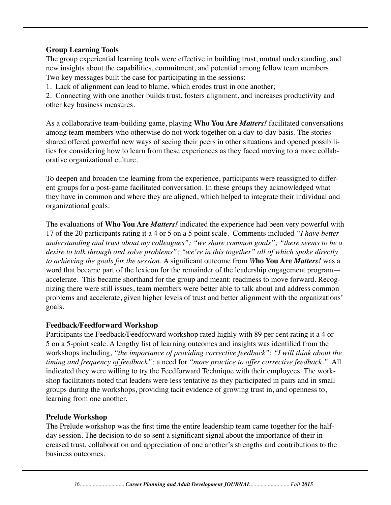## **Group Learning Tools**

The group experiential learning tools were effective in building trust, mutual understanding, and new insights about the capabilities, commitment, and potential among fellow team members. Two key messages built the case for participating in the sessions:

1. Lack of alignment can lead to blame, which erodes trust in one another;

2. Connecting with one another builds trust, fosters alignment, and increases productivity and other key business measures.

As a collaborative team-building game, playing **Who You Are** *Matters!* facilitated conversations among team members who otherwise do not work together on a day-to-day basis. The stories shared offered powerful new ways of seeing their peers in other situations and opened possibilities for considering how to learn from these experiences as they faced moving to a more collaborative organizational culture.

To deepen and broaden the learning from the experience, participants were reassigned to different groups for a post-game facilitated conversation. In these groups they acknowledged what they have in common and where they are aligned, which helped to integrate their individual and organizational goals.

The evaluations of **Who You Are** *Matters!* indicated the experience had been very powerful with 17 of the 20 participants rating it a 4 or 5 on a 5 point scale. Comments included *"I have better understanding and trust about my colleagues"; "we share common goals"; "there seems to be a desire to talk through and solve problems"; "we're in this together" all of which spoke directly to achieving the goals for the session.* A significant outcome from *W***ho You Are** *Matters!* was a word that became part of the lexicon for the remainder of the leadership engagement program accelerate. This became shorthand for the group and meant: readiness to move forward. Recognizing there were still issues, team members were better able to talk about and address common problems and accelerate, given higher levels of trust and better alignment with the organizations' goals.

## **Feedback/Feedforward Workshop**

Participants the Feedback/Feedforward workshop rated highly with 89 per cent rating it a 4 or 5 on a 5-point scale. A lengthy list of learning outcomes and insights was identified from the workshops including, *"the importance of providing corrective feedback"*; *"I will think about the timing and frequency of feedback";* a need for *"more practice to offer corrective feedback."* All indicated they were willing to try the Feedforward Technique with their employees. The workshop facilitators noted that leaders were less tentative as they participated in pairs and in small groups during the workshops, providing tacit evidence of growing trust in, and openness to, learning from one another.

## **Prelude Workshop**

The Prelude workshop was the first time the entire leadership team came together for the halfday session. The decision to do so sent a significant signal about the importance of their increased trust, collaboration and appreciation of one another's strengths and contributions to the business outcomes.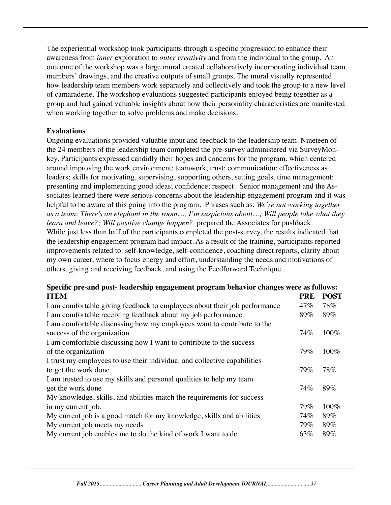The experiential workshop took participants through a specific progression to enhance their awareness from *inner* exploration to *outer creativity* and from the individual to the group. An outcome of the workshop was a large mural created collaboratively incorporating individual team members' drawings, and the creative outputs of small groups. The mural visually represented how leadership team members work separately and collectively and took the group to a new level of camaraderie. The workshop evaluations suggested participants enjoyed being together as a group and had gained valuable insights about how their personality characteristics are manifested when working together to solve problems and make decisions.

#### **Evaluations**

Ongoing evaluations provided valuable input and feedback to the leadership team. Nineteen of the 24 members of the leadership team completed the pre-survey administered via SurveyMonkey. Participants expressed candidly their hopes and concerns for the program, which centered around improving the work environment; teamwork; trust; communication; effectiveness as leaders; skills for motivating, supervising, supporting others, setting goals, time management; presenting and implementing good ideas; confidence; respect. Senior management and the Associates learned there were serious concerns about the leadership engagement program and it was helpful to be aware of this going into the program. Phrases such as: *We're not working together as a team; There's an elephant in the room…; I'm suspicious about…; Will people take what they learn and leave?; Will positive change happen?* prepared the Associates for pushback. While just less than half of the participants completed the post-survey, the results indicated that the leadership engagement program had impact. As a result of the training, participants reported improvements related to: self-knowledge, self-confidence, coaching direct reports, clarity about my own career, where to focus energy and effort, understanding the needs and motivations of

others, giving and receiving feedback, and using the Feedforward Technique.

| Specific pre-and post-leadership engagement program behavior changes were as follows: |            |             |
|---------------------------------------------------------------------------------------|------------|-------------|
| <b>ITEM</b>                                                                           | <b>PRE</b> | <b>POST</b> |
| I am comfortable giving feedback to employees about their job performance             | 47%        | 78%         |
| I am comfortable receiving feedback about my job performance                          | 89%        | 89%         |
| I am comfortable discussing how my employees want to contribute to the                |            |             |
| success of the organization                                                           | 74%        | 100%        |
| I am comfortable discussing how I want to contribute to the success                   |            |             |
| of the organization                                                                   | 79%        | 100%        |
| I trust my employees to use their individual and collective capabilities              |            |             |
| to get the work done                                                                  | 79%        | 78%         |
| I am trusted to use my skills and personal qualities to help my team                  |            |             |
| get the work done                                                                     | 74%        | 89%         |
| My knowledge, skills, and abilities match the requirements for success                |            |             |
| in my current job.                                                                    | 79%        | 100%        |
| My current job is a good match for my knowledge, skills and abilities                 | 74%        | 89%         |
| My current job meets my needs                                                         | 79%        | 89%         |
| My current job enables me to do the kind of work I want to do                         | 63%        | 89%         |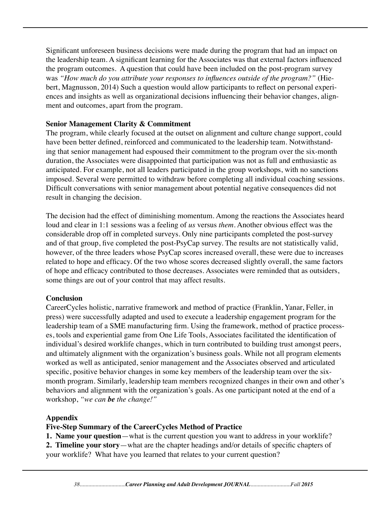Significant unforeseen business decisions were made during the program that had an impact on the leadership team. A significant learning for the Associates was that external factors influenced the program outcomes. A question that could have been included on the post-program survey was *"How much do you attribute your responses to influences outside of the program?"* (Hiebert, Magnusson, 2014) Such a question would allow participants to reflect on personal experiences and insights as well as organizational decisions influencing their behavior changes, alignment and outcomes, apart from the program.

#### **Senior Management Clarity & Commitment**

The program, while clearly focused at the outset on alignment and culture change support, could have been better defined, reinforced and communicated to the leadership team. Notwithstanding that senior management had espoused their commitment to the program over the six-month duration, the Associates were disappointed that participation was not as full and enthusiastic as anticipated. For example, not all leaders participated in the group workshops, with no sanctions imposed. Several were permitted to withdraw before completing all individual coaching sessions. Difficult conversations with senior management about potential negative consequences did not result in changing the decision.

The decision had the effect of diminishing momentum. Among the reactions the Associates heard loud and clear in 1:1 sessions was a feeling of *us* versus *them*. Another obvious effect was the considerable drop off in completed surveys. Only nine participants completed the post-survey and of that group, five completed the post-PsyCap survey. The results are not statistically valid, however, of the three leaders whose PsyCap scores increased overall, these were due to increases related to hope and efficacy. Of the two whose scores decreased slightly overall, the same factors of hope and efficacy contributed to those decreases. Associates were reminded that as outsiders, some things are out of your control that may affect results.

#### **Conclusion**

CareerCycles holistic, narrative framework and method of practice (Franklin, Yanar, Feller, in press) were successfully adapted and used to execute a leadership engagement program for the leadership team of a SME manufacturing firm. Using the framework, method of practice processes, tools and experiential game from One Life Tools, Associates facilitated the identification of individual's desired worklife changes, which in turn contributed to building trust amongst peers, and ultimately alignment with the organization's business goals. While not all program elements worked as well as anticipated, senior management and the Associates observed and articulated specific, positive behavior changes in some key members of the leadership team over the sixmonth program. Similarly, leadership team members recognized changes in their own and other's behaviors and alignment with the organization's goals. As one participant noted at the end of a workshop, *"we can be the change!"* 

#### **Appendix**

#### **Five-Step Summary of the CareerCycles Method of Practice**

**1. Name your question**—what is the current question you want to address in your worklife? **2. Timeline your story**—what are the chapter headings and/or details of specific chapters of your worklife? What have you learned that relates to your current question?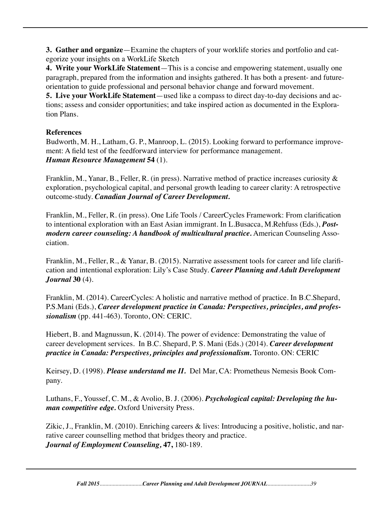**3. Gather and organize**—Examine the chapters of your worklife stories and portfolio and categorize your insights on a WorkLife Sketch

**4. Write your WorkLife Statement**—This is a concise and empowering statement, usually one paragraph, prepared from the information and insights gathered. It has both a present- and futureorientation to guide professional and personal behavior change and forward movement.

**5. Live your WorkLife Statement**—used like a compass to direct day-to-day decisions and actions; assess and consider opportunities; and take inspired action as documented in the Exploration Plans.

### **References**

Budworth, M. H., Latham, G. P., Manroop, L. (2015). Looking forward to performance improvement: A field test of the feedforward interview for performance management. *Human Resource Management* **54** (1).

Franklin, M., Yanar, B., Feller, R. (in press). Narrative method of practice increases curiosity & exploration, psychological capital, and personal growth leading to career clarity: A retrospective outcome-study. *Canadian Journal of Career Development.*

Franklin, M., Feller, R. (in press). One Life Tools / CareerCycles Framework: From clarification to intentional exploration with an East Asian immigrant. In L.Busacca, M.Rehfuss (Eds.), *Postmodern career counseling: A handbook of multicultural practice.* American Counseling Association.

Franklin, M., Feller, R., & Yanar, B. (2015). Narrative assessment tools for career and life clarification and intentional exploration: Lily's Case Study. *Career Planning and Adult Development Journal* **30** (4).

Franklin, M. (2014). CareerCycles: A holistic and narrative method of practice. In B.C.Shepard, P.S.Mani (Eds.), *Career development practice in Canada: Perspectives, principles, and professionalism* (pp. 441-463). Toronto, ON: CERIC.

Hiebert, B. and Magnussun, K. (2014). The power of evidence: Demonstrating the value of career development services. In B.C. Shepard, P. S. Mani (Eds.) (2014). *Career development practice in Canada: Perspectives, principles and professionalism.* Toronto. ON: CERIC

Keirsey, D. (1998). *Please understand me II.* Del Mar, CA: Prometheus Nemesis Book Company.

Luthans, F., Youssef, C. M., & Avolio, B. J. (2006). *Psychological capital: Developing the human competitive edge.* Oxford University Press.

Zikic, J., Franklin, M. (2010). Enriching careers & lives: Introducing a positive, holistic, and narrative career counselling method that bridges theory and practice. *Journal of Employment Counseling,* **47,** 180-189.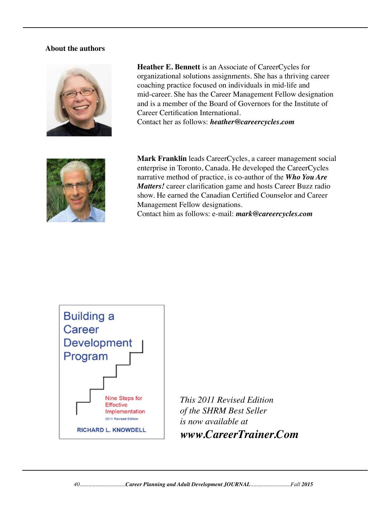#### **About the authors**



 **Heather E. Bennett** is an Associate of CareerCycles for organizational solutions assignments. She has a thriving career coaching practice focused on individuals in mid-life and mid-career. She has the Career Management Fellow designation and is a member of the Board of Governors for the Institute of Career Certification International. Contact her as follows: *heather@careercycles.com* 



 **Mark Franklin** leads CareerCycles, a career management social enterprise in Toronto, Canada. He developed the CareerCycles narrative method of practice, is co-author of the *Who You Are Matters!* career clarification game and hosts Career Buzz radio show. He earned the Canadian Certified Counselor and Career Management Fellow designations.

Contact him as follows: e-mail: *mark@careercycles.com*



*This 2011 Revised Edition of the SHRM Best Seller is now available at www.CareerTrainer.Com*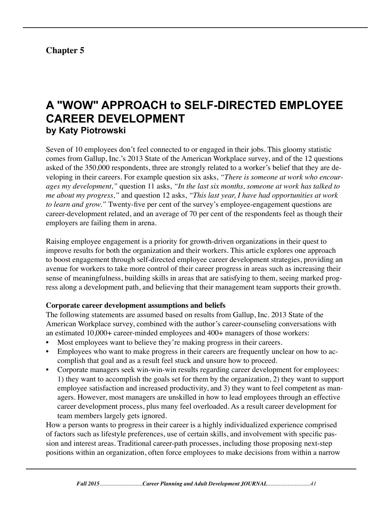# **Chapter 5**

# **A "WOW" APPROACH to SELF-DIRECTED EMPLOYEE CAREER DEVELOPMENT by Katy Piotrowski**

Seven of 10 employees don't feel connected to or engaged in their jobs. This gloomy statistic comes from Gallup, Inc.'s 2013 State of the American Workplace survey, and of the 12 questions asked of the 350,000 respondents, three are strongly related to a worker's belief that they are developing in their careers. For example question six asks, *"There is someone at work who encourages my development,"* question 11 asks, *"In the last six months, someone at work has talked to me about my progress,"* and question 12 asks, *"This last year, I have had opportunities at work to learn and grow."* Twenty-five per cent of the survey's employee-engagement questions are career-development related, and an average of 70 per cent of the respondents feel as though their employers are failing them in arena.

Raising employee engagement is a priority for growth-driven organizations in their quest to improve results for both the organization and their workers. This article explores one approach to boost engagement through self-directed employee career development strategies, providing an avenue for workers to take more control of their career progress in areas such as increasing their sense of meaningfulness, building skills in areas that are satisfying to them, seeing marked progress along a development path, and believing that their management team supports their growth.

#### **Corporate career development assumptions and beliefs**

The following statements are assumed based on results from Gallup, Inc. 2013 State of the American Workplace survey, combined with the author's career-counseling conversations with an estimated 10,000+ career-minded employees and 400+ managers of those workers:

- Most employees want to believe they're making progress in their careers.
- Employees who want to make progress in their careers are frequently unclear on how to accomplish that goal and as a result feel stuck and unsure how to proceed.
- Corporate managers seek win-win-win results regarding career development for employees: 1) they want to accomplish the goals set for them by the organization, 2) they want to support employee satisfaction and increased productivity, and 3) they want to feel competent as managers. However, most managers are unskilled in how to lead employees through an effective career development process, plus many feel overloaded. As a result career development for team members largely gets ignored.

How a person wants to progress in their career is a highly individualized experience comprised of factors such as lifestyle preferences, use of certain skills, and involvement with specific passion and interest areas. Traditional career-path processes, including those proposing next-step positions within an organization, often force employees to make decisions from within a narrow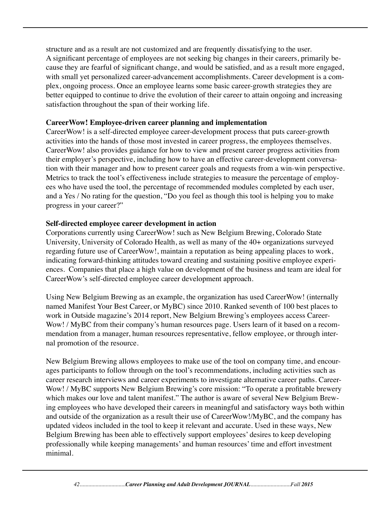structure and as a result are not customized and are frequently dissatisfying to the user. A significant percentage of employees are not seeking big changes in their careers, primarily because they are fearful of significant change, and would be satisfied, and as a result more engaged, with small yet personalized career-advancement accomplishments. Career development is a complex, ongoing process. Once an employee learns some basic career-growth strategies they are better equipped to continue to drive the evolution of their career to attain ongoing and increasing satisfaction throughout the span of their working life.

#### **CareerWow! Employee-driven career planning and implementation**

CareerWow! is a self-directed employee career-development process that puts career-growth activities into the hands of those most invested in career progress, the employees themselves. CareerWow! also provides guidance for how to view and present career progress activities from their employer's perspective, including how to have an effective career-development conversation with their manager and how to present career goals and requests from a win-win perspective. Metrics to track the tool's effectiveness include strategies to measure the percentage of employees who have used the tool, the percentage of recommended modules completed by each user, and a Yes / No rating for the question, "Do you feel as though this tool is helping you to make progress in your career?"

#### **Self-directed employee career development in action**

Corporations currently using CareerWow! such as New Belgium Brewing, Colorado State University, University of Colorado Health, as well as many of the 40+ organizations surveyed regarding future use of CareerWow!, maintain a reputation as being appealing places to work, indicating forward-thinking attitudes toward creating and sustaining positive employee experiences. Companies that place a high value on development of the business and team are ideal for CareerWow's self-directed employee career development approach.

Using New Belgium Brewing as an example, the organization has used CareerWow! (internally named Manifest Your Best Career, or MyBC) since 2010. Ranked seventh of 100 best places to work in Outside magazine's 2014 report, New Belgium Brewing's employees access Career-Wow! / MyBC from their company's human resources page. Users learn of it based on a recommendation from a manager, human resources representative, fellow employee, or through internal promotion of the resource.

New Belgium Brewing allows employees to make use of the tool on company time, and encourages participants to follow through on the tool's recommendations, including activities such as career research interviews and career experiments to investigate alternative career paths. Career-Wow! / MyBC supports New Belgium Brewing's core mission: "To operate a profitable brewery which makes our love and talent manifest." The author is aware of several New Belgium Brewing employees who have developed their careers in meaningful and satisfactory ways both within and outside of the organization as a result their use of CareerWow!/MyBC, and the company has updated videos included in the tool to keep it relevant and accurate. Used in these ways, New Belgium Brewing has been able to effectively support employees' desires to keep developing professionally while keeping managements' and human resources' time and effort investment minimal.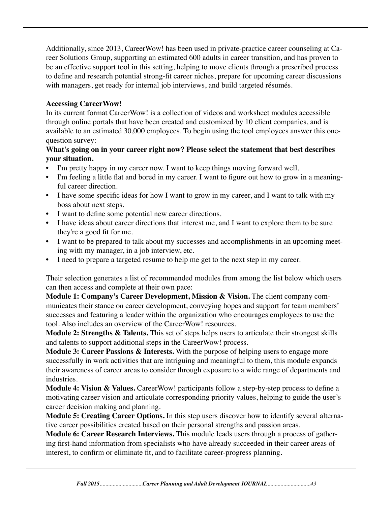Additionally, since 2013, CareerWow! has been used in private-practice career counseling at Career Solutions Group, supporting an estimated 600 adults in career transition, and has proven to be an effective support tool in this setting, helping to move clients through a prescribed process to define and research potential strong-fit career niches, prepare for upcoming career discussions with managers, get ready for internal job interviews, and build targeted résumés.

#### **Accessing CareerWow!**

In its current format CareerWow! is a collection of videos and worksheet modules accessible through online portals that have been created and customized by 10 client companies, and is available to an estimated 30,000 employees. To begin using the tool employees answer this onequestion survey:

# **What's going on in your career right now? Please select the statement that best describes your situation.**

- I'm pretty happy in my career now. I want to keep things moving forward well.
- I'm feeling a little flat and bored in my career. I want to figure out how to grow in a meaningful career direction.
- I have some specific ideas for how I want to grow in my career, and I want to talk with my boss about next steps.
- I want to define some potential new career directions.
- I have ideas about career directions that interest me, and I want to explore them to be sure they're a good fit for me.
- I want to be prepared to talk about my successes and accomplishments in an upcoming meeting with my manager, in a job interview, etc.
- I need to prepare a targeted resume to help me get to the next step in my career.

Their selection generates a list of recommended modules from among the list below which users can then access and complete at their own pace:

**Module 1: Company's Career Development, Mission & Vision.** The client company communicates their stance on career development, conveying hopes and support for team members' successes and featuring a leader within the organization who encourages employees to use the tool. Also includes an overview of the CareerWow! resources.

**Module 2: Strengths & Talents.** This set of steps helps users to articulate their strongest skills and talents to support additional steps in the CareerWow! process.

**Module 3: Career Passions & Interests.** With the purpose of helping users to engage more successfully in work activities that are intriguing and meaningful to them, this module expands their awareness of career areas to consider through exposure to a wide range of departments and industries.

**Module 4: Vision & Values.** CareerWow! participants follow a step-by-step process to define a motivating career vision and articulate corresponding priority values, helping to guide the user's career decision making and planning.

**Module 5: Creating Career Options.** In this step users discover how to identify several alternative career possibilities created based on their personal strengths and passion areas.

**Module 6: Career Research Interviews.** This module leads users through a process of gathering first-hand information from specialists who have already succeeded in their career areas of interest, to confirm or eliminate fit, and to facilitate career-progress planning.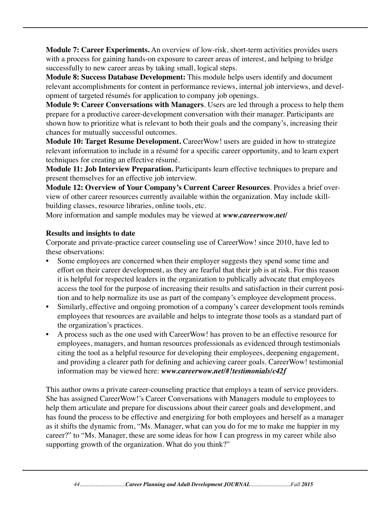**Module 7: Career Experiments.** An overview of low-risk, short-term activities provides users with a process for gaining hands-on exposure to career areas of interest, and helping to bridge successfully to new career areas by taking small, logical steps.

**Module 8: Success Database Development:** This module helps users identify and document relevant accomplishments for content in performance reviews, internal job interviews, and development of targeted résumés for application to company job openings.

**Module 9: Career Conversations with Managers**. Users are led through a process to help them prepare for a productive career-development conversation with their manager. Participants are shown how to prioritize what is relevant to both their goals and the company's, increasing their chances for mutually successful outcomes.

**Module 10: Target Resume Development.** CareerWow! users are guided in how to strategize relevant information to include in a résumé for a specific career opportunity, and to learn expert techniques for creating an effective résumé.

**Module 11: Job Interview Preparation.** Participants learn effective techniques to prepare and present themselves for an effective job interview.

**Module 12: Overview of Your Company's Current Career Resources**. Provides a brief overview of other career resources currently available within the organization. May include skillbuilding classes, resource libraries, online tools, etc.

More information and sample modules may be viewed at *www.careerwow.net/* 

#### **Results and insights to date**

Corporate and private-practice career counseling use of CareerWow! since 2010, have led to these observations:

- Some employees are concerned when their employer suggests they spend some time and effort on their career development, as they are fearful that their job is at risk. For this reason it is helpful for respected leaders in the organization to publically advocate that employees access the tool for the purpose of increasing their results and satisfaction in their current position and to help normalize its use as part of the company's employee development process.
- Similarly, effective and ongoing promotion of a company's career development tools reminds employees that resources are available and helps to integrate those tools as a standard part of the organization's practices.
- A process such as the one used with CareerWow! has proven to be an effective resource for employees, managers, and human resources professionals as evidenced through testimonials citing the tool as a helpful resource for developing their employees, deepening engagement, and providing a clearer path for defining and achieving career goals. CareerWow! testimonial information may be viewed here: *www.careerwow.net/#!testimonials/c42f*

This author owns a private career-counseling practice that employs a team of service providers. She has assigned CareerWow!'s Career Conversations with Managers module to employees to help them articulate and prepare for discussions about their career goals and development, and has found the process to be effective and energizing for both employees and herself as a manager as it shifts the dynamic from, "Ms. Manager, what can you do for me to make me happier in my career?" to "Ms. Manager, these are some ideas for how I can progress in my career while also supporting growth of the organization. What do you think?"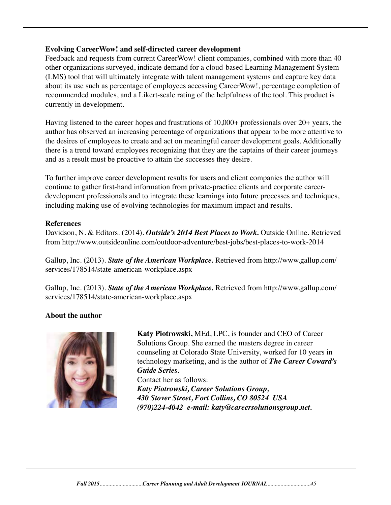#### **Evolving CareerWow! and self-directed career development**

Feedback and requests from current CareerWow! client companies, combined with more than 40 other organizations surveyed, indicate demand for a cloud-based Learning Management System (LMS) tool that will ultimately integrate with talent management systems and capture key data about its use such as percentage of employees accessing CareerWow!, percentage completion of recommended modules, and a Likert-scale rating of the helpfulness of the tool. This product is currently in development.

Having listened to the career hopes and frustrations of 10,000+ professionals over 20+ years, the author has observed an increasing percentage of organizations that appear to be more attentive to the desires of employees to create and act on meaningful career development goals. Additionally there is a trend toward employees recognizing that they are the captains of their career journeys and as a result must be proactive to attain the successes they desire.

To further improve career development results for users and client companies the author will continue to gather first-hand information from private-practice clients and corporate careerdevelopment professionals and to integrate these learnings into future processes and techniques, including making use of evolving technologies for maximum impact and results.

#### **References**

Davidson, N. & Editors. (2014). *Outside's 2014 Best Places to Work.* Outside Online. Retrieved from http://www.outsideonline.com/outdoor-adventure/best-jobs/best-places-to-work-2014

Gallup, Inc. (2013). *State of the American Workplace.* Retrieved from http://www.gallup.com/ services/178514/state-american-workplace.aspx

Gallup, Inc. (2013). *State of the American Workplace.* Retrieved from http://www.gallup.com/ services/178514/state-american-workplace.aspx

# **About the author**



 **Katy Piotrowski,** MEd, LPC, is founder and CEO of Career Solutions Group. She earned the masters degree in career counseling at Colorado State University, worked for 10 years in technology marketing, and is the author of *The Career Coward's Guide Series.* 

Contact her as follows:  *Katy Piotrowski, Career Solutions Group, 430 Stover Street, Fort Collins, CO 80524 USA (970)224-4042 e-mail: katy@careersolutionsgroup.net.*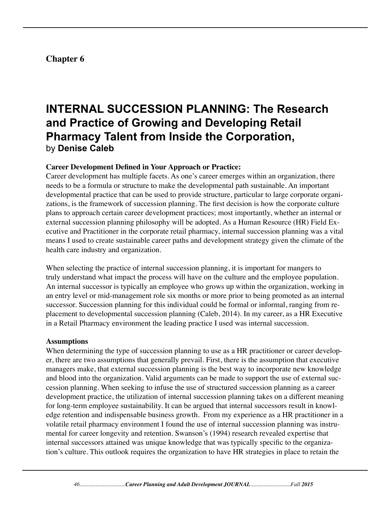# **Chapter 6**

# **INTERNAL SUCCESSION PLANNING: The Research and Practice of Growing and Developing Retail Pharmacy Talent from Inside the Corporation,**  by **Denise Caleb**

#### **Career Development Defined in Your Approach or Practice:**

Career development has multiple facets. As one's career emerges within an organization, there needs to be a formula or structure to make the developmental path sustainable. An important developmental practice that can be used to provide structure, particular to large corporate organizations, is the framework of succession planning. The first decision is how the corporate culture plans to approach certain career development practices; most importantly, whether an internal or external succession planning philosophy will be adopted. As a Human Resource (HR) Field Executive and Practitioner in the corporate retail pharmacy, internal succession planning was a vital means I used to create sustainable career paths and development strategy given the climate of the health care industry and organization.

When selecting the practice of internal succession planning, it is important for mangers to truly understand what impact the process will have on the culture and the employee population. An internal successor is typically an employee who grows up within the organization, working in an entry level or mid-management role six months or more prior to being promoted as an internal successor. Succession planning for this individual could be formal or informal, ranging from replacement to developmental succession planning (Caleb, 2014). In my career, as a HR Executive in a Retail Pharmacy environment the leading practice I used was internal succession.

#### **Assumptions**

When determining the type of succession planning to use as a HR practitioner or career developer, there are two assumptions that generally prevail. First, there is the assumption that executive managers make, that external succession planning is the best way to incorporate new knowledge and blood into the organization. Valid arguments can be made to support the use of external succession planning. When seeking to infuse the use of structured succession planning as a career development practice, the utilization of internal succession planning takes on a different meaning for long-term employee sustainability. It can be argued that internal successors result in knowledge retention and indispensable business growth. From my experience as a HR practitioner in a volatile retail pharmacy environment I found the use of internal succession planning was instrumental for career longevity and retention. Swanson's (1994) research revealed expertise that internal successors attained was unique knowledge that was typically specific to the organization's culture. This outlook requires the organization to have HR strategies in place to retain the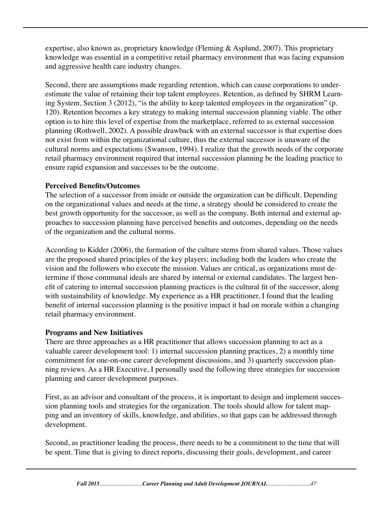expertise, also known as, proprietary knowledge (Fleming & Asplund, 2007). This proprietary knowledge was essential in a competitive retail pharmacy environment that was facing expansion and aggressive health care industry changes.

Second, there are assumptions made regarding retention, which can cause corporations to underestimate the value of retaining their top talent employees. Retention, as defined by SHRM Learning System, Section 3 (2012), "is the ability to keep talented employees in the organization" (p. 120). Retention becomes a key strategy to making internal succession planning viable. The other option is to hire this level of expertise from the marketplace, referred to as external succession planning (Rothwell, 2002). A possible drawback with an external successor is that expertise does not exist from within the organizational culture, thus the external successor is unaware of the cultural norms and expectations (Swanson, 1994). I realize that the growth needs of the corporate retail pharmacy environment required that internal succession planning be the leading practice to ensure rapid expansion and successes to be the outcome.

### **Perceived Benefits/Outcomes**

The selection of a successor from inside or outside the organization can be difficult. Depending on the organizational values and needs at the time, a strategy should be considered to create the best growth opportunity for the successor, as well as the company. Both internal and external approaches to succession planning have perceived benefits and outcomes, depending on the needs of the organization and the cultural norms.

According to Kidder (2006), the formation of the culture stems from shared values. Those values are the proposed shared principles of the key players; including both the leaders who create the vision and the followers who execute the mission. Values are critical, as organizations must determine if those communal ideals are shared by internal or external candidates. The largest benefit of catering to internal succession planning practices is the cultural fit of the successor, along with sustainability of knowledge. My experience as a HR practitioner, I found that the leading benefit of internal succession planning is the positive impact it had on morale within a changing retail pharmacy environment.

#### **Programs and New Initiatives**

There are three approaches as a HR practitioner that allows succession planning to act as a valuable career development tool: 1) internal succession planning practices, 2) a monthly time commitment for one-on-one career development discussions, and 3) quarterly succession planning reviews. As a HR Executive, I personally used the following three strategies for succession planning and career development purposes.

First, as an advisor and consultant of the process, it is important to design and implement succession planning tools and strategies for the organization. The tools should allow for talent mapping and an inventory of skills, knowledge, and abilities, so that gaps can be addressed through development.

Second, as practitioner leading the process, there needs to be a commitment to the time that will be spent. Time that is giving to direct reports, discussing their goals, development, and career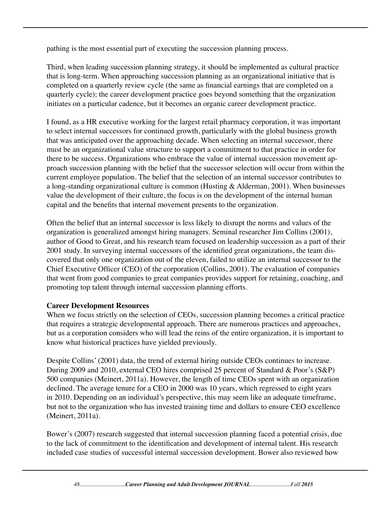pathing is the most essential part of executing the succession planning process.

Third, when leading succession planning strategy, it should be implemented as cultural practice that is long-term. When approaching succession planning as an organizational initiative that is completed on a quarterly review cycle (the same as financial earnings that are completed on a quarterly cycle); the career development practice goes beyond something that the organization initiates on a particular cadence, but it becomes an organic career development practice.

I found, as a HR executive working for the largest retail pharmacy corporation, it was important to select internal successors for continued growth, particularly with the global business growth that was anticipated over the approaching decade. When selecting an internal successor, there must be an organizational value structure to support a commitment to that practice in order for there to be success. Organizations who embrace the value of internal succession movement approach succession planning with the belief that the successor selection will occur from within the current employee population. The belief that the selection of an internal successor contributes to a long-standing organizational culture is common (Husting & Alderman, 2001). When businesses value the development of their culture, the focus is on the development of the internal human capital and the benefits that internal movement presents to the organization.

Often the belief that an internal successor is less likely to disrupt the norms and values of the organization is generalized amongst hiring managers. Seminal researcher Jim Collins (2001), author of Good to Great, and his research team focused on leadership succession as a part of their 2001 study. In surveying internal successors of the identified great organizations, the team discovered that only one organization out of the eleven, failed to utilize an internal successor to the Chief Executive Officer (CEO) of the corporation (Collins, 2001). The evaluation of companies that went from good companies to great companies provides support for retaining, coaching, and promoting top talent through internal succession planning efforts.

#### **Career Development Resources**

When we focus strictly on the selection of CEOs, succession planning becomes a critical practice that requires a strategic developmental approach. There are numerous practices and approaches, but as a corporation considers who will lead the reins of the entire organization, it is important to know what historical practices have yielded previously.

Despite Collins' (2001) data, the trend of external hiring outside CEOs continues to increase. During 2009 and 2010, external CEO hires comprised 25 percent of Standard & Poor's (S&P) 500 companies (Meinert, 2011a). However, the length of time CEOs spent with an organization declined. The average tenure for a CEO in 2000 was 10 years, which regressed to eight years in 2010. Depending on an individual's perspective, this may seem like an adequate timeframe, but not to the organization who has invested training time and dollars to ensure CEO excellence (Meinert, 2011a).

Bower's (2007) research suggested that internal succession planning faced a potential crisis, due to the lack of commitment to the identification and development of internal talent. His research included case studies of successful internal succession development. Bower also reviewed how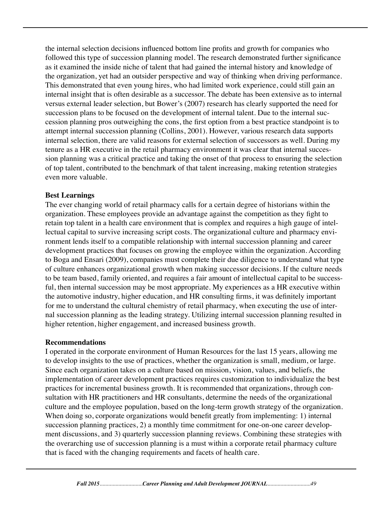the internal selection decisions influenced bottom line profits and growth for companies who followed this type of succession planning model. The research demonstrated further significance as it examined the inside niche of talent that had gained the internal history and knowledge of the organization, yet had an outsider perspective and way of thinking when driving performance. This demonstrated that even young hires, who had limited work experience, could still gain an internal insight that is often desirable as a successor. The debate has been extensive as to internal versus external leader selection, but Bower's (2007) research has clearly supported the need for succession plans to be focused on the development of internal talent. Due to the internal succession planning pros outweighing the cons, the first option from a best practice standpoint is to attempt internal succession planning (Collins, 2001). However, various research data supports internal selection, there are valid reasons for external selection of successors as well. During my tenure as a HR executive in the retail pharmacy environment it was clear that internal succession planning was a critical practice and taking the onset of that process to ensuring the selection of top talent, contributed to the benchmark of that talent increasing, making retention strategies even more valuable.

#### **Best Learnings**

The ever changing world of retail pharmacy calls for a certain degree of historians within the organization. These employees provide an advantage against the competition as they fight to retain top talent in a health care environment that is complex and requires a high gauge of intellectual capital to survive increasing script costs. The organizational culture and pharmacy environment lends itself to a compatible relationship with internal succession planning and career development practices that focuses on growing the employee within the organization. According to Boga and Ensari (2009), companies must complete their due diligence to understand what type of culture enhances organizational growth when making successor decisions. If the culture needs to be team based, family oriented, and requires a fair amount of intellectual capital to be successful, then internal succession may be most appropriate. My experiences as a HR executive within the automotive industry, higher education, and HR consulting firms, it was definitely important for me to understand the cultural chemistry of retail pharmacy, when executing the use of internal succession planning as the leading strategy. Utilizing internal succession planning resulted in higher retention, higher engagement, and increased business growth.

#### **Recommendations**

I operated in the corporate environment of Human Resources for the last 15 years, allowing me to develop insights to the use of practices, whether the organization is small, medium, or large. Since each organization takes on a culture based on mission, vision, values, and beliefs, the implementation of career development practices requires customization to individualize the best practices for incremental business growth. It is recommended that organizations, through consultation with HR practitioners and HR consultants, determine the needs of the organizational culture and the employee population, based on the long-term growth strategy of the organization. When doing so, corporate organizations would benefit greatly from implementing: 1) internal succession planning practices, 2) a monthly time commitment for one-on-one career development discussions, and 3) quarterly succession planning reviews. Combining these strategies with the overarching use of succession planning is a must within a corporate retail pharmacy culture that is faced with the changing requirements and facets of health care.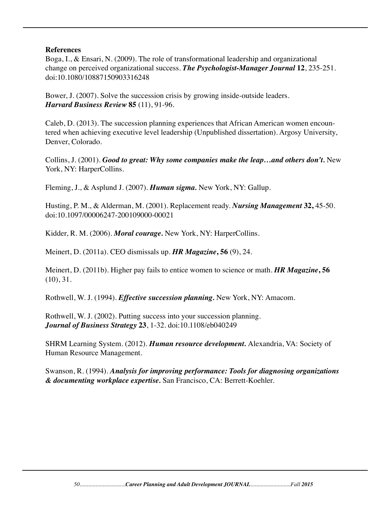#### **References**

Boga, I., & Ensari, N. (2009). The role of transformational leadership and organizational change on perceived organizational success. *The Psychologist-Manager Journal* **12**, 235-251. doi:10.1080/10887150903316248

Bower, J. (2007). Solve the succession crisis by growing inside-outside leaders. *Harvard Business Review* **85** (11), 91-96.

Caleb, D. (2013). The succession planning experiences that African American women encountered when achieving executive level leadership (Unpublished dissertation). Argosy University, Denver, Colorado.

Collins, J. (2001). *Good to great: Why some companies make the leap…and others don't.* New York, NY: HarperCollins.

Fleming, J., & Asplund J. (2007). *Human sigma.* New York, NY: Gallup.

Husting, P. M., & Alderman, M. (2001). Replacement ready. *Nursing Management* **32,** 45-50. doi:10.1097/00006247-200109000-00021

Kidder, R. M. (2006). *Moral courage.* New York, NY: HarperCollins.

Meinert, D. (2011a). CEO dismissals up. *HR Magazine***, 56** (9), 24.

Meinert, D. (2011b). Higher pay fails to entice women to science or math. *HR Magazine***, 56** (10), 31.

Rothwell, W. J. (1994). *Effective succession planning.* New York, NY: Amacom.

Rothwell, W. J. (2002). Putting success into your succession planning. *Journal of Business Strategy* **23**, 1-32. doi:10.1108/eb040249

SHRM Learning System. (2012). *Human resource development.* Alexandria, VA: Society of Human Resource Management.

Swanson, R. (1994). *Analysis for improving performance: Tools for diagnosing organizations & documenting workplace expertise.* San Francisco, CA: Berrett-Koehler.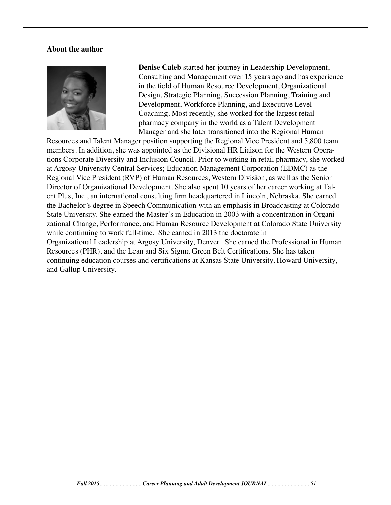#### **About the author**



 **Denise Caleb** started her journey in Leadership Development, Consulting and Management over 15 years ago and has experience in the field of Human Resource Development, Organizational Design, Strategic Planning, Succession Planning, Training and Development, Workforce Planning, and Executive Level Coaching. Most recently, she worked for the largest retail pharmacy company in the world as a Talent Development Manager and she later transitioned into the Regional Human

Resources and Talent Manager position supporting the Regional Vice President and 5,800 team members. In addition, she was appointed as the Divisional HR Liaison for the Western Operations Corporate Diversity and Inclusion Council. Prior to working in retail pharmacy, she worked at Argosy University Central Services; Education Management Corporation (EDMC) as the Regional Vice President (RVP) of Human Resources, Western Division, as well as the Senior Director of Organizational Development. She also spent 10 years of her career working at Talent Plus, Inc., an international consulting firm headquartered in Lincoln, Nebraska. She earned the Bachelor's degree in Speech Communication with an emphasis in Broadcasting at Colorado State University. She earned the Master's in Education in 2003 with a concentration in Organizational Change, Performance, and Human Resource Development at Colorado State University while continuing to work full-time. She earned in 2013 the doctorate in Organizational Leadership at Argosy University, Denver. She earned the Professional in Human Resources (PHR), and the Lean and Six Sigma Green Belt Certifications. She has taken continuing education courses and certifications at Kansas State University, Howard University, and Gallup University.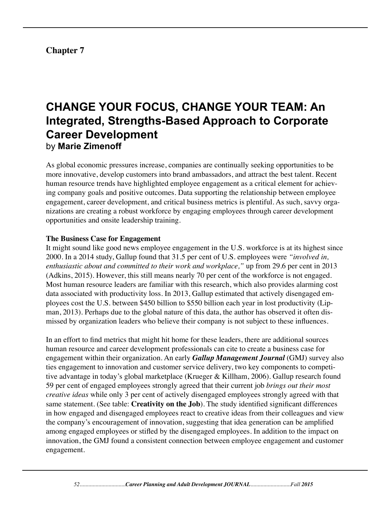# **Chapter 7**

# **CHANGE YOUR FOCUS, CHANGE YOUR TEAM: An Integrated, Strengths-Based Approach to Corporate Career Development** by **Marie Zimenoff**

As global economic pressures increase, companies are continually seeking opportunities to be more innovative, develop customers into brand ambassadors, and attract the best talent. Recent human resource trends have highlighted employee engagement as a critical element for achieving company goals and positive outcomes. Data supporting the relationship between employee engagement, career development, and critical business metrics is plentiful. As such, savvy organizations are creating a robust workforce by engaging employees through career development opportunities and onsite leadership training.

#### **The Business Case for Engagement**

It might sound like good news employee engagement in the U.S. workforce is at its highest since 2000. In a 2014 study, Gallup found that 31.5 per cent of U.S. employees were *"involved in, enthusiastic about and committed to their work and workplace,"* up from 29.6 per cent in 2013 (Adkins, 2015). However, this still means nearly 70 per cent of the workforce is not engaged. Most human resource leaders are familiar with this research, which also provides alarming cost data associated with productivity loss. In 2013, Gallup estimated that actively disengaged employees cost the U.S. between \$450 billion to \$550 billion each year in lost productivity (Lipman, 2013). Perhaps due to the global nature of this data, the author has observed it often dismissed by organization leaders who believe their company is not subject to these influences.

In an effort to find metrics that might hit home for these leaders, there are additional sources human resource and career development professionals can cite to create a business case for engagement within their organization. An early *Gallup Management Journal* (GMJ) survey also ties engagement to innovation and customer service delivery, two key components to competitive advantage in today's global marketplace (Krueger & Killham, 2006). Gallup research found 59 per cent of engaged employees strongly agreed that their current job *brings out their most creative ideas* while only 3 per cent of actively disengaged employees strongly agreed with that same statement. (See table: **Creativity on the Job**). The study identified significant differences in how engaged and disengaged employees react to creative ideas from their colleagues and view the company's encouragement of innovation, suggesting that idea generation can be amplified among engaged employees or stifled by the disengaged employees. In addition to the impact on innovation, the GMJ found a consistent connection between employee engagement and customer engagement.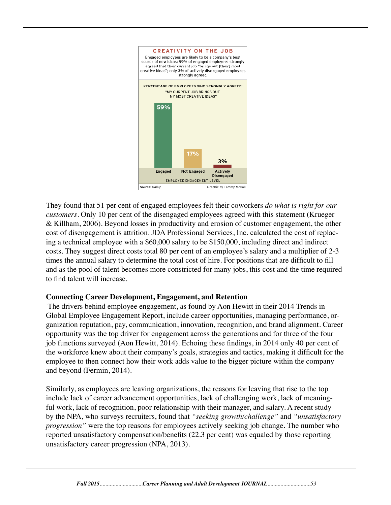

They found that 51 per cent of engaged employees felt their coworkers *do what is right for our customers.* Only 10 per cent of the disengaged employees agreed with this statement (Krueger & Killham, 2006). Beyond losses in productivity and erosion of customer engagement, the other cost of disengagement is attrition. JDA Professional Services, Inc. calculated the cost of replacing a technical employee with a \$60,000 salary to be \$150,000, including direct and indirect costs. They suggest direct costs total 80 per cent of an employee's salary and a multiplier of 2-3 times the annual salary to determine the total cost of hire. For positions that are difficult to fill and as the pool of talent becomes more constricted for many jobs, this cost and the time required to find talent will increase.

#### **Connecting Career Development, Engagement, and Retention**

 The drivers behind employee engagement, as found by Aon Hewitt in their 2014 Trends in Global Employee Engagement Report, include career opportunities, managing performance, organization reputation, pay, communication, innovation, recognition, and brand alignment. Career opportunity was the top driver for engagement across the generations and for three of the four job functions surveyed (Aon Hewitt, 2014). Echoing these findings, in 2014 only 40 per cent of the workforce knew about their company's goals, strategies and tactics, making it difficult for the employee to then connect how their work adds value to the bigger picture within the company and beyond (Fermin, 2014).

Similarly, as employees are leaving organizations, the reasons for leaving that rise to the top include lack of career advancement opportunities, lack of challenging work, lack of meaningful work, lack of recognition, poor relationship with their manager, and salary. A recent study by the NPA, who surveys recruiters, found that *"seeking growth/challenge"* and *"unsatisfactory progression"* were the top reasons for employees actively seeking job change. The number who reported unsatisfactory compensation/benefits (22.3 per cent) was equaled by those reporting unsatisfactory career progression (NPA, 2013).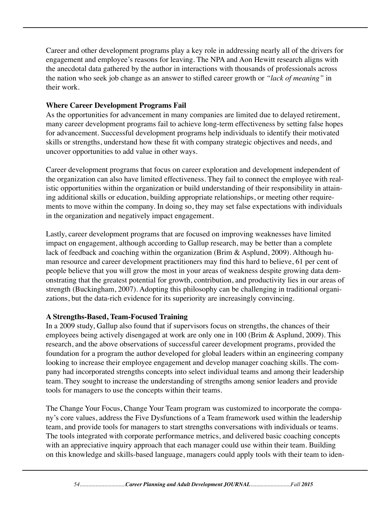Career and other development programs play a key role in addressing nearly all of the drivers for engagement and employee's reasons for leaving. The NPA and Aon Hewitt research aligns with the anecdotal data gathered by the author in interactions with thousands of professionals across the nation who seek job change as an answer to stifled career growth or *"lack of meaning"* in their work.

### **Where Career Development Programs Fail**

As the opportunities for advancement in many companies are limited due to delayed retirement, many career development programs fail to achieve long-term effectiveness by setting false hopes for advancement. Successful development programs help individuals to identify their motivated skills or strengths, understand how these fit with company strategic objectives and needs, and uncover opportunities to add value in other ways.

Career development programs that focus on career exploration and development independent of the organization can also have limited effectiveness. They fail to connect the employee with realistic opportunities within the organization or build understanding of their responsibility in attaining additional skills or education, building appropriate relationships, or meeting other requirements to move within the company. In doing so, they may set false expectations with individuals in the organization and negatively impact engagement.

Lastly, career development programs that are focused on improving weaknesses have limited impact on engagement, although according to Gallup research, may be better than a complete lack of feedback and coaching within the organization (Brim & Asplund, 2009). Although human resource and career development practitioners may find this hard to believe, 61 per cent of people believe that you will grow the most in your areas of weakness despite growing data demonstrating that the greatest potential for growth, contribution, and productivity lies in our areas of strength (Buckingham, 2007). Adopting this philosophy can be challenging in traditional organizations, but the data-rich evidence for its superiority are increasingly convincing.

# **A Strengths-Based, Team-Focused Training**

In a 2009 study, Gallup also found that if supervisors focus on strengths, the chances of their employees being actively disengaged at work are only one in 100 (Brim & Asplund, 2009). This research, and the above observations of successful career development programs, provided the foundation for a program the author developed for global leaders within an engineering company looking to increase their employee engagement and develop manager coaching skills. The company had incorporated strengths concepts into select individual teams and among their leadership team. They sought to increase the understanding of strengths among senior leaders and provide tools for managers to use the concepts within their teams.

The Change Your Focus, Change Your Team program was customized to incorporate the company's core values, address the Five Dysfunctions of a Team framework used within the leadership team, and provide tools for managers to start strengths conversations with individuals or teams. The tools integrated with corporate performance metrics, and delivered basic coaching concepts with an appreciative inquiry approach that each manager could use within their team. Building on this knowledge and skills-based language, managers could apply tools with their team to iden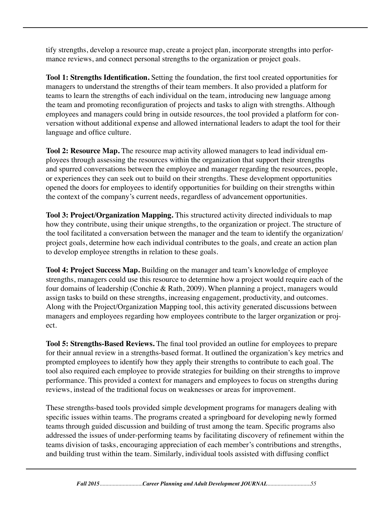tify strengths, develop a resource map, create a project plan, incorporate strengths into performance reviews, and connect personal strengths to the organization or project goals.

**Tool 1: Strengths Identification.** Setting the foundation, the first tool created opportunities for managers to understand the strengths of their team members. It also provided a platform for teams to learn the strengths of each individual on the team, introducing new language among the team and promoting reconfiguration of projects and tasks to align with strengths. Although employees and managers could bring in outside resources, the tool provided a platform for conversation without additional expense and allowed international leaders to adapt the tool for their language and office culture.

**Tool 2: Resource Map.** The resource map activity allowed managers to lead individual employees through assessing the resources within the organization that support their strengths and spurred conversations between the employee and manager regarding the resources, people, or experiences they can seek out to build on their strengths. These development opportunities opened the doors for employees to identify opportunities for building on their strengths within the context of the company's current needs, regardless of advancement opportunities.

**Tool 3: Project/Organization Mapping.** This structured activity directed individuals to map how they contribute, using their unique strengths, to the organization or project. The structure of the tool facilitated a conversation between the manager and the team to identify the organization/ project goals, determine how each individual contributes to the goals, and create an action plan to develop employee strengths in relation to these goals.

**Tool 4: Project Success Map.** Building on the manager and team's knowledge of employee strengths, managers could use this resource to determine how a project would require each of the four domains of leadership (Conchie & Rath, 2009). When planning a project, managers would assign tasks to build on these strengths, increasing engagement, productivity, and outcomes. Along with the Project/Organization Mapping tool, this activity generated discussions between managers and employees regarding how employees contribute to the larger organization or project.

**Tool 5: Strengths-Based Reviews.** The final tool provided an outline for employees to prepare for their annual review in a strengths-based format. It outlined the organization's key metrics and prompted employees to identify how they apply their strengths to contribute to each goal. The tool also required each employee to provide strategies for building on their strengths to improve performance. This provided a context for managers and employees to focus on strengths during reviews, instead of the traditional focus on weaknesses or areas for improvement.

These strengths-based tools provided simple development programs for managers dealing with specific issues within teams. The programs created a springboard for developing newly formed teams through guided discussion and building of trust among the team. Specific programs also addressed the issues of under-performing teams by facilitating discovery of refinement within the teams division of tasks, encouraging appreciation of each member's contributions and strengths, and building trust within the team. Similarly, individual tools assisted with diffusing conflict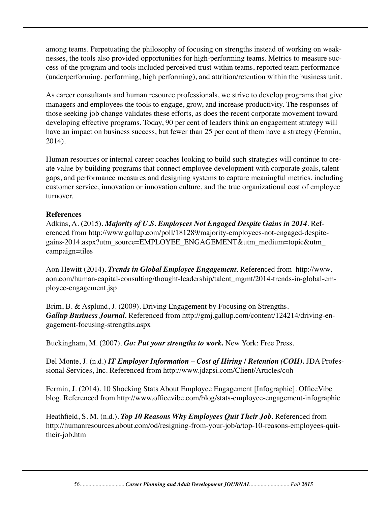among teams. Perpetuating the philosophy of focusing on strengths instead of working on weaknesses, the tools also provided opportunities for high-performing teams. Metrics to measure success of the program and tools included perceived trust within teams, reported team performance (underperforming, performing, high performing), and attrition/retention within the business unit.

As career consultants and human resource professionals, we strive to develop programs that give managers and employees the tools to engage, grow, and increase productivity. The responses of those seeking job change validates these efforts, as does the recent corporate movement toward developing effective programs. Today, 90 per cent of leaders think an engagement strategy will have an impact on business success, but fewer than 25 per cent of them have a strategy (Fermin, 2014).

Human resources or internal career coaches looking to build such strategies will continue to create value by building programs that connect employee development with corporate goals, talent gaps, and performance measures and designing systems to capture meaningful metrics, including customer service, innovation or innovation culture, and the true organizational cost of employee turnover.

### **References**

Adkins, A. (2015). *Majority of U.S. Employees Not Engaged Despite Gains in 2014*. Referenced from http://www.gallup.com/poll/181289/majority-employees-not-engaged-despitegains-2014.aspx?utm\_source=EMPLOYEE\_ENGAGEMENT&utm\_medium=topic&utm\_ campaign=tiles

Aon Hewitt (2014). *Trends in Global Employee Engagement.* Referenced from http://www. aon.com/human-capital-consulting/thought-leadership/talent\_mgmt/2014-trends-in-global-employee-engagement.jsp

Brim, B. & Asplund, J. (2009). Driving Engagement by Focusing on Strengths. *Gallup Business Journal.* Referenced from http://gmj.gallup.com/content/124214/driving-engagement-focusing-strengths.aspx

Buckingham, M. (2007). *Go: Put your strengths to work.* New York: Free Press.

Del Monte, J. (n.d.) *IT Employer Information – Cost of Hiring / Retention (COH).* JDA Professional Services, Inc. Referenced from http://www.jdapsi.com/Client/Articles/coh

Fermin, J. (2014). 10 Shocking Stats About Employee Engagement [Infographic]. OfficeVibe blog. Referenced from http://www.officevibe.com/blog/stats-employee-engagement-infographic

Heathfield, S. M. (n.d.). *Top 10 Reasons Why Employees Quit Their Job.* Referenced from http://humanresources.about.com/od/resigning-from-your-job/a/top-10-reasons-employees-quittheir-job.htm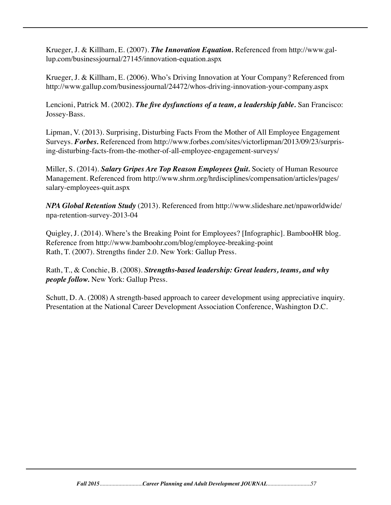Krueger, J. & Killham, E. (2007). *The Innovation Equation.* Referenced from http://www.gallup.com/businessjournal/27145/innovation-equation.aspx

Krueger, J. & Killham, E. (2006). Who's Driving Innovation at Your Company? Referenced from http://www.gallup.com/businessjournal/24472/whos-driving-innovation-your-company.aspx

Lencioni, Patrick M. (2002). *The five dysfunctions of a team, a leadership fable.* San Francisco: Jossey-Bass.

Lipman, V. (2013). Surprising, Disturbing Facts From the Mother of All Employee Engagement Surveys. *Forbes.* Referenced from http://www.forbes.com/sites/victorlipman/2013/09/23/surprising-disturbing-facts-from-the-mother-of-all-employee-engagement-surveys/

Miller, S. (2014). *Salary Gripes Are Top Reason Employees Quit.* Society of Human Resource Management. Referenced from http://www.shrm.org/hrdisciplines/compensation/articles/pages/ salary-employees-quit.aspx

*NPA Global Retention Study* (2013). Referenced from http://www.slideshare.net/npaworldwide/ npa-retention-survey-2013-04

Quigley, J. (2014). Where's the Breaking Point for Employees? [Infographic]. BambooHR blog. Reference from http://www.bamboohr.com/blog/employee-breaking-point Rath, T. (2007). Strengths finder 2.0. New York: Gallup Press.

Rath, T., & Conchie, B. (2008). *Strengths-based leadership: Great leaders, teams, and why people follow.* New York: Gallup Press.

Schutt, D. A. (2008) A strength-based approach to career development using appreciative inquiry. Presentation at the National Career Development Association Conference, Washington D.C.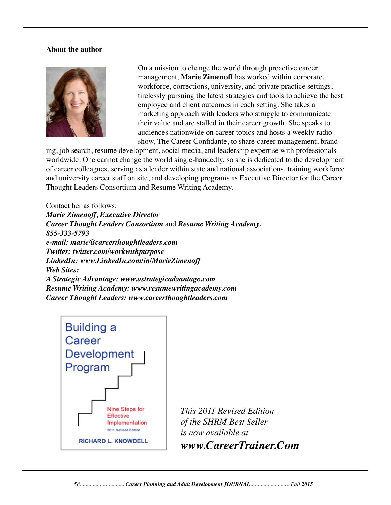#### **About the author**



On a mission to change the world through proactive career management, **Marie Zimenoff** has worked within corporate, workforce, corrections, university, and private practice settings, tirelessly pursuing the latest strategies and tools to achieve the best employee and client outcomes in each setting. She takes a marketing approach with leaders who struggle to communicate their value and are stalled in their career growth. She speaks to audiences nationwide on career topics and hosts a weekly radio show, The Career Confidante, to share career management, brand-

ing, job search, resume development, social media, and leadership expertise with professionals worldwide. One cannot change the world single-handedly, so she is dedicated to the development of career colleagues, serving as a leader within state and national associations, training workforce and university career staff on site, and developing programs as Executive Director for the Career Thought Leaders Consortium and Resume Writing Academy.

Contact her as follows: *Marie Zimenoff, Executive Director Career Thought Leaders Consortium* and *Resume Writing Academy. 855-333-5793 e-mail: marie@careerthoughtleaders.com Twitter: twitter.com/workwithpurpose LinkedIn: www.LinkedIn.com/in/MarieZimenoff Web Sites: A Strategic Advantage: www.astrategicadvantage.com Resume Writing Academy: www.resumewritingacademy.com Career Thought Leaders: www.careerthoughtleaders.com* 

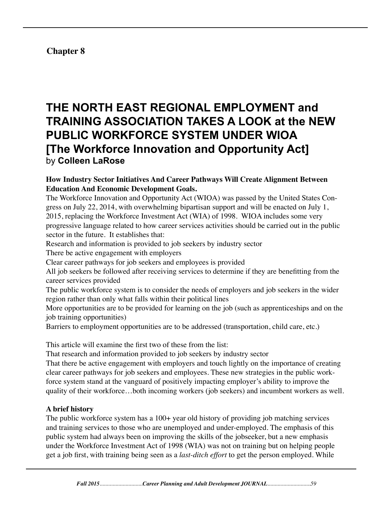# **Chapter 8**

# **THE NORTH EAST REGIONAL EMPLOYMENT and TRAINING ASSOCIATION TAKES A LOOK at the NEW PUBLIC WORKFORCE SYSTEM UNDER WIOA [The Workforce Innovation and Opportunity Act]** by **Colleen LaRose**

#### **How Industry Sector Initiatives And Career Pathways Will Create Alignment Between Education And Economic Development Goals.**

The Workforce Innovation and Opportunity Act (WIOA) was passed by the United States Congress on July 22, 2014, with overwhelming bipartisan support and will be enacted on July 1, 2015, replacing the Workforce Investment Act (WIA) of 1998. WIOA includes some very progressive language related to how career services activities should be carried out in the public sector in the future. It establishes that:

Research and information is provided to job seekers by industry sector

There be active engagement with employers

Clear career pathways for job seekers and employees is provided

All job seekers be followed after receiving services to determine if they are benefitting from the career services provided

The public workforce system is to consider the needs of employers and job seekers in the wider region rather than only what falls within their political lines

More opportunities are to be provided for learning on the job (such as apprenticeships and on the job training opportunities)

Barriers to employment opportunities are to be addressed (transportation, child care, etc.)

This article will examine the first two of these from the list:

That research and information provided to job seekers by industry sector

That there be active engagement with employers and touch lightly on the importance of creating clear career pathways for job seekers and employees. These new strategies in the public workforce system stand at the vanguard of positively impacting employer's ability to improve the quality of their workforce…both incoming workers (job seekers) and incumbent workers as well.

#### **A brief history**

The public workforce system has a 100+ year old history of providing job matching services and training services to those who are unemployed and under-employed. The emphasis of this public system had always been on improving the skills of the jobseeker, but a new emphasis under the Workforce Investment Act of 1998 (WIA) was not on training but on helping people get a job first, with training being seen as a *last-ditch effort* to get the person employed. While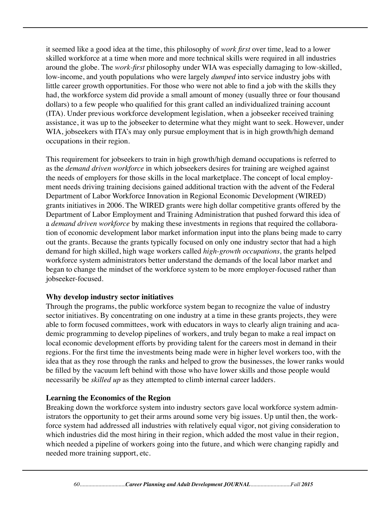it seemed like a good idea at the time, this philosophy of *work first* over time, lead to a lower skilled workforce at a time when more and more technical skills were required in all industries around the globe. The *work-first* philosophy under WIA was especially damaging to low-skilled, low-income, and youth populations who were largely *dumped* into service industry jobs with little career growth opportunities. For those who were not able to find a job with the skills they had, the workforce system did provide a small amount of money (usually three or four thousand dollars) to a few people who qualified for this grant called an individualized training account (ITA). Under previous workforce development legislation, when a jobseeker received training assistance, it was up to the jobseeker to determine what they might want to seek. However, under WIA, jobseekers with ITA's may only pursue employment that is in high growth/high demand occupations in their region.

This requirement for jobseekers to train in high growth/high demand occupations is referred to as the *demand driven workforce* in which jobseekers desires for training are weighed against the needs of employers for those skills in the local marketplace. The concept of local employment needs driving training decisions gained additional traction with the advent of the Federal Department of Labor Workforce Innovation in Regional Economic Development (WIRED) grants initiatives in 2006. The WIRED grants were high dollar competitive grants offered by the Department of Labor Employment and Training Administration that pushed forward this idea of a *demand driven workforce* by making these investments in regions that required the collaboration of economic development labor market information input into the plans being made to carry out the grants. Because the grants typically focused on only one industry sector that had a high demand for high skilled, high wage workers called *high-growth occupations,* the grants helped workforce system administrators better understand the demands of the local labor market and began to change the mindset of the workforce system to be more employer-focused rather than jobseeker-focused.

#### **Why develop industry sector initiatives**

Through the programs, the public workforce system began to recognize the value of industry sector initiatives. By concentrating on one industry at a time in these grants projects, they were able to form focused committees, work with educators in ways to clearly align training and academic programming to develop pipelines of workers, and truly began to make a real impact on local economic development efforts by providing talent for the careers most in demand in their regions. For the first time the investments being made were in higher level workers too, with the idea that as they rose through the ranks and helped to grow the businesses, the lower ranks would be filled by the vacuum left behind with those who have lower skills and those people would necessarily be *skilled up* as they attempted to climb internal career ladders.

#### **Learning the Economics of the Region**

Breaking down the workforce system into industry sectors gave local workforce system administrators the opportunity to get their arms around some very big issues. Up until then, the workforce system had addressed all industries with relatively equal vigor, not giving consideration to which industries did the most hiring in their region, which added the most value in their region, which needed a pipeline of workers going into the future, and which were changing rapidly and needed more training support, etc.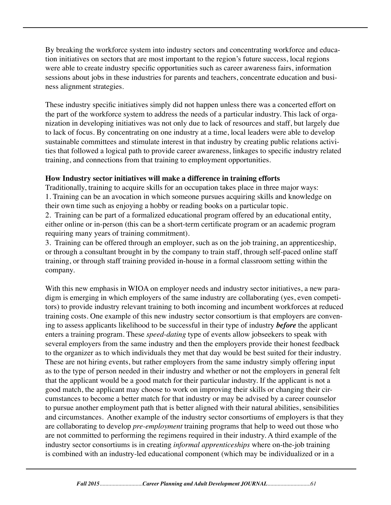By breaking the workforce system into industry sectors and concentrating workforce and education initiatives on sectors that are most important to the region's future success, local regions were able to create industry specific opportunities such as career awareness fairs, information sessions about jobs in these industries for parents and teachers, concentrate education and business alignment strategies.

These industry specific initiatives simply did not happen unless there was a concerted effort on the part of the workforce system to address the needs of a particular industry. This lack of organization in developing initiatives was not only due to lack of resources and staff, but largely due to lack of focus. By concentrating on one industry at a time, local leaders were able to develop sustainable committees and stimulate interest in that industry by creating public relations activities that followed a logical path to provide career awareness, linkages to specific industry related training, and connections from that training to employment opportunities.

### **How Industry sector initiatives will make a difference in training efforts**

Traditionally, training to acquire skills for an occupation takes place in three major ways: 1. Training can be an avocation in which someone pursues acquiring skills and knowledge on their own time such as enjoying a hobby or reading books on a particular topic.

2. Training can be part of a formalized educational program offered by an educational entity, either online or in-person (this can be a short-term certificate program or an academic program requiring many years of training commitment).

3. Training can be offered through an employer, such as on the job training, an apprenticeship, or through a consultant brought in by the company to train staff, through self-paced online staff training, or through staff training provided in-house in a formal classroom setting within the company.

With this new emphasis in WIOA on employer needs and industry sector initiatives, a new paradigm is emerging in which employers of the same industry are collaborating (yes, even competitors) to provide industry relevant training to both incoming and incumbent workforces at reduced training costs. One example of this new industry sector consortium is that employers are convening to assess applicants likelihood to be successful in their type of industry *before* the applicant enters a training program. These *speed-dating* type of events allow jobseekers to speak with several employers from the same industry and then the employers provide their honest feedback to the organizer as to which individuals they met that day would be best suited for their industry. These are not hiring events, but rather employers from the same industry simply offering input as to the type of person needed in their industry and whether or not the employers in general felt that the applicant would be a good match for their particular industry. If the applicant is not a good match, the applicant may choose to work on improving their skills or changing their circumstances to become a better match for that industry or may be advised by a career counselor to pursue another employment path that is better aligned with their natural abilities, sensibilities and circumstances. Another example of the industry sector consortiums of employers is that they are collaborating to develop *pre-employment* training programs that help to weed out those who are not committed to performing the regimens required in their industry. A third example of the industry sector consortiums is in creating *informal apprenticeships* where on-the-job training is combined with an industry-led educational component (which may be individualized or in a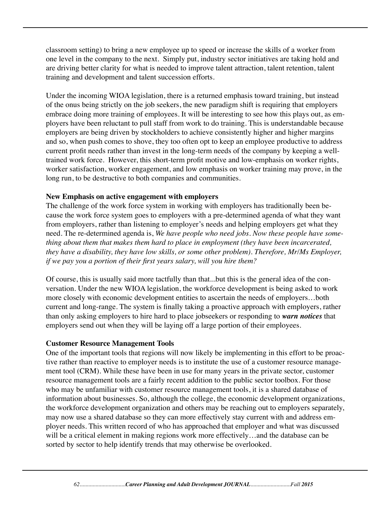classroom setting) to bring a new employee up to speed or increase the skills of a worker from one level in the company to the next. Simply put, industry sector initiatives are taking hold and are driving better clarity for what is needed to improve talent attraction, talent retention, talent training and development and talent succession efforts.

Under the incoming WIOA legislation, there is a returned emphasis toward training, but instead of the onus being strictly on the job seekers, the new paradigm shift is requiring that employers embrace doing more training of employees. It will be interesting to see how this plays out, as employers have been reluctant to pull staff from work to do training. This is understandable because employers are being driven by stockholders to achieve consistently higher and higher margins and so, when push comes to shove, they too often opt to keep an employee productive to address current profit needs rather than invest in the long-term needs of the company by keeping a welltrained work force. However, this short-term profit motive and low-emphasis on worker rights, worker satisfaction, worker engagement, and low emphasis on worker training may prove, in the long run, to be destructive to both companies and communities.

### **New Emphasis on active engagement with employers**

The challenge of the work force system in working with employers has traditionally been because the work force system goes to employers with a pre-determined agenda of what they want from employers, rather than listening to employer's needs and helping employers get what they need. The re-determined agenda is, *We have people who need jobs. Now these people have something about them that makes them hard to place in employment (they have been incarcerated, they have a disability, they have low skills, or some other problem). Therefore, Mr/Ms Employer, if we pay you a portion of their first years salary, will you hire them?*

Of course, this is usually said more tactfully than that...but this is the general idea of the conversation. Under the new WIOA legislation, the workforce development is being asked to work more closely with economic development entities to ascertain the needs of employers…both current and long-range. The system is finally taking a proactive approach with employers, rather than only asking employers to hire hard to place jobseekers or responding to *warn notices* that employers send out when they will be laying off a large portion of their employees.

#### **Customer Resource Management Tools**

One of the important tools that regions will now likely be implementing in this effort to be proactive rather than reactive to employer needs is to institute the use of a customer resource management tool (CRM). While these have been in use for many years in the private sector, customer resource management tools are a fairly recent addition to the public sector toolbox. For those who may be unfamiliar with customer resource management tools, it is a shared database of information about businesses. So, although the college, the economic development organizations, the workforce development organization and others may be reaching out to employers separately, may now use a shared database so they can more effectively stay current with and address employer needs. This written record of who has approached that employer and what was discussed will be a critical element in making regions work more effectively...and the database can be sorted by sector to help identify trends that may otherwise be overlooked.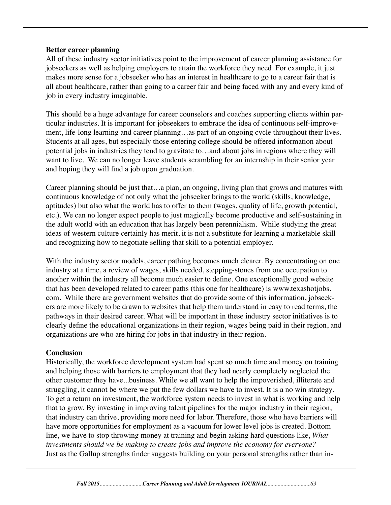#### **Better career planning**

All of these industry sector initiatives point to the improvement of career planning assistance for jobseekers as well as helping employers to attain the workforce they need. For example, it just makes more sense for a jobseeker who has an interest in healthcare to go to a career fair that is all about healthcare, rather than going to a career fair and being faced with any and every kind of job in every industry imaginable.

This should be a huge advantage for career counselors and coaches supporting clients within particular industries. It is important for jobseekers to embrace the idea of continuous self-improvement, life-long learning and career planning…as part of an ongoing cycle throughout their lives. Students at all ages, but especially those entering college should be offered information about potential jobs in industries they tend to gravitate to…and about jobs in regions where they will want to live. We can no longer leave students scrambling for an internship in their senior year and hoping they will find a job upon graduation.

Career planning should be just that…a plan, an ongoing, living plan that grows and matures with continuous knowledge of not only what the jobseeker brings to the world (skills, knowledge, aptitudes) but also what the world has to offer to them (wages, quality of life, growth potential, etc.). We can no longer expect people to just magically become productive and self-sustaining in the adult world with an education that has largely been perennialism. While studying the great ideas of western culture certainly has merit, it is not a substitute for learning a marketable skill and recognizing how to negotiate selling that skill to a potential employer.

With the industry sector models, career pathing becomes much clearer. By concentrating on one industry at a time, a review of wages, skills needed, stepping-stones from one occupation to another within the industry all become much easier to define. One exceptionally good website that has been developed related to career paths (this one for healthcare) is www.texashotjobs. com. While there are government websites that do provide some of this information, jobseekers are more likely to be drawn to websites that help them understand in easy to read terms, the pathways in their desired career. What will be important in these industry sector initiatives is to clearly define the educational organizations in their region, wages being paid in their region, and organizations are who are hiring for jobs in that industry in their region.

#### **Conclusion**

Historically, the workforce development system had spent so much time and money on training and helping those with barriers to employment that they had nearly completely neglected the other customer they have...business. While we all want to help the impoverished, illiterate and struggling, it cannot be where we put the few dollars we have to invest. It is a no win strategy. To get a return on investment, the workforce system needs to invest in what is working and help that to grow. By investing in improving talent pipelines for the major industry in their region, that industry can thrive, providing more need for labor. Therefore, those who have barriers will have more opportunities for employment as a vacuum for lower level jobs is created. Bottom line, we have to stop throwing money at training and begin asking hard questions like, *What investments should we be making to create jobs and improve the economy for everyone?* Just as the Gallup strengths finder suggests building on your personal strengths rather than in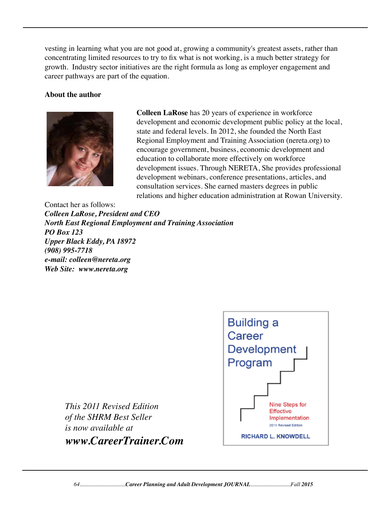vesting in learning what you are not good at, growing a community's greatest assets, rather than concentrating limited resources to try to fix what is not working, is a much better strategy for growth. Industry sector initiatives are the right formula as long as employer engagement and career pathways are part of the equation.

#### **About the author**



 **Colleen LaRose** has 20 years of experience in workforce development and economic development public policy at the local, state and federal levels. In 2012, she founded the North East Regional Employment and Training Association (nereta.org) to encourage government, business, economic development and education to collaborate more effectively on workforce development issues. Through NERETA, She provides professional development webinars, conference presentations, articles, and consultation services. She earned masters degrees in public relations and higher education administration at Rowan University.

Contact her as follows: *Colleen LaRose, President and CEO North East Regional Employment and Training Association PO Box 123 Upper Black Eddy, PA 18972 (908) 995-7718 e-mail: colleen@nereta.org Web Site: www.nereta.org*



*This 2011 Revised Edition of the SHRM Best Seller is now available at www.CareerTrainer.Com*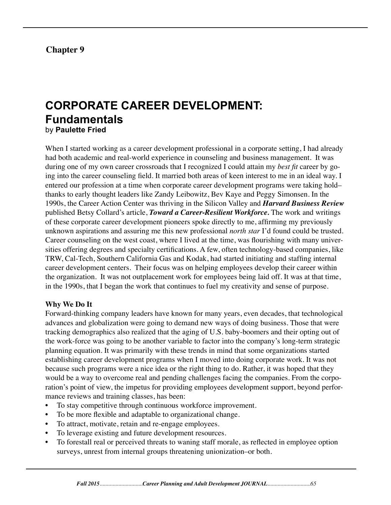# **Chapter 9**

# **CORPORATE CAREER DEVELOPMENT: Fundamentals** by **Paulette Fried**

When I started working as a career development professional in a corporate setting, I had already had both academic and real-world experience in counseling and business management. It was during one of my own career crossroads that I recognized I could attain my *best fit* career by going into the career counseling field. It married both areas of keen interest to me in an ideal way. I entered our profession at a time when corporate career development programs were taking hold– thanks to early thought leaders like Zandy Leibowitz, Bev Kaye and Peggy Simonsen. In the 1990s, the Career Action Center was thriving in the Silicon Valley and *Harvard Business Review* published Betsy Collard's article, *Toward a Career-Resilient Workforce.* The work and writings of these corporate career development pioneers spoke directly to me, affirming my previously unknown aspirations and assuring me this new professional *north star* I'd found could be trusted. Career counseling on the west coast, where I lived at the time, was flourishing with many universities offering degrees and specialty certifications. A few, often technology-based companies, like TRW, Cal-Tech, Southern California Gas and Kodak, had started initiating and staffing internal career development centers. Their focus was on helping employees develop their career within the organization. It was not outplacement work for employees being laid off. It was at that time, in the 1990s, that I began the work that continues to fuel my creativity and sense of purpose.

#### **Why We Do It**

Forward-thinking company leaders have known for many years, even decades, that technological advances and globalization were going to demand new ways of doing business. Those that were tracking demographics also realized that the aging of U.S. baby-boomers and their opting out of the work-force was going to be another variable to factor into the company's long-term strategic planning equation. It was primarily with these trends in mind that some organizations started establishing career development programs when I moved into doing corporate work. It was not because such programs were a nice idea or the right thing to do. Rather, it was hoped that they would be a way to overcome real and pending challenges facing the companies. From the corporation's point of view, the impetus for providing employees development support, beyond performance reviews and training classes, has been:

- To stay competitive through continuous workforce improvement.
- To be more flexible and adaptable to organizational change.
- To attract, motivate, retain and re-engage employees.
- To leverage existing and future development resources.
- To forestall real or perceived threats to waning staff morale, as reflected in employee option surveys, unrest from internal groups threatening unionization–or both.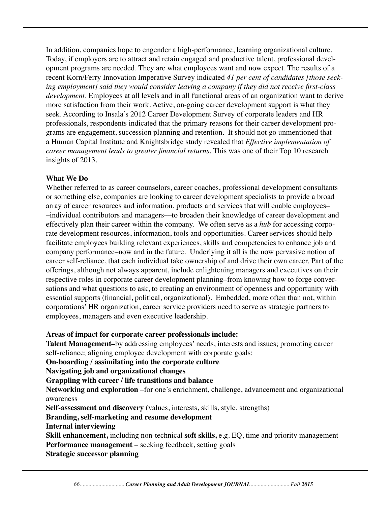In addition, companies hope to engender a high-performance, learning organizational culture. Today, if employers are to attract and retain engaged and productive talent, professional development programs are needed. They are what employees want and now expect. The results of a recent Korn/Ferry Innovation Imperative Survey indicated *41 per cent of candidates [those seeking employment] said they would consider leaving a company if they did not receive first-class development.* Employees at all levels and in all functional areas of an organization want to derive more satisfaction from their work. Active, on-going career development support is what they seek. According to Insala's 2012 Career Development Survey of corporate leaders and HR professionals, respondents indicated that the primary reasons for their career development programs are engagement, succession planning and retention. It should not go unmentioned that a Human Capital Institute and Knightsbridge study revealed that *Effective implementation of career management leads to greater financial returns.* This was one of their Top 10 research insights of 2013.

### **What We Do**

Whether referred to as career counselors, career coaches, professional development consultants or something else, companies are looking to career development specialists to provide a broad array of career resources and information, products and services that will enable employees– –individual contributors and managers––to broaden their knowledge of career development and effectively plan their career within the company. We often serve as a *hub* for accessing corporate development resources, information, tools and opportunities. Career services should help facilitate employees building relevant experiences, skills and competencies to enhance job and company performance–now and in the future. Underlying it all is the now pervasive notion of career self-reliance, that each individual take ownership of and drive their own career. Part of the offerings, although not always apparent, include enlightening managers and executives on their respective roles in corporate career development planning–from knowing how to forge conversations and what questions to ask, to creating an environment of openness and opportunity with essential supports (financial, political, organizational). Embedded, more often than not, within corporations' HR organization, career service providers need to serve as strategic partners to employees, managers and even executive leadership.

#### **Areas of impact for corporate career professionals include:**

**Talent Management–**by addressing employees' needs, interests and issues; promoting career self-reliance; aligning employee development with corporate goals:

**On-boarding / assimilating into the corporate culture**

**Navigating job and organizational changes**

**Grappling with career / life transitions and balance**

**Networking and exploration** –for one's enrichment, challenge, advancement and organizational awareness

**Self-assessment and discovery** (values, interests, skills, style, strengths)

# **Branding, self-marketing and resume development**

**Internal interviewing**

**Skill enhancement,** including non-technical **soft skills,** e.g. EQ, time and priority management **Performance management** – seeking feedback, setting goals

**Strategic successor planning**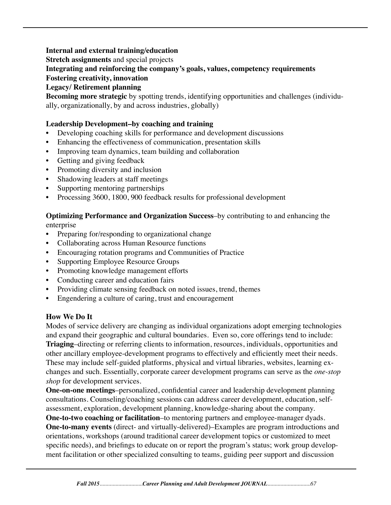### **Internal and external training/education**

**Stretch assignments** and special projects

### **Integrating and reinforcing the company's goals, values, competency requirements**

#### **Fostering creativity, innovation**

**Legacy/ Retirement planning**

**Becoming more strategic** by spotting trends, identifying opportunities and challenges (individually, organizationally, by and across industries, globally)

### **Leadership Development–by coaching and training**

- Developing coaching skills for performance and development discussions
- Enhancing the effectiveness of communication, presentation skills
- Improving team dynamics, team building and collaboration
- Getting and giving feedback
- Promoting diversity and inclusion
- Shadowing leaders at staff meetings
- Supporting mentoring partnerships
- Processing 3600, 1800, 900 feedback results for professional development

#### **Optimizing Performance and Organization Success**–by contributing to and enhancing the enterprise

- Preparing for/responding to organizational change
- Collaborating across Human Resource functions
- Encouraging rotation programs and Communities of Practice
- Supporting Employee Resource Groups
- Promoting knowledge management efforts
- Conducting career and education fairs
- Providing climate sensing feedback on noted issues, trend, themes
- Engendering a culture of caring, trust and encouragement

# **How We Do It**

Modes of service delivery are changing as individual organizations adopt emerging technologies and expand their geographic and cultural boundaries. Even so, core offerings tend to include: **Triaging**–directing or referring clients to information, resources, individuals, opportunities and other ancillary employee-development programs to effectively and efficiently meet their needs. These may include self-guided platforms, physical and virtual libraries, websites, learning exchanges and such. Essentially, corporate career development programs can serve as the *one-stop shop* for development services.

**One-on-one meetings**–personalized, confidential career and leadership development planning consultations. Counseling/coaching sessions can address career development, education, selfassessment, exploration, development planning, knowledge-sharing about the company.

**One-to-two coaching or facilitation**–to mentoring partners and employee-manager dyads. **One-to-many events** (direct- and virtually-delivered)–Examples are program introductions and orientations, workshops (around traditional career development topics or customized to meet specific needs), and briefings to educate on or report the program's status; work group development facilitation or other specialized consulting to teams, guiding peer support and discussion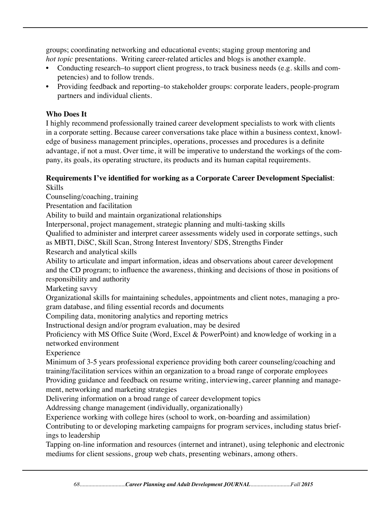groups; coordinating networking and educational events; staging group mentoring and *hot topic* presentations. Writing career-related articles and blogs is another example.

- Conducting research–to support client progress, to track business needs (e.g. skills and competencies) and to follow trends.
- Providing feedback and reporting–to stakeholder groups: corporate leaders, people-program partners and individual clients.

# **Who Does It**

I highly recommend professionally trained career development specialists to work with clients in a corporate setting. Because career conversations take place within a business context, knowledge of business management principles, operations, processes and procedures is a definite advantage, if not a must. Over time, it will be imperative to understand the workings of the company, its goals, its operating structure, its products and its human capital requirements.

#### **Requirements I've identified for working as a Corporate Career Development Specialist**: Skills

Counseling/coaching, training

Presentation and facilitation

Ability to build and maintain organizational relationships

Interpersonal, project management, strategic planning and multi-tasking skills

Qualified to administer and interpret career assessments widely used in corporate settings, such

as MBTI, DiSC, Skill Scan, Strong Interest Inventory/ SDS, Strengths Finder

Research and analytical skills

Ability to articulate and impart information, ideas and observations about career development and the CD program; to influence the awareness, thinking and decisions of those in positions of responsibility and authority

Marketing savvy

Organizational skills for maintaining schedules, appointments and client notes, managing a program database, and filing essential records and documents

Compiling data, monitoring analytics and reporting metrics

Instructional design and/or program evaluation, may be desired

Proficiency with MS Office Suite (Word, Excel & PowerPoint) and knowledge of working in a networked environment

Experience

Minimum of 3-5 years professional experience providing both career counseling/coaching and training/facilitation services within an organization to a broad range of corporate employees Providing guidance and feedback on resume writing, interviewing, career planning and management, networking and marketing strategies

Delivering information on a broad range of career development topics

Addressing change management (individually, organizationally)

Experience working with college hires (school to work, on-boarding and assimilation)

Contributing to or developing marketing campaigns for program services, including status briefings to leadership

Tapping on-line information and resources (internet and intranet), using telephonic and electronic mediums for client sessions, group web chats, presenting webinars, among others.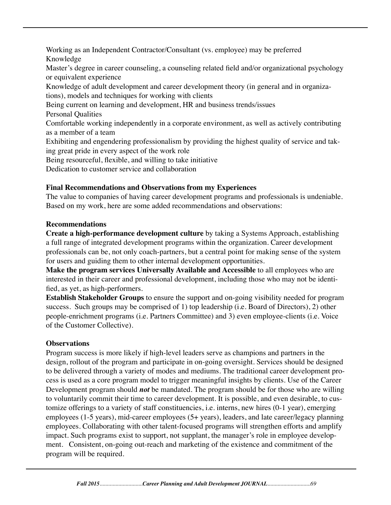Working as an Independent Contractor/Consultant (vs. employee) may be preferred Knowledge Master's degree in career counseling, a counseling related field and/or organizational psychology or equivalent experience Knowledge of adult development and career development theory (in general and in organizations), models and techniques for working with clients Being current on learning and development, HR and business trends/issues Personal Qualities Comfortable working independently in a corporate environment, as well as actively contributing as a member of a team Exhibiting and engendering professionalism by providing the highest quality of service and taking great pride in every aspect of the work role Being resourceful, flexible, and willing to take initiative Dedication to customer service and collaboration

# **Final Recommendations and Observations from my Experiences**

The value to companies of having career development programs and professionals is undeniable. Based on my work, here are some added recommendations and observations:

# **Recommendations**

**Create a high-performance development culture** by taking a Systems Approach, establishing a full range of integrated development programs within the organization. Career development professionals can be, not only coach-partners, but a central point for making sense of the system for users and guiding them to other internal development opportunities.

**Make the program services Universally Available and Accessible** to all employees who are interested in their career and professional development, including those who may not be identified, as yet, as high-performers.

**Establish Stakeholder Groups** to ensure the support and on-going visibility needed for program success. Such groups may be comprised of 1) top leadership (i.e. Board of Directors), 2) other people-enrichment programs (i.e. Partners Committee) and 3) even employee-clients (i.e. Voice of the Customer Collective).

# **Observations**

Program success is more likely if high-level leaders serve as champions and partners in the design, rollout of the program and participate in on-going oversight. Services should be designed to be delivered through a variety of modes and mediums. The traditional career development process is used as a core program model to trigger meaningful insights by clients. Use of the Career Development program should *not* be mandated. The program should be for those who are willing to voluntarily commit their time to career development. It is possible, and even desirable, to customize offerings to a variety of staff constituencies, i.e. interns, new hires (0-1 year), emerging employees (1-5 years), mid-career employees (5+ years), leaders, and late career/legacy planning employees. Collaborating with other talent-focused programs will strengthen efforts and amplify impact. Such programs exist to support, not supplant, the manager's role in employee development. Consistent, on-going out-reach and marketing of the existence and commitment of the program will be required.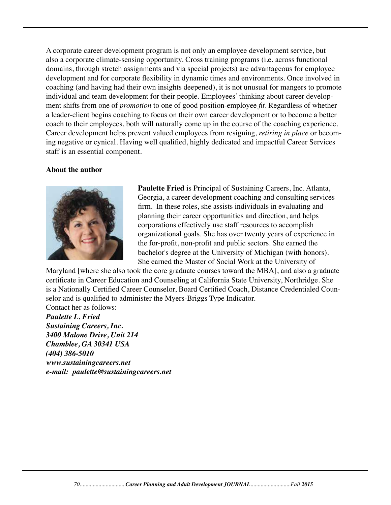A corporate career development program is not only an employee development service, but also a corporate climate-sensing opportunity. Cross training programs (i.e. across functional domains, through stretch assignments and via special projects) are advantageous for employee development and for corporate flexibility in dynamic times and environments. Once involved in coaching (and having had their own insights deepened), it is not unusual for mangers to promote individual and team development for their people. Employees' thinking about career development shifts from one of *promotion* to one of good position-employee *fit.* Regardless of whether a leader-client begins coaching to focus on their own career development or to become a better coach to their employees, both will naturally come up in the course of the coaching experience. Career development helps prevent valued employees from resigning, *retiring in place* or becoming negative or cynical. Having well qualified, highly dedicated and impactful Career Services staff is an essential component.

#### **About the author**



 **Paulette Fried** is Principal of Sustaining Careers, Inc. Atlanta, Georgia, a career development coaching and consulting services firm. In these roles, she assists individuals in evaluating and planning their career opportunities and direction, and helps corporations effectively use staff resources to accomplish organizational goals. She has over twenty years of experience in the for-profit, non-profit and public sectors. She earned the bachelor's degree at the University of Michigan (with honors). She earned the Master of Social Work at the University of

Maryland [where she also took the core graduate courses toward the MBA], and also a graduate certificate in Career Education and Counseling at California State University, Northridge. She is a Nationally Certified Career Counselor, Board Certified Coach, Distance Credentialed Counselor and is qualified to administer the Myers-Briggs Type Indicator. Contact her as follows:

*Paulette L. Fried Sustaining Careers, Inc. 3400 Malone Drive, Unit 214 Chamblee, GA 30341 USA (404) 386-5010 www.sustainingcareers.net e-mail: paulette@sustainingcareers.net*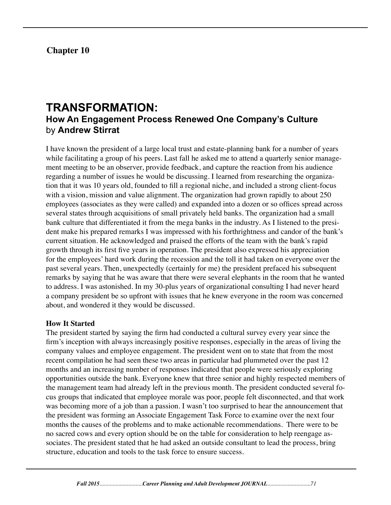**Chapter 10**

# **TRANSFORMATION: How An Engagement Process Renewed One Company's Culture**  by **Andrew Stirrat**

I have known the president of a large local trust and estate-planning bank for a number of years while facilitating a group of his peers. Last fall he asked me to attend a quarterly senior management meeting to be an observer, provide feedback, and capture the reaction from his audience regarding a number of issues he would be discussing. I learned from researching the organization that it was 10 years old, founded to fill a regional niche, and included a strong client-focus with a vision, mission and value alignment. The organization had grown rapidly to about 250 employees (associates as they were called) and expanded into a dozen or so offices spread across several states through acquisitions of small privately held banks. The organization had a small bank culture that differentiated it from the mega banks in the industry. As I listened to the president make his prepared remarks I was impressed with his forthrightness and candor of the bank's current situation. He acknowledged and praised the efforts of the team with the bank's rapid growth through its first five years in operation. The president also expressed his appreciation for the employees' hard work during the recession and the toll it had taken on everyone over the past several years. Then, unexpectedly (certainly for me) the president prefaced his subsequent remarks by saying that he was aware that there were several elephants in the room that he wanted to address. I was astonished. In my 30-plus years of organizational consulting I had never heard a company president be so upfront with issues that he knew everyone in the room was concerned about, and wondered it they would be discussed.

# **How It Started**

The president started by saying the firm had conducted a cultural survey every year since the firm's inception with always increasingly positive responses, especially in the areas of living the company values and employee engagement. The president went on to state that from the most recent compilation he had seen these two areas in particular had plummeted over the past 12 months and an increasing number of responses indicated that people were seriously exploring opportunities outside the bank. Everyone knew that three senior and highly respected members of the management team had already left in the previous month. The president conducted several focus groups that indicated that employee morale was poor, people felt disconnected, and that work was becoming more of a job than a passion. I wasn't too surprised to hear the announcement that the president was forming an Associate Engagement Task Force to examine over the next four months the causes of the problems and to make actionable recommendations. There were to be no sacred cows and every option should be on the table for consideration to help reengage associates. The president stated that he had asked an outside consultant to lead the process, bring structure, education and tools to the task force to ensure success.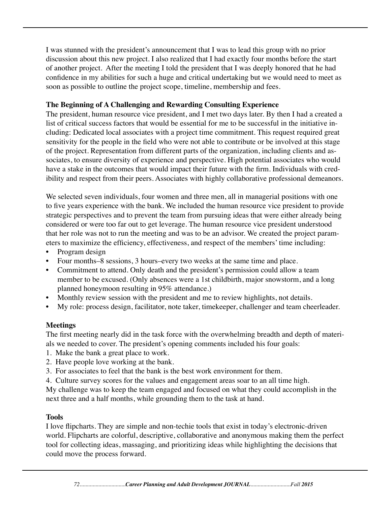I was stunned with the president's announcement that I was to lead this group with no prior discussion about this new project. I also realized that I had exactly four months before the start of another project. After the meeting I told the president that I was deeply honored that he had confidence in my abilities for such a huge and critical undertaking but we would need to meet as soon as possible to outline the project scope, timeline, membership and fees.

### **The Beginning of A Challenging and Rewarding Consulting Experience**

The president, human resource vice president, and I met two days later. By then I had a created a list of critical success factors that would be essential for me to be successful in the initiative including: Dedicated local associates with a project time commitment. This request required great sensitivity for the people in the field who were not able to contribute or be involved at this stage of the project. Representation from different parts of the organization, including clients and associates, to ensure diversity of experience and perspective. High potential associates who would have a stake in the outcomes that would impact their future with the firm. Individuals with credibility and respect from their peers. Associates with highly collaborative professional demeanors.

We selected seven individuals, four women and three men, all in managerial positions with one to five years experience with the bank. We included the human resource vice president to provide strategic perspectives and to prevent the team from pursuing ideas that were either already being considered or were too far out to get leverage. The human resource vice president understood that her role was not to run the meeting and was to be an advisor. We created the project parameters to maximize the efficiency, effectiveness, and respect of the members' time including:

- Program design
- Four months–8 sessions, 3 hours–every two weeks at the same time and place.
- Commitment to attend. Only death and the president's permission could allow a team member to be excused. (Only absences were a 1st childbirth, major snowstorm, and a long planned honeymoon resulting in 95% attendance.)
- Monthly review session with the president and me to review highlights, not details.
- My role: process design, facilitator, note taker, timekeeper, challenger and team cheerleader.

# **Meetings**

The first meeting nearly did in the task force with the overwhelming breadth and depth of materials we needed to cover. The president's opening comments included his four goals:

- 1. Make the bank a great place to work.
- 2. Have people love working at the bank.
- 3. For associates to feel that the bank is the best work environment for them.
- 4. Culture survey scores for the values and engagement areas soar to an all time high.

My challenge was to keep the team engaged and focused on what they could accomplish in the next three and a half months, while grounding them to the task at hand.

#### **Tools**

I love flipcharts. They are simple and non-techie tools that exist in today's electronic-driven world. Flipcharts are colorful, descriptive, collaborative and anonymous making them the perfect tool for collecting ideas, massaging, and prioritizing ideas while highlighting the decisions that could move the process forward.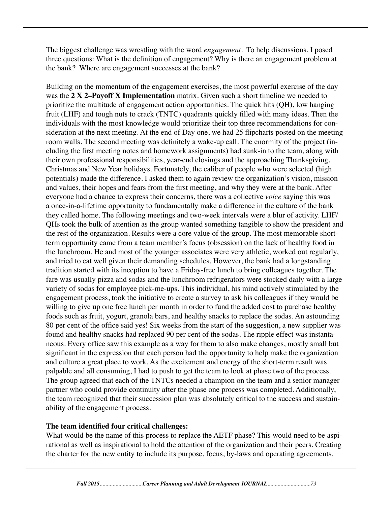The biggest challenge was wrestling with the word *engagement.* To help discussions, I posed three questions: What is the definition of engagement? Why is there an engagement problem at the bank? Where are engagement successes at the bank?

Building on the momentum of the engagement exercises, the most powerful exercise of the day was the **2 X 2–Payoff X Implementation** matrix. Given such a short timeline we needed to prioritize the multitude of engagement action opportunities. The quick hits (QH), low hanging fruit (LHF) and tough nuts to crack (TNTC) quadrants quickly filled with many ideas. Then the individuals with the most knowledge would prioritize their top three recommendations for consideration at the next meeting. At the end of Day one, we had 25 flipcharts posted on the meeting room walls. The second meeting was definitely a wake-up call. The enormity of the project (including the first meeting notes and homework assignments) had sunk-in to the team, along with their own professional responsibilities, year-end closings and the approaching Thanksgiving, Christmas and New Year holidays. Fortunately, the caliber of people who were selected (high potentials) made the difference. I asked them to again review the organization's vision, mission and values, their hopes and fears from the first meeting, and why they were at the bank. After everyone had a chance to express their concerns, there was a collective *voice* saying this was a once-in-a-lifetime opportunity to fundamentally make a difference in the culture of the bank they called home. The following meetings and two-week intervals were a blur of activity. LHF/ QHs took the bulk of attention as the group wanted something tangible to show the president and the rest of the organization. Results were a core value of the group. The most memorable shortterm opportunity came from a team member's focus (obsession) on the lack of healthy food in the lunchroom. He and most of the younger associates were very athletic, worked out regularly, and tried to eat well given their demanding schedules. However, the bank had a longstanding tradition started with its inception to have a Friday-free lunch to bring colleagues together. The fare was usually pizza and sodas and the lunchroom refrigerators were stocked daily with a large variety of sodas for employee pick-me-ups. This individual, his mind actively stimulated by the engagement process, took the initiative to create a survey to ask his colleagues if they would be willing to give up one free lunch per month in order to fund the added cost to purchase healthy foods such as fruit, yogurt, granola bars, and healthy snacks to replace the sodas. An astounding 80 per cent of the office said yes! Six weeks from the start of the suggestion, a new supplier was found and healthy snacks had replaced 90 per cent of the sodas. The ripple effect was instantaneous. Every office saw this example as a way for them to also make changes, mostly small but significant in the expression that each person had the opportunity to help make the organization and culture a great place to work. As the excitement and energy of the short-term result was palpable and all consuming, I had to push to get the team to look at phase two of the process. The group agreed that each of the TNTCs needed a champion on the team and a senior manager partner who could provide continuity after the phase one process was completed. Additionally, the team recognized that their succession plan was absolutely critical to the success and sustainability of the engagement process.

### **The team identified four critical challenges:**

What would be the name of this process to replace the AETF phase? This would need to be aspirational as well as inspirational to hold the attention of the organization and their peers. Creating the charter for the new entity to include its purpose, focus, by-laws and operating agreements.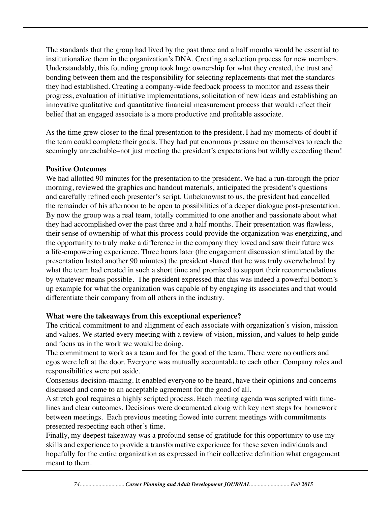The standards that the group had lived by the past three and a half months would be essential to institutionalize them in the organization's DNA. Creating a selection process for new members. Understandably, this founding group took huge ownership for what they created, the trust and bonding between them and the responsibility for selecting replacements that met the standards they had established. Creating a company-wide feedback process to monitor and assess their progress, evaluation of initiative implementations, solicitation of new ideas and establishing an innovative qualitative and quantitative financial measurement process that would reflect their belief that an engaged associate is a more productive and profitable associate.

As the time grew closer to the final presentation to the president, I had my moments of doubt if the team could complete their goals. They had put enormous pressure on themselves to reach the seemingly unreachable–not just meeting the president's expectations but wildly exceeding them!

#### **Positive Outcomes**

We had allotted 90 minutes for the presentation to the president. We had a run-through the prior morning, reviewed the graphics and handout materials, anticipated the president's questions and carefully refined each presenter's script. Unbeknownst to us, the president had cancelled the remainder of his afternoon to be open to possibilities of a deeper dialogue post-presentation. By now the group was a real team, totally committed to one another and passionate about what they had accomplished over the past three and a half months. Their presentation was flawless, their sense of ownership of what this process could provide the organization was energizing, and the opportunity to truly make a difference in the company they loved and saw their future was a life-empowering experience. Three hours later (the engagement discussion stimulated by the presentation lasted another 90 minutes) the president shared that he was truly overwhelmed by what the team had created in such a short time and promised to support their recommendations by whatever means possible. The president expressed that this was indeed a powerful bottom's up example for what the organization was capable of by engaging its associates and that would differentiate their company from all others in the industry.

### **What were the takeaways from this exceptional experience?**

The critical commitment to and alignment of each associate with organization's vision, mission and values. We started every meeting with a review of vision, mission, and values to help guide and focus us in the work we would be doing.

The commitment to work as a team and for the good of the team. There were no outliers and egos were left at the door. Everyone was mutually accountable to each other. Company roles and responsibilities were put aside.

Consensus decision-making. It enabled everyone to be heard, have their opinions and concerns discussed and come to an acceptable agreement for the good of all.

A stretch goal requires a highly scripted process. Each meeting agenda was scripted with timelines and clear outcomes. Decisions were documented along with key next steps for homework between meetings. Each previous meeting flowed into current meetings with commitments presented respecting each other's time.

Finally, my deepest takeaway was a profound sense of gratitude for this opportunity to use my skills and experience to provide a transformative experience for these seven individuals and hopefully for the entire organization as expressed in their collective definition what engagement meant to them.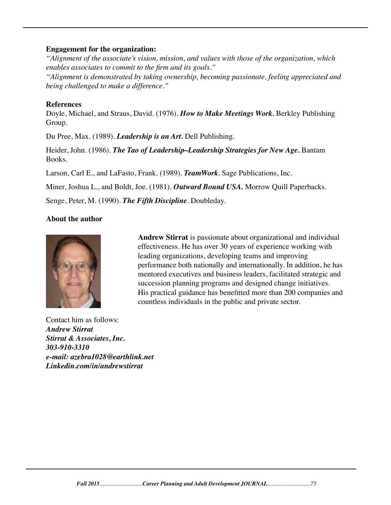#### **Engagement for the organization:**

*"Alignment of the associate's vision, mission, and values with those of the organization, which enables associates to commit to the firm and its goals."*

*"Alignment is demonstrated by taking ownership, becoming passionate, feeling appreciated and being challenged to make a difference."*

#### **References**

Doyle, Michael, and Straus, David. (1976). *How to Make Meetings Work.* Berkley Publishing Group.

Du Pree, Max. (1989). *Leadership is an Art.* Dell Publishing.

Heider, John. (1986). *The Tao of Leadership–Leadership Strategies for New Age.* Bantam Books.

Larson, Carl E., and LaFasto, Frank. (1989). *TeamWork*. Sage Publications, Inc.

Miner, Joshua L., and Boldt, Joe. (1981). *Outward Bound USA.* Morrow Quill Paperbacks.

Senge, Peter, M. (1990). *The Fifth Discipline*. Doubleday.

## **About the author**



Contact him as follows: *Andrew Stirrat Stirrat & Associates, Inc. 303-910-3310 e-mail: azebra1028@earthlink.net Linkedin.com/in/andrewstirrat* 

 **Andrew Stirrat** is passionate about organizational and individual effectiveness. He has over 30 years of experience working with leading organizations, developing teams and improving performance both nationally and internationally. In addition, he has mentored executives and business leaders, facilitated strategic and succession planning programs and designed change initiatives. His practical guidance has benefitted more than 200 companies and countless individuals in the public and private sector.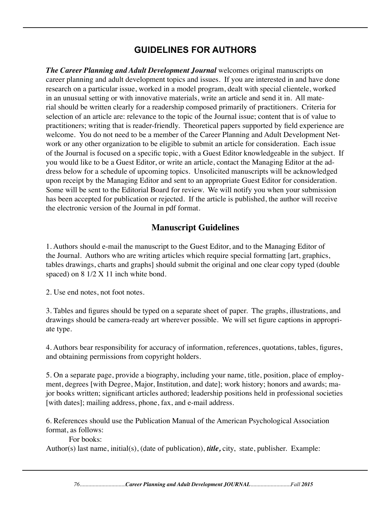# **GUIDELINES FOR AUTHORS**

*The Career Planning and Adult Development Journal* welcomes original manuscripts on career planning and adult development topics and issues. If you are interested in and have done research on a particular issue, worked in a model program, dealt with special clientele, worked in an unusual setting or with innovative materials, write an article and send it in. All material should be written clearly for a readership composed primarily of practitioners. Criteria for selection of an article are: relevance to the topic of the Journal issue; content that is of value to practitioners; writing that is reader-friendly. Theoretical papers supported by field experience are welcome. You do not need to be a member of the Career Planning and Adult Development Network or any other organization to be eligible to submit an article for consideration. Each issue of the Journal is focused on a specific topic, with a Guest Editor knowledgeable in the subject. If you would like to be a Guest Editor, or write an article, contact the Managing Editor at the address below for a schedule of upcoming topics. Unsolicited manuscripts will be acknowledged upon receipt by the Managing Editor and sent to an appropriate Guest Editor for consideration. Some will be sent to the Editorial Board for review. We will notify you when your submission has been accepted for publication or rejected. If the article is published, the author will receive the electronic version of the Journal in pdf format.

## **Manuscript Guidelines**

1. Authors should e-mail the manuscript to the Guest Editor, and to the Managing Editor of the Journal. Authors who are writing articles which require special formatting [art, graphics, tables drawings, charts and graphs] should submit the original and one clear copy typed (double spaced) on 8  $1/2$  X 11 inch white bond.

2. Use end notes, not foot notes.

3. Tables and figures should be typed on a separate sheet of paper. The graphs, illustrations, and drawings should be camera-ready art wherever possible. We will set figure captions in appropriate type.

4. Authors bear responsibility for accuracy of information, references, quotations, tables, figures, and obtaining permissions from copyright holders.

5. On a separate page, provide a biography, including your name, title, position, place of employment, degrees [with Degree, Major, Institution, and date]; work history; honors and awards; major books written; significant articles authored; leadership positions held in professional societies [with dates]; mailing address, phone, fax, and e-mail address.

6. References should use the Publication Manual of the American Psychological Association format, as follows:

For books:

Author(s) last name, initial(s), (date of publication), *title,* city, state, publisher. Example: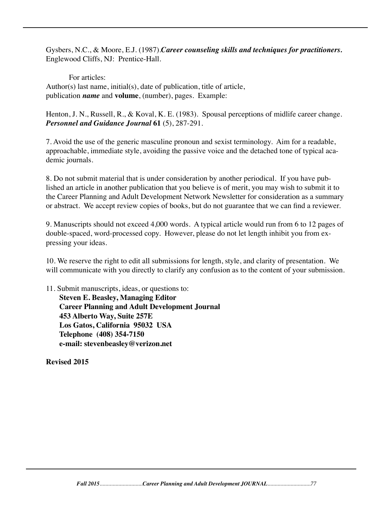Gysbers, N.C., & Moore, E.J. (1987).*Career counseling skills and techniques for practitioners.* Englewood Cliffs, NJ: Prentice-Hall.

For articles: Author(s) last name, initial(s), date of publication, title of article, publication *name* and **volume**, (number), pages. Example:

Henton, J. N., Russell, R., & Koval, K. E. (1983). Spousal perceptions of midlife career change. *Personnel and Guidance Journal* **61** (5), 287-291.

7. Avoid the use of the generic masculine pronoun and sexist terminology. Aim for a readable, approachable, immediate style, avoiding the passive voice and the detached tone of typical academic journals.

8. Do not submit material that is under consideration by another periodical. If you have published an article in another publication that you believe is of merit, you may wish to submit it to the Career Planning and Adult Development Network Newsletter for consideration as a summary or abstract. We accept review copies of books, but do not guarantee that we can find a reviewer.

9. Manuscripts should not exceed 4,000 words. A typical article would run from 6 to 12 pages of double-spaced, word-processed copy. However, please do not let length inhibit you from expressing your ideas.

10. We reserve the right to edit all submissions for length, style, and clarity of presentation. We will communicate with you directly to clarify any confusion as to the content of your submission.

11. Submit manuscripts, ideas, or questions to: **Steven E. Beasley, Managing Editor Career Planning and Adult Development Journal 453 Alberto Way, Suite 257E Los Gatos, California 95032 USA Telephone (408) 354-7150 e-mail: stevenbeasley@verizon.net**

**Revised 2015**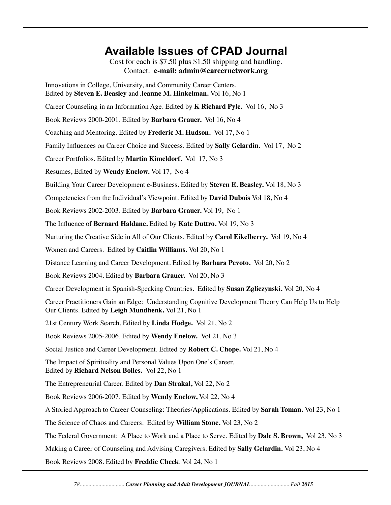# **Available Issues of CPAD Journal** Cost for each is \$7.50 plus \$1.50 shipping and handling. Contact: **e-mail: admin@careernetwork.org** Innovations in College, University, and Community Career Centers. Edited by **Steven E. Beasley** and **Jeanne M. Hinkelman.** Vol 16, No 1 Career Counseling in an Information Age. Edited by **K Richard Pyle.** Vol 16, No 3 Book Reviews 2000-2001. Edited by **Barbara Grauer.** Vol 16, No 4 Coaching and Mentoring. Edited by **Frederic M. Hudson.** Vol 17, No 1 Family Influences on Career Choice and Success. Edited by **Sally Gelardin.** Vol 17, No 2 Career Portfolios. Edited by **Martin Kimeldorf.** Vol 17, No 3 Resumes, Edited by **Wendy Enelow.** Vol 17, No 4 Building Your Career Development e-Business. Edited by **Steven E. Beasley.** Vol 18, No 3 Competencies from the Individual's Viewpoint. Edited by **David Dubois** Vol 18, No 4 Book Reviews 2002-2003. Edited by **Barbara Grauer.** Vol 19, No 1 The Influence of **Bernard Haldane.** Edited by **Kate Duttro.** Vol 19, No 3 Nurturing the Creative Side in All of Our Clients. Edited by **Carol Eikelberry.** Vol 19, No 4 Women and Careers. Edited by **Caitlin Williams.** Vol 20, No 1 Distance Learning and Career Development. Edited by **Barbara Pevoto.** Vol 20, No 2 Book Reviews 2004. Edited by **Barbara Grauer.** Vol 20, No 3 Career Development in Spanish-Speaking Countries. Edited by **Susan Zgliczynski.** Vol 20, No 4 Career Practitioners Gain an Edge: Understanding Cognitive Development Theory Can Help Us to Help Our Clients. Edited by **Leigh Mundhenk.** Vol 21, No 1 21st Century Work Search. Edited by **Linda Hodge.** Vol 21, No 2 Book Reviews 2005-2006. Edited by **Wendy Enelow.** Vol 21, No 3 Social Justice and Career Development. Edited by **Robert C. Chope.** Vol 21, No 4 The Impact of Spirituality and Personal Values Upon One's Career. Edited by **Richard Nelson Bolles.** Vol 22, No 1 The Entrepreneurial Career. Edited by **Dan Strakal,** Vol 22, No 2 Book Reviews 2006-2007. Edited by **Wendy Enelow,** Vol 22, No 4 A Storied Approach to Career Counseling: Theories/Applications. Edited by **Sarah Toman.** Vol 23, No 1 The Science of Chaos and Careers. Edited by **William Stone.** Vol 23, No 2 The Federal Government: A Place to Work and a Place to Serve. Edited by **Dale S. Brown,** Vol 23, No 3 Making a Career of Counseling and Advising Caregivers. Edited by **Sally Gelardin.** Vol 23, No 4 Book Reviews 2008. Edited by **Freddie Cheek**. Vol 24, No 1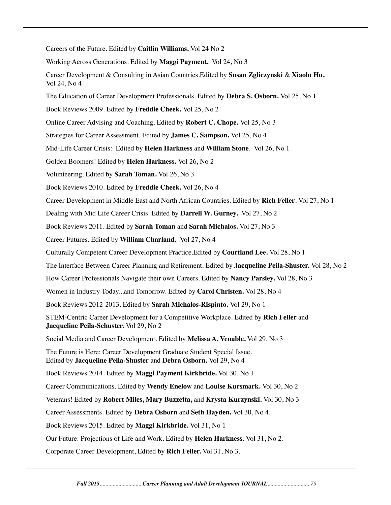Careers of the Future. Edited by **Caitlin Williams.** Vol 24 No 2

Working Across Generations. Edited by **Maggi Payment.** Vol 24, No 3

Career Development & Consulting in Asian Countries.Edited by **Susan Zgliczynski** & **Xiaolu Hu.**  Vol 24, No 4

The Education of Career Development Professionals. Edited by **Debra S. Osborn.** Vol 25, No 1

Book Reviews 2009. Edited by **Freddie Cheek.** Vol 25, No 2

Online Career Advising and Coaching. Edited by **Robert C. Chope.** Vol 25, No 3

Strategies for Career Assessment. Edited by **James C. Sampson.** Vol 25, No 4

Mid-Life Career Crisis: Edited by **Helen Harkness** and **William Stone**. Vol 26, No 1

Golden Boomers! Edited by **Helen Harkness.** Vol 26, No 2

Volunteering. Edited by **Sarah Toman.** Vol 26, No 3

Book Reviews 2010. Edited by **Freddie Cheek.** Vol 26, No 4

Career Development in Middle East and North African Countries. Edited by **Rich Feller**. Vol 27, No 1

Dealing with Mid Life Career Crisis. Edited by **Darrell W. Gurney.** Vol 27, No 2

Book Reviews 2011. Edited by **Sarah Toman** and **Sarah Michalos.** Vol 27, No 3

Career Futures. Edited by **William Charland.** Vol 27, No 4

Culturally Competent Career Development Practice.Edited by **Courtland Lee.** Vol 28, No 1

The Interface Between Career Planning and Retirement. Edited by **Jacqueline Peila-Shuster.** Vol 28, No 2

How Career Professionals Navigate their own Careers. Edited by **Nancy Parsley.** Vol 28, No 3

Women in Industry Today...and Tomorrow. Edited by **Carol Christen.** Vol 28, No 4

Book Reviews 2012-2013. Edited by **Sarah Michalos-Rispinto.** Vol 29, No 1

STEM-Centric Career Development for a Competitive Workplace. Edited by **Rich Feller** and **Jacqueline Peila-Schuster.** Vol 29, No 2

Social Media and Career Development. Edited by **Melissa A. Venable.** Vol 29, No 3

The Future is Here: Career Development Graduate Student Special Issue. Edited by **Jacqueline Peila-Shuster** and **Debra Osborn.** Vol 29, No 4

Book Reviews 2014. Edited by **Maggi Payment Kirkbride.** Vol 30, No 1

Career Communications. Edited by **Wendy Enelow** and **Louise Kursmark.** Vol 30, No 2

Veterans! Edited by **Robert Miles, Mary Buzzetta,** and **Krysta Kurzynski.** Vol 30, No 3

Career Assessments. Edited by **Debra Osborn** and **Seth Hayden.** Vol 30, No 4.

Book Reviews 2015. Edited by **Maggi Kirkbride.** Vol 31, No 1

Our Future: Projections of Life and Work. Edited by **Helen Harkness**. Vol 31, No 2.

Corporate Career Development, Edited by **Rich Feller.** Vol 31, No 3.